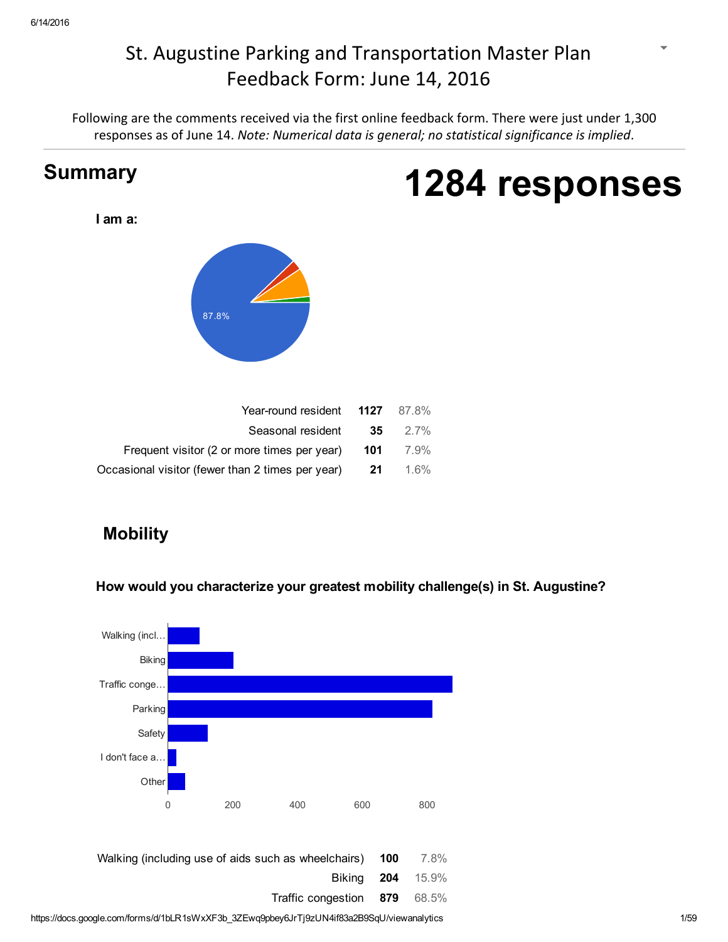# St. Augustine Parking and Transportation Master [Plan](https://accounts.google.com/SignOutOptions?hl=en&continue=https://docs.google.com/forms/d/1bLR1sWxXF3b_3ZEwq9pbey6JrTj9zUN4if83a2B9SqU/viewanalytics) Feedback Form: June 14, 2016

Following are the comments received via the first online feedback form. There were just under 1,300 [response](https://docs.google.com/spreadsheets/d/1_I_ZYIePhWby6nXJS0lQZ5V45WKK3iEDqxskEswVymc?usp=forms_web_l#gid=919671517)s a[s of June 14.](https://docs.google.com/forms/d/1bLR1sWxXF3b_3ZEwq9pbey6JrTj9zUN4if83a2B9SqU/edit#start=publishanalytics) *Note: Numerical data is general; no statistical significance is implied*.



# **Mobility**

How would you characterize your greatest mobility challenge(s) in St. Augustine?

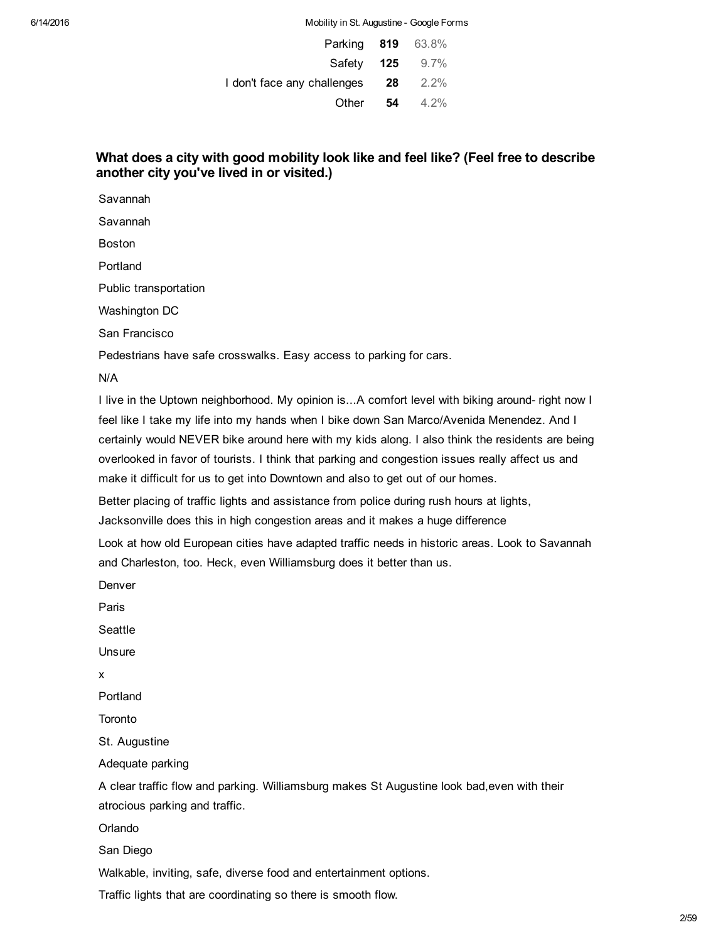| <b>Parking 819</b> 63.8%    |      |         |
|-----------------------------|------|---------|
| Safety 125                  |      | $9.7\%$ |
| I don't face any challenges | - 28 | $2.2\%$ |
| Other                       | 54   | $4.2\%$ |

## What does a city with good mobility look like and feel like? (Feel free to describe another city you've lived in or visited.)

Savannah

Savannah

Boston

Portland

Public transportation

Washington DC

San Francisco

Pedestrians have safe crosswalks. Easy access to parking for cars.

N/A

I live in the Uptown neighborhood. My opinion is...A comfort level with biking around- right now I feel like I take my life into my hands when I bike down San Marco/Avenida Menendez. And I certainly would NEVER bike around here with my kids along. I also think the residents are being overlooked in favor of tourists. I think that parking and congestion issues really affect us and make it difficult for us to get into Downtown and also to get out of our homes.

Better placing of traffic lights and assistance from police during rush hours at lights,

Jacksonville does this in high congestion areas and it makes a huge difference

Look at how old European cities have adapted traffic needs in historic areas. Look to Savannah and Charleston, too. Heck, even Williamsburg does it better than us.

Denver

Paris

Seattle

Unsure

x

Portland

**Toronto** 

St. Augustine

Adequate parking

A clear traffic flow and parking. Williamsburg makes St Augustine look bad,even with their atrocious parking and traffic.

Orlando

San Diego

Walkable, inviting, safe, diverse food and entertainment options.

Traffic lights that are coordinating so there is smooth flow.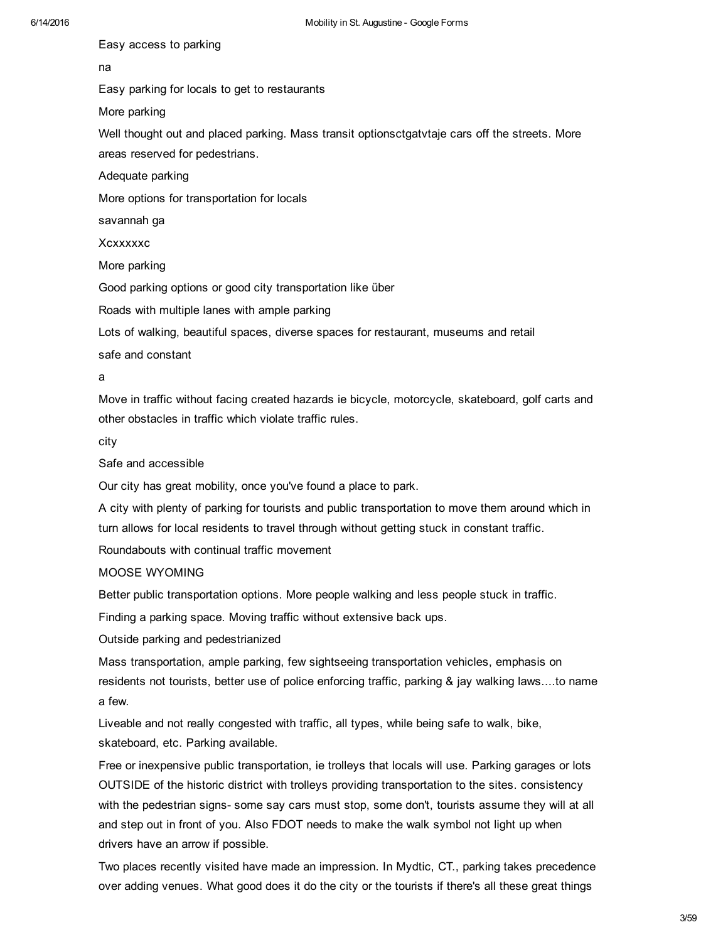Easy access to parking

## na

Easy parking for locals to get to restaurants

More parking

Well thought out and placed parking. Mass transit optionsctgat vtaje cars off the streets. More areas reserved for pedestrians.

Adequate parking

More options for transportation for locals

savannah ga

Xcxxxxxc

More parking

Good parking options or good city transportation like über

Roads with multiple lanes with ample parking

Lots of walking, beautiful spaces, diverse spaces for restaurant, museums and retail

safe and constant

a

Move in traffic without facing created hazards ie bicycle, motorcycle, skateboard, golf carts and other obstacles in traffic which violate traffic rules.

city

Safe and accessible

Our city has great mobility, once you've found a place to park.

A city with plenty of parking for tourists and public transportation to move them around which in turn allows for local residents to travel through without getting stuck in constant traffic.

Roundabouts with continual traffic movement

## MOOSE WYOMING

Better public transportation options. More people walking and less people stuck in traffic.

Finding a parking space. Moving traffic without extensive back ups.

Outside parking and pedestrianized

Mass transportation, ample parking, few sightseeing transportation vehicles, emphasis on residents not tourists, better use of police enforcing traffic, parking & jay walking laws....to name a few.

Liveable and not really congested with traffic, all types, while being safe to walk, bike, skateboard, etc. Parking available.

Free or inexpensive public transportation, ie trolleys that locals will use. Parking garages or lots OUTSIDE of the historic district with trolleys providing transportation to the sites. consistency with the pedestrian signs- some say cars must stop, some don't, tourists assume they will at all and step out in front of you. Also FDOT needs to make the walk symbol not light up when drivers have an arrow if possible.

Two places recently visited have made an impression. In Mydtic, CT., parking takes precedence over adding venues. What good does it do the city or the tourists if there's all these great things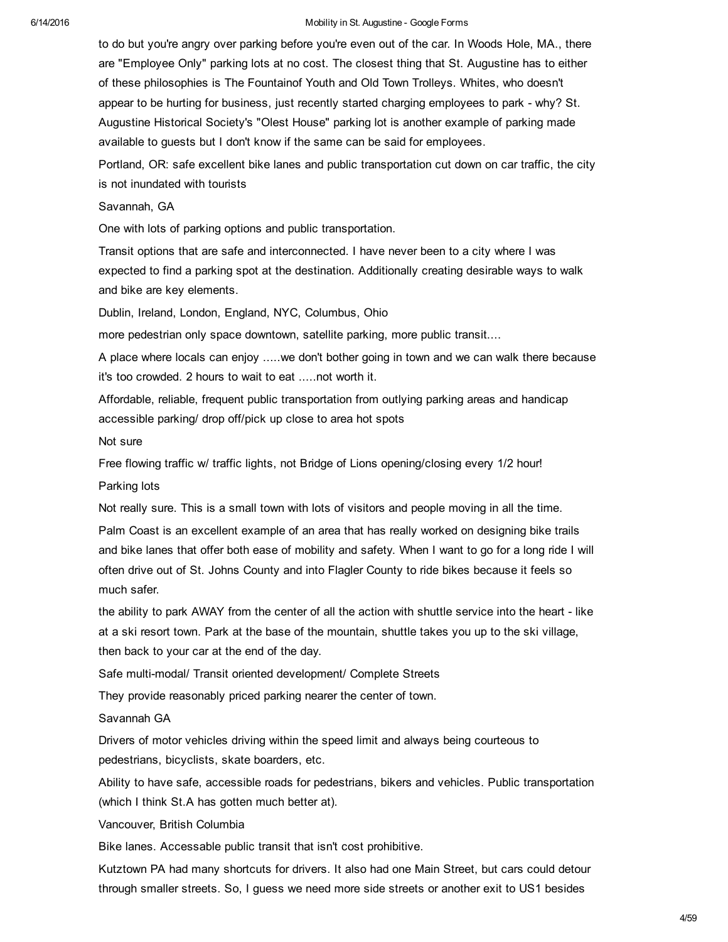to do but you're angry over parking before you're even out of the car. In Woods Hole, MA., there are "Employee Only" parking lots at no cost. The closest thing that St. Augustine has to either of these philosophies is The Fountainof Youth and Old Town Trolleys. Whites, who doesn't appear to be hurting for business, just recently started charging employees to park - why? St. Augustine Historical Society's "Olest House" parking lot is another example of parking made available to guests but I don't know if the same can be said for employees.

Portland, OR: safe excellent bike lanes and public transportation cut down on car traffic, the city is not inundated with tourists

Savannah, GA

One with lots of parking options and public transportation.

Transit options that are safe and interconnected. I have never been to a city where I was expected to find a parking spot at the destination. Additionally creating desirable ways to walk and bike are key elements.

Dublin, Ireland, London, England, NYC, Columbus, Ohio

more pedestrian only space downtown, satellite parking, more public transit....

A place where locals can enjoy .....we don't bother going in town and we can walk there because it's too crowded. 2 hours to wait to eat .....not worth it.

Affordable, reliable, frequent public transportation from outlying parking areas and handicap accessible parking/ drop off/pick up close to area hot spots

Not sure

Free flowing traffic w/ traffic lights, not Bridge of Lions opening/closing every 1/2 hour! Parking lots

Not really sure. This is a small town with lots of visitors and people moving in all the time.

Palm Coast is an excellent example of an area that has really worked on designing bike trails and bike lanes that offer both ease of mobility and safety. When I want to go for a long ride I will often drive out of St. Johns County and into Flagler County to ride bikes because it feels so much safer.

the ability to park AWAY from the center of all the action with shuttle service into the heart - like at a ski resort town. Park at the base of the mountain, shuttle takes you up to the ski village, then back to your car at the end of the day.

Safe multi-modal/ Transit oriented development/ Complete Streets

They provide reasonably priced parking nearer the center of town.

Savannah GA

Drivers of motor vehicles driving within the speed limit and always being courteous to pedestrians, bicyclists, skate boarders, etc.

Ability to have safe, accessible roads for pedestrians, bikers and vehicles. Public transportation (which I think St.A has gotten much better at).

Vancouver, British Columbia

Bike lanes. Accessable public transit that isn't cost prohibitive.

Kutztown PA had many shortcuts for drivers. It also had one Main Street, but cars could detour through smaller streets. So, I guess we need more side streets or another exit to US1 besides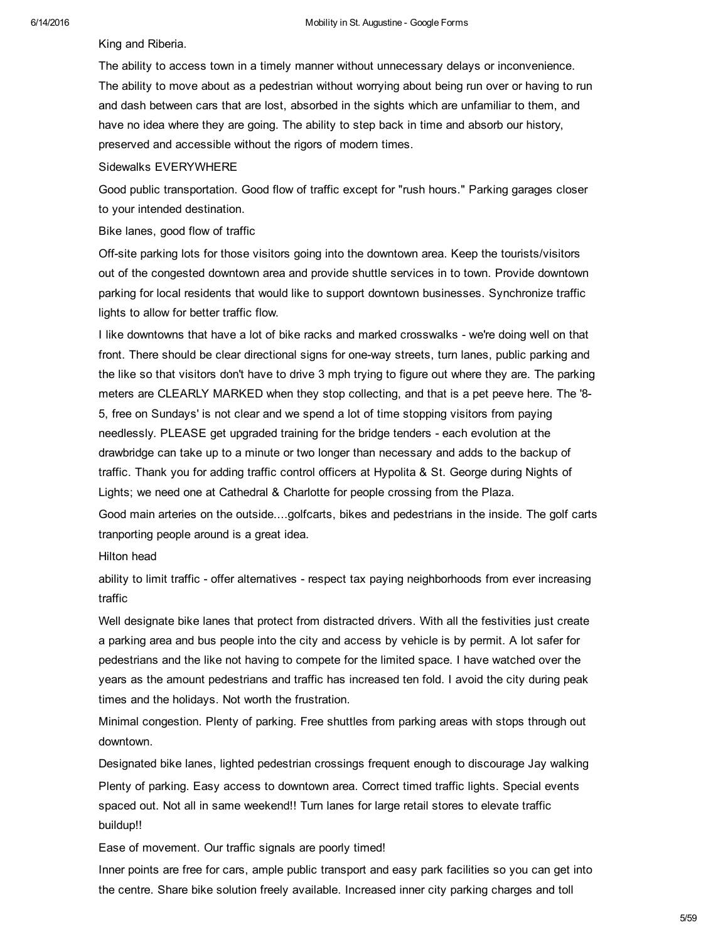King and Riberia.

The ability to access town in a timely manner without unnecessary delays or inconvenience. The ability to move about as a pedestrian without worrying about being run over or having to run and dash between cars that are lost, absorbed in the sights which are unfamiliar to them, and have no idea where they are going. The ability to step back in time and absorb our history, preserved and accessible without the rigors of modern times.

## Sidewalks EVERYWHERE

Good public transportation. Good flow of traffic except for "rush hours." Parking garages closer to your intended destination.

Bike lanes, good flow of traffic

Off-site parking lots for those visitors going into the downtown area. Keep the tourists/visitors out of the congested downtown area and provide shuttle services in to town. Provide downtown parking for local residents that would like to support downtown businesses. Synchronize traffic lights to allow for better traffic flow.

I like downtowns that have a lot of bike racks and marked crosswalks - we're doing well on that front. There should be clear directional signs for oneway streets, turn lanes, public parking and the like so that visitors don't have to drive 3 mph trying to figure out where they are. The parking meters are CLEARLY MARKED when they stop collecting, and that is a pet peeve here. The '8 5, free on Sundays' is not clear and we spend a lot of time stopping visitors from paying needlessly. PLEASE get upgraded training for the bridge tenders - each evolution at the drawbridge can take up to a minute or two longer than necessary and adds to the backup of traffic. Thank you for adding traffic control officers at Hypolita & St. George during Nights of Lights; we need one at Cathedral & Charlotte for people crossing from the Plaza.

Good main arteries on the outside....golfcarts, bikes and pedestrians in the inside. The golf carts tranporting people around is a great idea.

Hilton head

ability to limit traffic - offer alternatives - respect tax paying neighborhoods from ever increasing traffic

Well designate bike lanes that protect from distracted drivers. With all the festivities just create a parking area and bus people into the city and access by vehicle is by permit. A lot safer for pedestrians and the like not having to compete for the limited space. I have watched over the years as the amount pedestrians and traffic has increased ten fold. I avoid the city during peak times and the holidays. Not worth the frustration.

Minimal congestion. Plenty of parking. Free shuttles from parking areas with stops through out downtown.

Designated bike lanes, lighted pedestrian crossings frequent enough to discourage Jay walking Plenty of parking. Easy access to downtown area. Correct timed traffic lights. Special events spaced out. Not all in same weekend!! Turn lanes for large retail stores to elevate traffic buildup!!

Ease of movement. Our traffic signals are poorly timed!

Inner points are free for cars, ample public transport and easy park facilities so you can get into the centre. Share bike solution freely available. Increased inner city parking charges and toll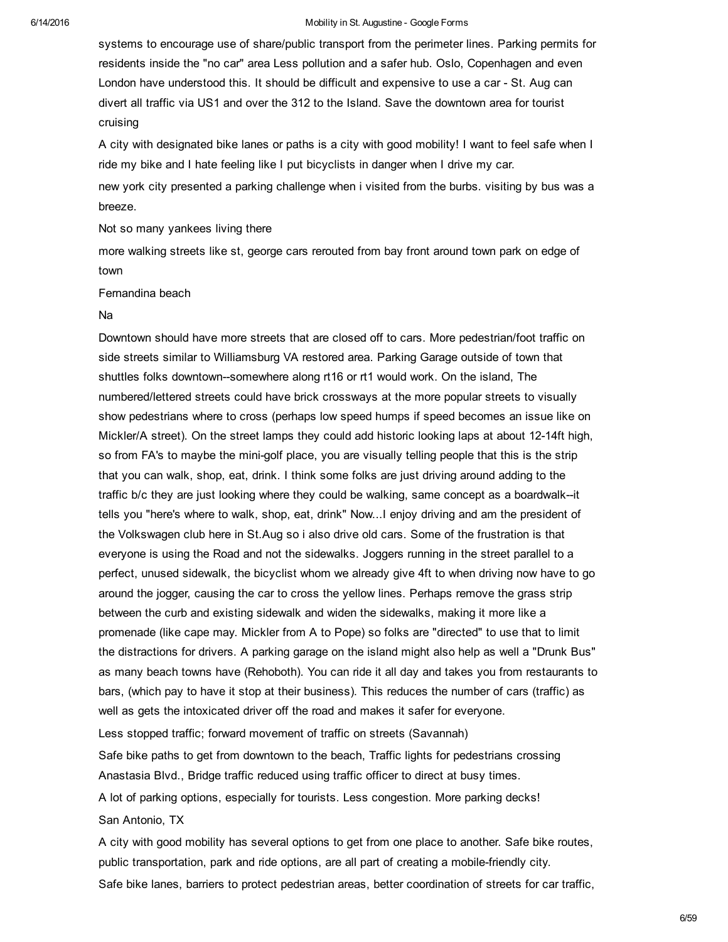systems to encourage use of share/public transport from the perimeter lines. Parking permits for residents inside the "no car" area Less pollution and a safer hub. Oslo, Copenhagen and even London have understood this. It should be difficult and expensive to use a car - St. Aug can divert all traffic via US1 and over the 312 to the Island. Save the downtown area for tourist cruising

A city with designated bike lanes or paths is a city with good mobility! I want to feel safe when I ride my bike and I hate feeling like I put bicyclists in danger when I drive my car.

new york city presented a parking challenge when i visited from the burbs. visiting by bus was a breeze.

Not so many yankees living there

more walking streets like st, george cars rerouted from bay front around town park on edge of town

Fernandina beach

## Na

Downtown should have more streets that are closed off to cars. More pedestrian/foot traffic on side streets similar to Williamsburg VA restored area. Parking Garage outside of town that shuttles folks downtown-somewhere along  $r + 16$  or  $r + 1$  would work. On the island, The numbered/lettered streets could have brick crossways at the more popular streets to visually show pedestrians where to cross (perhaps low speed humps if speed becomes an issue like on Mickler/A street). On the street lamps they could add historic looking laps at about 12-14ft high, so from FA's to maybe the mini-golf place, you are visually telling people that this is the strip that you can walk, shop, eat, drink. I think some folks are just driving around adding to the traffic b/c they are just looking where they could be walking, same concept as a boardwalk--it tells you "here's where to walk, shop, eat, drink" Now...I enjoy driving and am the president of the Volkswagen club here in St.Aug so i also drive old cars. Some of the frustration is that everyone is using the Road and not the sidewalks. Joggers running in the street parallel to a perfect, unused sidewalk, the bicyclist whom we already give 4ft to when driving now have to go around the jogger, causing the car to cross the yellow lines. Perhaps remove the grass strip between the curb and existing sidewalk and widen the sidewalks, making it more like a promenade (like cape may. Mickler from A to Pope) so folks are "directed" to use that to limit the distractions for drivers. A parking garage on the island might also help as well a "Drunk Bus" as many beach towns have (Rehoboth). You can ride it all day and takes you from restaurants to bars, (which pay to have it stop at their business). This reduces the number of cars (traffic) as well as gets the intoxicated driver off the road and makes it safer for everyone.

Less stopped traffic; forward movement of traffic on streets (Savannah)

Safe bike paths to get from downtown to the beach, Traffic lights for pedestrians crossing Anastasia Blvd., Bridge traffic reduced using traffic officer to direct at busy times.

A lot of parking options, especially for tourists. Less congestion. More parking decks!

San Antonio, TX

A city with good mobility has several options to get from one place to another. Safe bike routes, public transportation, park and ride options, are all part of creating a mobile-friendly city. Safe bike lanes, barriers to protect pedestrian areas, better coordination of streets for car traffic,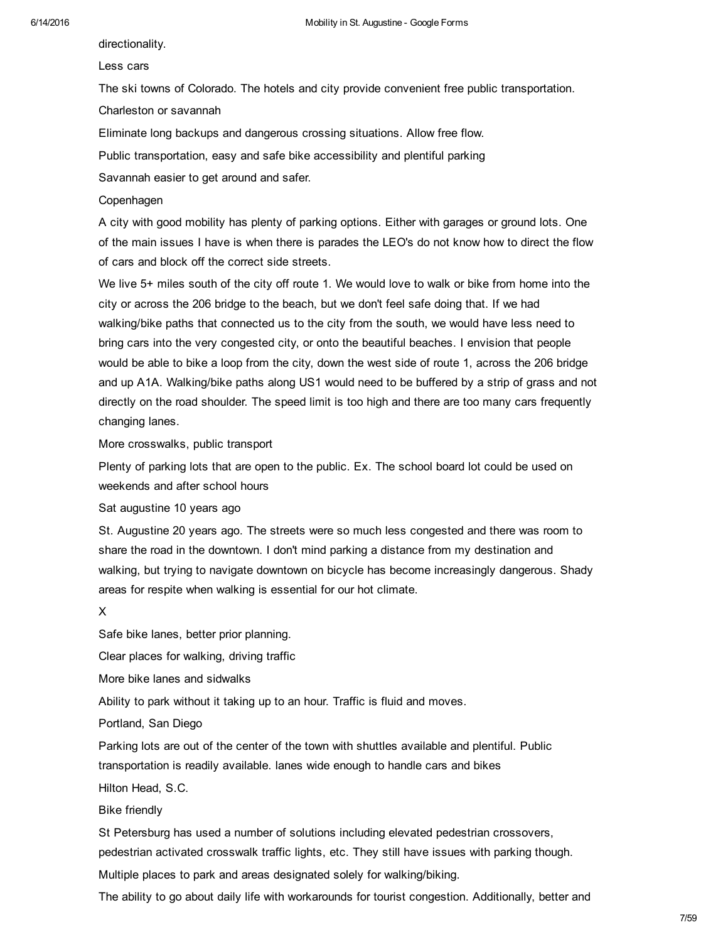directionality.

## Less cars

The ski towns of Colorado. The hotels and city provide convenient free public transportation.

Charleston or savannah

Eliminate long backups and dangerous crossing situations. Allow free flow.

Public transportation, easy and safe bike accessibility and plentiful parking

Savannah easier to get around and safer.

## Copenhagen

A city with good mobility has plenty of parking options. Either with garages or ground lots. One of the main issues I have is when there is parades the LEO's do not know how to direct the flow of cars and block off the correct side streets.

We live 5+ miles south of the city off route 1. We would love to walk or bike from home into the city or across the 206 bridge to the beach, but we don't feel safe doing that. If we had walking/bike paths that connected us to the city from the south, we would have less need to bring cars into the very congested city, or onto the beautiful beaches. I envision that people would be able to bike a loop from the city, down the west side of route 1, across the 206 bridge and up A1A. Walking/bike paths along US1 would need to be buffered by a strip of grass and not directly on the road shoulder. The speed limit is too high and there are too many cars frequently changing lanes.

More crosswalks, public transport

Plenty of parking lots that are open to the public. Ex. The school board lot could be used on weekends and after school hours

Sat augustine 10 years ago

St. Augustine 20 years ago. The streets were so much less congested and there was room to share the road in the downtown. I don't mind parking a distance from my destination and walking, but trying to navigate downtown on bicycle has become increasingly dangerous. Shady areas for respite when walking is essential for our hot climate.

X

Safe bike lanes, better prior planning.

Clear places for walking, driving traffic

More bike lanes and sidwalks

Ability to park without it taking up to an hour. Traffic is fluid and moves.

Portland, San Diego

Parking lots are out of the center of the town with shuttles available and plentiful. Public transportation is readily available. lanes wide enough to handle cars and bikes

Hilton Head, S.C.

Bike friendly

St Petersburg has used a number of solutions including elevated pedestrian crossovers, pedestrian activated crosswalk traffic lights, etc. They still have issues with parking though. Multiple places to park and areas designated solely for walking/biking.

The ability to go about daily life with workarounds for tourist congestion. Additionally, better and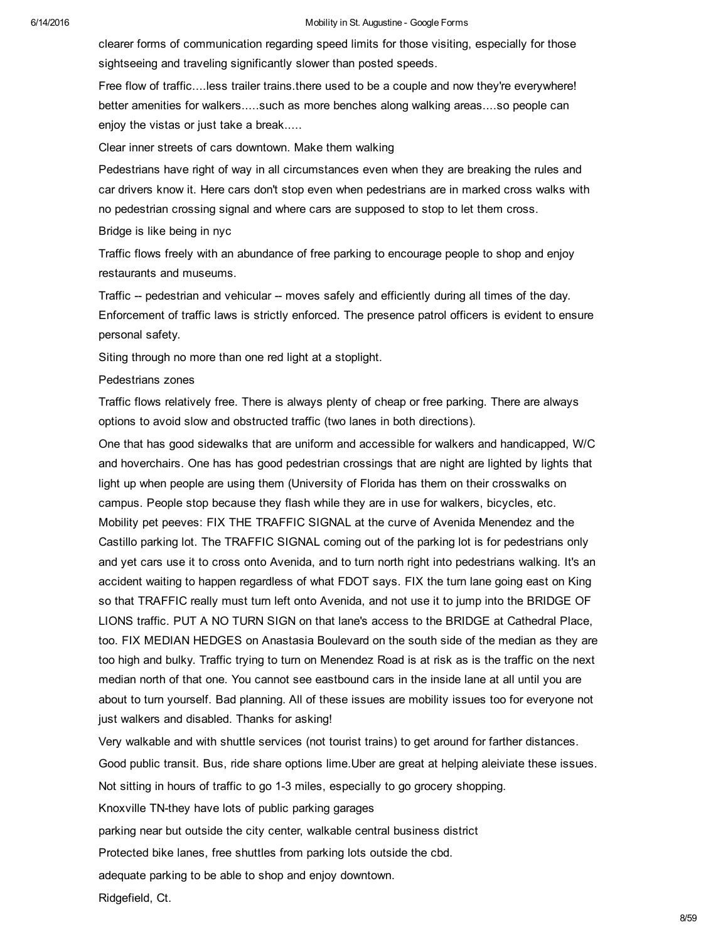clearer forms of communication regarding speed limits for those visiting, especially for those sightseeing and traveling significantly slower than posted speeds.

Free flow of traffic....less trailer trains.there used to be a couple and now they're everywhere! better amenities for walkers.....such as more benches along walking areas....so people can enjoy the vistas or just take a break.....

Clear inner streets of cars downtown. Make them walking

Pedestrians have right of way in all circumstances even when they are breaking the rules and car drivers know it. Here cars don't stop even when pedestrians are in marked cross walks with no pedestrian crossing signal and where cars are supposed to stop to let them cross.

Bridge is like being in nyc

Traffic flows freely with an abundance of free parking to encourage people to shop and enjoy restaurants and museums.

Traffic -- pedestrian and vehicular -- moves safely and efficiently during all times of the day. Enforcement of traffic laws is strictly enforced. The presence patrol officers is evident to ensure personal safety.

Siting through no more than one red light at a stoplight.

## Pedestrians zones

Traffic flows relatively free. There is always plenty of cheap or free parking. There are always options to avoid slow and obstructed traffic (two lanes in both directions).

One that has good sidewalks that are uniform and accessible for walkers and handicapped, W/C and hoverchairs. One has has good pedestrian crossings that are night are lighted by lights that light up when people are using them (University of Florida has them on their crosswalks on campus. People stop because they flash while they are in use for walkers, bicycles, etc. Mobility pet peeves: FIX THE TRAFFIC SIGNAL at the curve of Avenida Menendez and the Castillo parking lot. The TRAFFIC SIGNAL coming out of the parking lot is for pedestrians only and yet cars use it to cross onto Avenida, and to turn north right into pedestrians walking. It's an accident waiting to happen regardless of what FDOT says. FIX the turn lane going east on King so that TRAFFIC really must turn left onto Avenida, and not use it to jump into the BRIDGE OF LIONS traffic. PUT A NO TURN SIGN on that lane's access to the BRIDGE at Cathedral Place, too. FIX MEDIAN HEDGES on Anastasia Boulevard on the south side of the median as they are too high and bulky. Traffic trying to turn on Menendez Road is at risk as is the traffic on the next median north of that one. You cannot see eastbound cars in the inside lane at all until you are about to turn yourself. Bad planning. All of these issues are mobility issues too for everyone not just walkers and disabled. Thanks for asking!

Very walkable and with shuttle services (not tourist trains) to get around for farther distances. Good public transit. Bus, ride share options lime.Uber are great at helping aleiviate these issues. Not sitting in hours of traffic to go 1-3 miles, especially to go grocery shopping. Knoxville TN-they have lots of public parking garages parking near but outside the city center, walkable central business district Protected bike lanes, free shuttles from parking lots outside the cbd. adequate parking to be able to shop and enjoy downtown. Ridgefield, Ct.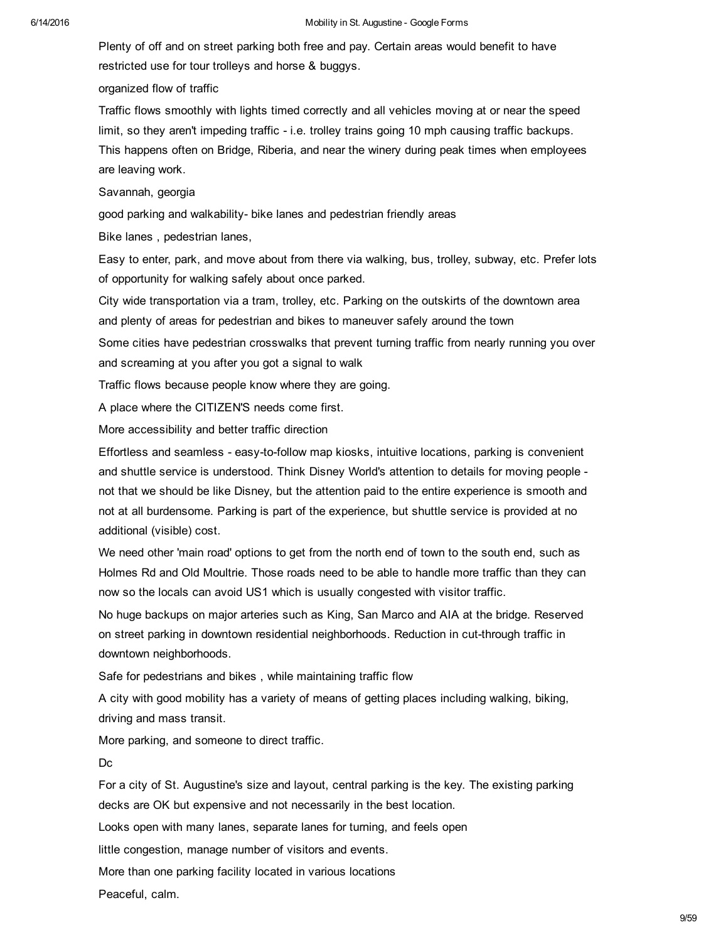#### 6/14/2016 **Mobility in St. Augustine - Google Forms** Mobility in St. Augustine - Google Forms

Plenty of off and on street parking both free and pay. Certain areas would benefit to have restricted use for tour trolleys and horse & buggys.

organized flow of traffic

Traffic flows smoothly with lights timed correctly and all vehicles moving at or near the speed limit, so they aren't impeding traffic - i.e. trolley trains going 10 mph causing traffic backups. This happens often on Bridge, Riberia, and near the winery during peak times when employees are leaving work.

Savannah, georgia

good parking and walkability- bike lanes and pedestrian friendly areas

Bike lanes , pedestrian lanes,

Easy to enter, park, and move about from there via walking, bus, trolley, subway, etc. Prefer lots of opportunity for walking safely about once parked.

City wide transportation via a tram, trolley, etc. Parking on the outskirts of the downtown area and plenty of areas for pedestrian and bikes to maneuver safely around the town

Some cities have pedestrian crosswalks that prevent turning traffic from nearly running you over and screaming at you after you got a signal to walk

Traffic flows because people know where they are going.

A place where the CITIZEN'S needs come first.

More accessibility and better traffic direction

Effortless and seamless - easy-to-follow map kiosks, intuitive locations, parking is convenient and shuttle service is understood. Think Disney World's attention to details for moving people not that we should be like Disney, but the attention paid to the entire experience is smooth and not at all burdensome. Parking is part of the experience, but shuttle service is provided at no additional (visible) cost.

We need other 'main road' options to get from the north end of town to the south end, such as Holmes Rd and Old Moultrie. Those roads need to be able to handle more traffic than they can now so the locals can avoid US1 which is usually congested with visitor traffic.

No huge backups on major arteries such as King, San Marco and AIA at the bridge. Reserved on street parking in downtown residential neighborhoods. Reduction in cut-through traffic in downtown neighborhoods.

Safe for pedestrians and bikes , while maintaining traffic flow

A city with good mobility has a variety of means of getting places including walking, biking, driving and mass transit.

More parking, and someone to direct traffic.

Dc

For a city of St. Augustine's size and layout, central parking is the key. The existing parking decks are OK but expensive and not necessarily in the best location.

Looks open with many lanes, separate lanes for turning, and feels open

little congestion, manage number of visitors and events.

More than one parking facility located in various locations

Peaceful, calm.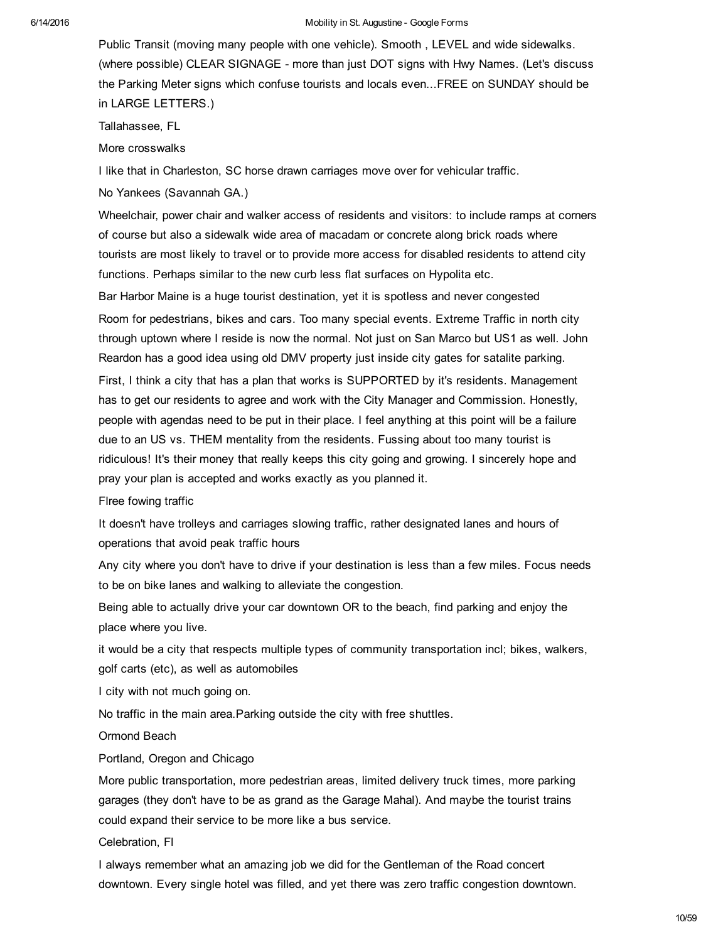Public Transit (moving many people with one vehicle). Smooth , LEVEL and wide sidewalks. (where possible) CLEAR SIGNAGE more than just DOT signs with Hwy Names. (Let's discuss the Parking Meter signs which confuse tourists and locals even...FREE on SUNDAY should be in LARGE LETTERS.)

Tallahassee, FL

More crosswalks

I like that in Charleston, SC horse drawn carriages move over for vehicular traffic.

No Yankees (Savannah GA.)

Wheelchair, power chair and walker access of residents and visitors: to include ramps at corners of course but also a sidewalk wide area of macadam or concrete along brick roads where tourists are most likely to travel or to provide more access for disabled residents to attend city functions. Perhaps similar to the new curb less flat surfaces on Hypolita etc.

Bar Harbor Maine is a huge tourist destination, yet it is spotless and never congested Room for pedestrians, bikes and cars. Too many special events. Extreme Traffic in north city through uptown where I reside is now the normal. Not just on San Marco but US1 as well. John Reardon has a good idea using old DMV property just inside city gates for satalite parking. First, I think a city that has a plan that works is SUPPORTED by it's residents. Management has to get our residents to agree and work with the City Manager and Commission. Honestly, people with agendas need to be put in their place. I feel anything at this point will be a failure due to an US vs. THEM mentality from the residents. Fussing about too many tourist is ridiculous! It's their money that really keeps this city going and growing. I sincerely hope and pray your plan is accepted and works exactly as you planned it.

Flree fowing traffic

It doesn't have trolleys and carriages slowing traffic, rather designated lanes and hours of operations that avoid peak traffic hours

Any city where you don't have to drive if your destination is less than a few miles. Focus needs to be on bike lanes and walking to alleviate the congestion.

Being able to actually drive your car downtown OR to the beach, find parking and enjoy the place where you live.

it would be a city that respects multiple types of community transportation incl; bikes, walkers, golf carts (etc), as well as automobiles

I city with not much going on.

No traffic in the main area.Parking outside the city with free shuttles.

Ormond Beach

Portland, Oregon and Chicago

More public transportation, more pedestrian areas, limited delivery truck times, more parking garages (they don't have to be as grand as the Garage Mahal). And maybe the tourist trains could expand their service to be more like a bus service.

Celebration, Fl

I always remember what an amazing job we did for the Gentleman of the Road concert downtown. Every single hotel was filled, and yet there was zero traffic congestion downtown.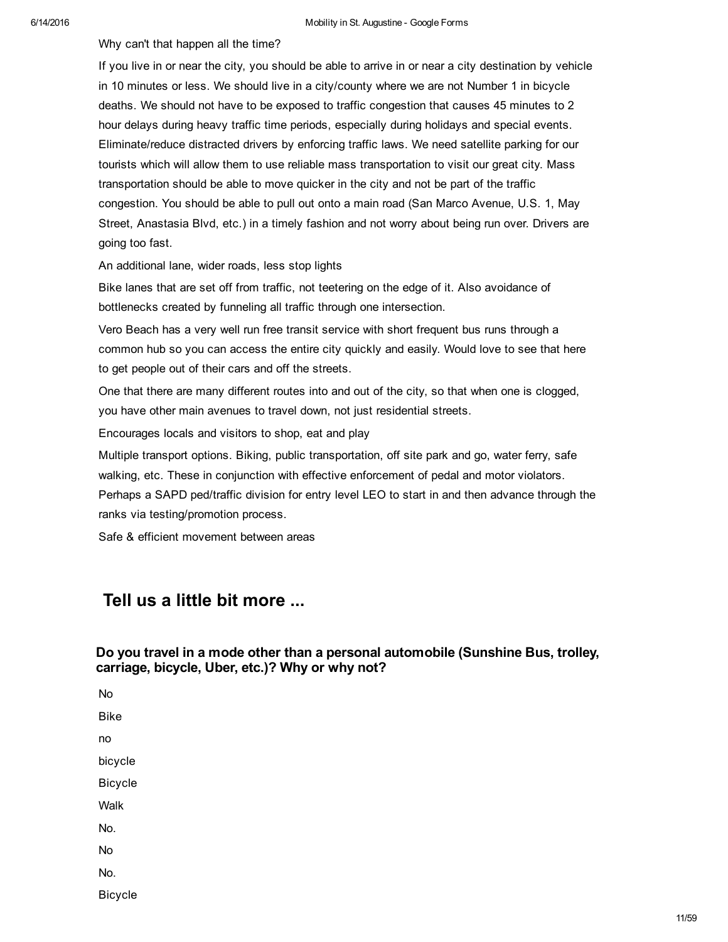Why can't that happen all the time?

If you live in or near the city, you should be able to arrive in or near a city destination by vehicle in 10 minutes or less. We should live in a city/county where we are not Number 1 in bicycle deaths. We should not have to be exposed to traffic congestion that causes 45 minutes to 2 hour delays during heavy traffic time periods, especially during holidays and special events. Eliminate/reduce distracted drivers by enforcing traffic laws. We need satellite parking for our tourists which will allow them to use reliable mass transportation to visit our great city. Mass transportation should be able to move quicker in the city and not be part of the traffic congestion. You should be able to pull out onto a main road (San Marco Avenue, U.S. 1, May Street, Anastasia Blvd, etc.) in a timely fashion and not worry about being run over. Drivers are going too fast.

An additional lane, wider roads, less stop lights

Bike lanes that are set off from traffic, not teetering on the edge of it. Also avoidance of bottlenecks created by funneling all traffic through one intersection.

Vero Beach has a very well run free transit service with short frequent bus runs through a common hub so you can access the entire city quickly and easily. Would love to see that here to get people out of their cars and off the streets.

One that there are many different routes into and out of the city, so that when one is clogged, you have other main avenues to travel down, not just residential streets.

Encourages locals and visitors to shop, eat and play

Multiple transport options. Biking, public transportation, off site park and go, water ferry, safe walking, etc. These in conjunction with effective enforcement of pedal and motor violators. Perhaps a SAPD ped/traffic division for entry level LEO to start in and then advance through the ranks via testing/promotion process.

Safe & efficient movement between areas

## Tell us a little bit more ...

## Do you travel in a mode other than a personal automobile (Sunshine Bus, trolley, carriage, bicycle, Uber, etc.)? Why or why not?

No

Bike no bicycle Bicycle Walk No. No No.

Bicycle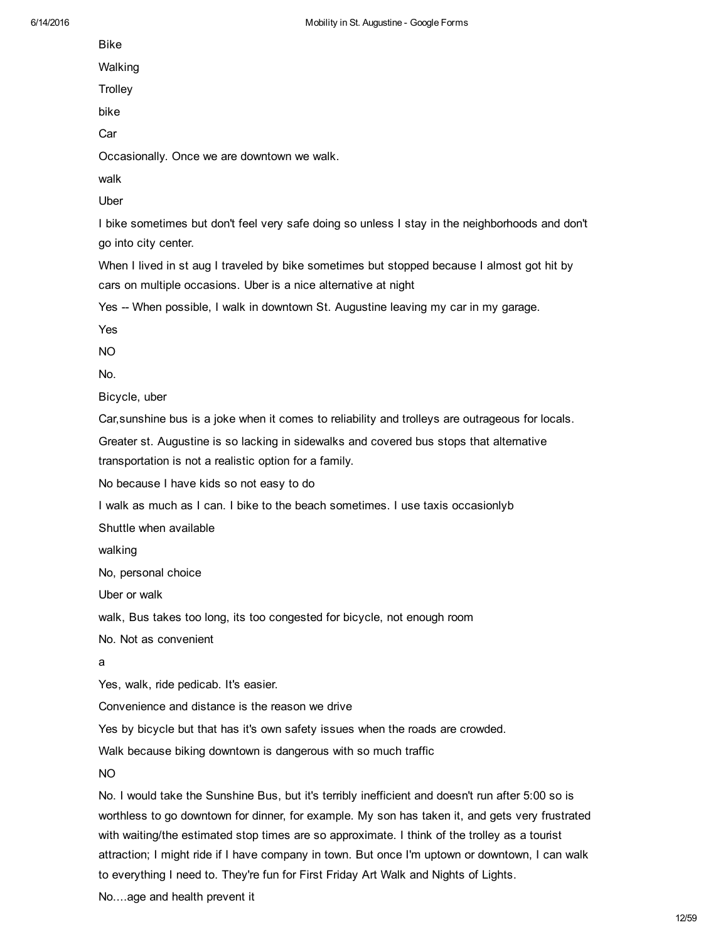Bike

Walking

**Trolley** 

bike

Car

Occasionally. Once we are downtown we walk.

walk

Uber

I bike sometimes but don't feel very safe doing so unless I stay in the neighborhoods and don't go into city center.

When I lived in st aug I traveled by bike sometimes but stopped because I almost got hit by cars on multiple occasions. Uber is a nice alternative at night

Yes -- When possible, I walk in downtown St. Augustine leaving my car in my garage.

Yes

NO

No.

Bicycle, uber

Car,sunshine bus is a joke when it comes to reliability and trolleys are outrageous for locals.

Greater st. Augustine is so lacking in sidewalks and covered bus stops that alternative transportation is not a realistic option for a family.

No because I have kids so not easy to do

I walk as much as I can. I bike to the beach sometimes. I use taxis occasionlyb

Shuttle when available

walking

No, personal choice

Uber or walk

walk, Bus takes too long, its too congested for bicycle, not enough room

No. Not as convenient

a

Yes, walk, ride pedicab. It's easier.

Convenience and distance is the reason we drive

Yes by bicycle but that has it's own safety issues when the roads are crowded.

Walk because biking downtown is dangerous with so much traffic

NO

No. I would take the Sunshine Bus, but it's terribly inefficient and doesn't run after 5:00 so is worthless to go downtown for dinner, for example. My son has taken it, and gets very frustrated with waiting/the estimated stop times are so approximate. I think of the trolley as a tourist attraction; I might ride if I have company in town. But once I'm uptown or downtown, I can walk to everything I need to. They're fun for First Friday Art Walk and Nights of Lights.

No....age and health prevent it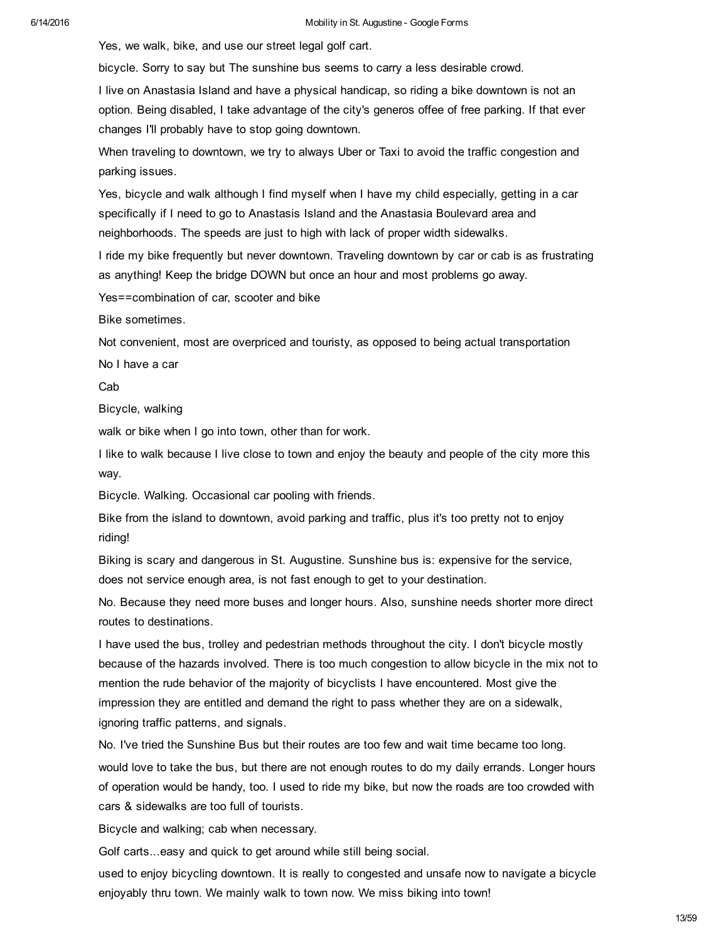Yes, we walk, bike, and use our street legal golf cart.

bicycle. Sorry to say but The sunshine bus seems to carry a less desirable crowd.

I live on Anastasia Island and have a physical handicap, so riding a bike downtown is not an option. Being disabled, I take advantage of the city's generos offee of free parking. If that ever changes I'll probably have to stop going downtown.

When traveling to downtown, we try to always Uber or Taxi to avoid the traffic congestion and parking issues.

Yes, bicycle and walk although I find myself when I have my child especially, getting in a car specifically if I need to go to Anastasis Island and the Anastasia Boulevard area and neighborhoods. The speeds are just to high with lack of proper width sidewalks.

I ride my bike frequently but never downtown. Traveling downtown by car or cab is as frustrating as anything! Keep the bridge DOWN but once an hour and most problems go away.

Yes==combination of car, scooter and bike

Bike sometimes.

Not convenient, most are overpriced and touristy, as opposed to being actual transportation

No I have a car

Cab

Bicycle, walking

walk or bike when I go into town, other than for work.

I like to walk because I live close to town and enjoy the beauty and people of the city more this way.

Bicycle. Walking. Occasional car pooling with friends.

Bike from the island to downtown, avoid parking and traffic, plus it's too pretty not to enjoy riding!

Biking is scary and dangerous in St. Augustine. Sunshine bus is: expensive for the service, does not service enough area, is not fast enough to get to your destination.

No. Because they need more buses and longer hours. Also, sunshine needs shorter more direct routes to destinations.

I have used the bus, trolley and pedestrian methods throughout the city. I don't bicycle mostly because of the hazards involved. There is too much congestion to allow bicycle in the mix not to mention the rude behavior of the majority of bicyclists I have encountered. Most give the impression they are entitled and demand the right to pass whether they are on a sidewalk, ignoring traffic patterns, and signals.

No. I've tried the Sunshine Bus but their routes are too few and wait time became too long. would love to take the bus, but there are not enough routes to do my daily errands. Longer hours of operation would be handy, too. I used to ride my bike, but now the roads are too crowded with cars & sidewalks are too full of tourists.

Bicycle and walking; cab when necessary.

Golf carts...easy and quick to get around while still being social.

used to enjoy bicycling downtown. It is really to congested and unsafe now to navigate a bicycle enjoyably thru town. We mainly walk to town now. We miss biking into town!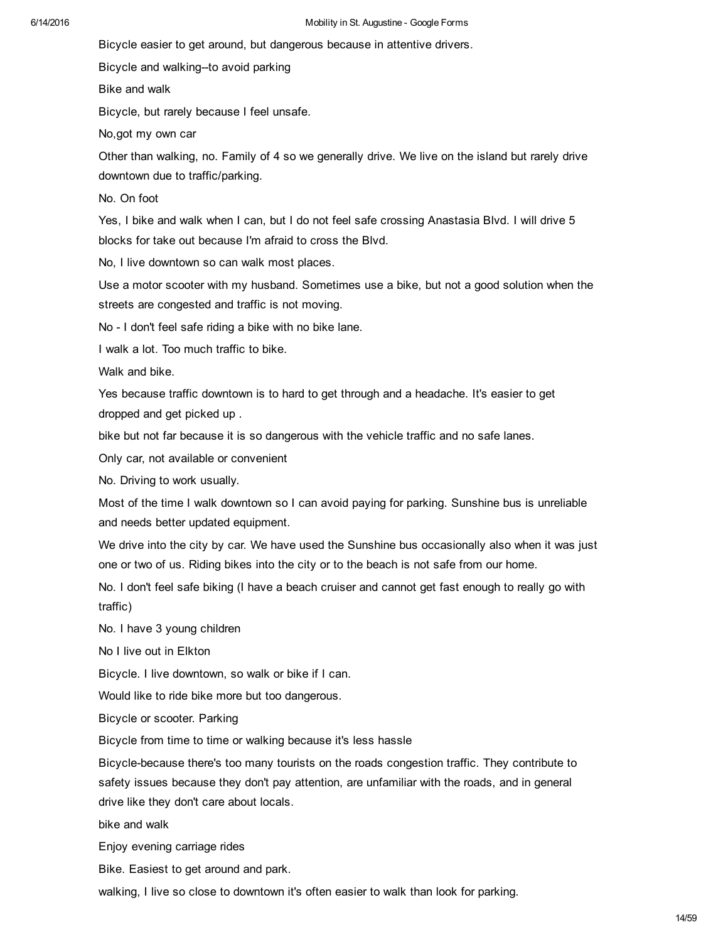Bicycle easier to get around, but dangerous because in attentive drivers.

Bicycle and walking--to avoid parking

Bike and walk

Bicycle, but rarely because I feel unsafe.

No,got my own car

Other than walking, no. Family of 4 so we generally drive. We live on the island but rarely drive downtown due to traffic/parking.

No. On foot

Yes, I bike and walk when I can, but I do not feel safe crossing Anastasia Blvd. I will drive 5 blocks for take out because I'm afraid to cross the Blvd.

No, I live downtown so can walk most places.

Use a motor scooter with my husband. Sometimes use a bike, but not a good solution when the streets are congested and traffic is not moving.

No - I don't feel safe riding a bike with no bike lane.

I walk a lot. Too much traffic to bike.

Walk and bike.

Yes because traffic downtown is to hard to get through and a headache. It's easier to get dropped and get picked up .

bike but not far because it is so dangerous with the vehicle traffic and no safe lanes.

Only car, not available or convenient

No. Driving to work usually.

Most of the time I walk downtown so I can avoid paying for parking. Sunshine bus is unreliable and needs better updated equipment.

We drive into the city by car. We have used the Sunshine bus occasionally also when it was just one or two of us. Riding bikes into the city or to the beach is not safe from our home.

No. I don't feel safe biking (I have a beach cruiser and cannot get fast enough to really go with traffic)

No. I have 3 young children

No I live out in Elkton

Bicycle. I live downtown, so walk or bike if I can.

Would like to ride bike more but too dangerous.

Bicycle or scooter. Parking

Bicycle from time to time or walking because it's less hassle

Bicycle-because there's too many tourists on the roads congestion traffic. They contribute to safety issues because they don't pay attention, are unfamiliar with the roads, and in general drive like they don't care about locals.

bike and walk

Enjoy evening carriage rides

Bike. Easiest to get around and park.

walking, I live so close to downtown it's often easier to walk than look for parking.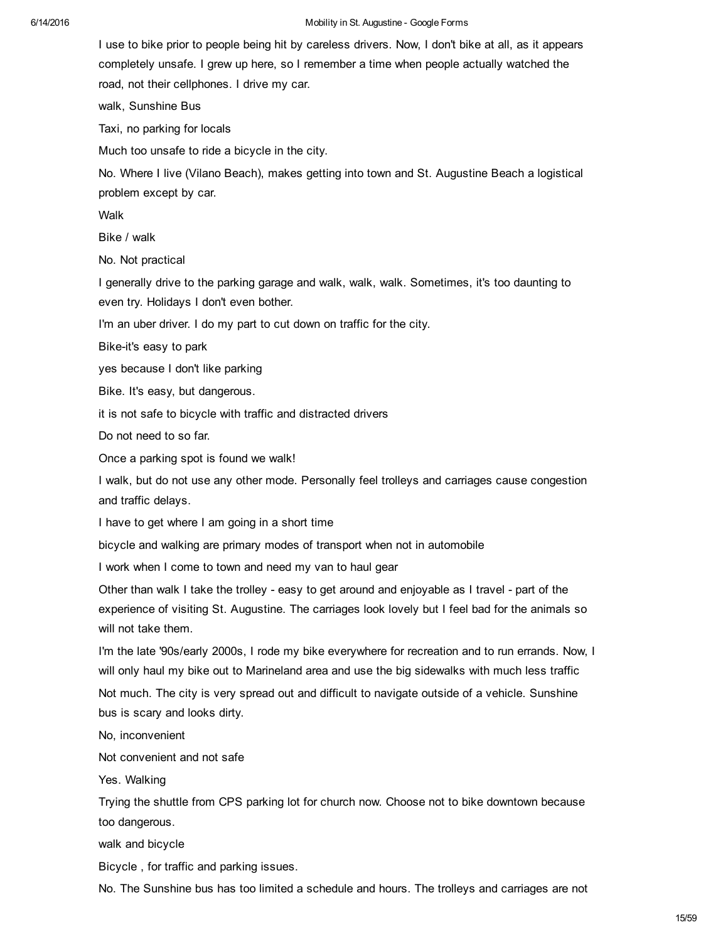I use to bike prior to people being hit by careless drivers. Now, I don't bike at all, as it appears completely unsafe. I grew up here, so I remember a time when people actually watched the road, not their cellphones. I drive my car.

walk, Sunshine Bus

Taxi, no parking for locals

Much too unsafe to ride a bicycle in the city.

No. Where I live (Vilano Beach), makes getting into town and St. Augustine Beach a logistical problem except by car.

Walk

Bike / walk

No. Not practical

I generally drive to the parking garage and walk, walk, walk. Sometimes, it's too daunting to even try. Holidays I don't even bother.

I'm an uber driver. I do my part to cut down on traffic for the city.

Bike-it's easy to park

yes because I don't like parking

Bike. It's easy, but dangerous.

it is not safe to bicycle with traffic and distracted drivers

Do not need to so far.

Once a parking spot is found we walk!

I walk, but do not use any other mode. Personally feel trolleys and carriages cause congestion and traffic delays.

I have to get where I am going in a short time

bicycle and walking are primary modes of transport when not in automobile

I work when I come to town and need my van to haul gear

Other than walk I take the trolley - easy to get around and enjoyable as I travel - part of the experience of visiting St. Augustine. The carriages look lovely but I feel bad for the animals so will not take them.

I'm the late '90s/early 2000s, I rode my bike everywhere for recreation and to run errands. Now, I will only haul my bike out to Marineland area and use the big sidewalks with much less traffic Not much. The city is very spread out and difficult to navigate outside of a vehicle. Sunshine bus is scary and looks dirty.

No, inconvenient

Not convenient and not safe

Yes. Walking

Trying the shuttle from CPS parking lot for church now. Choose not to bike downtown because too dangerous.

walk and bicycle

Bicycle , for traffic and parking issues.

No. The Sunshine bus has too limited a schedule and hours. The trolleys and carriages are not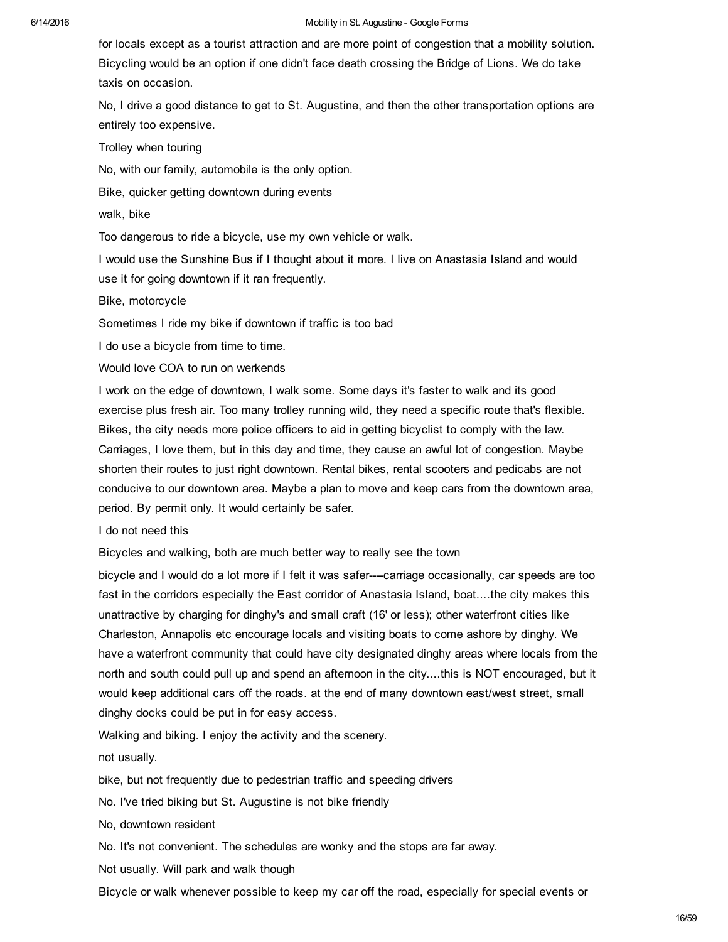for locals except as a tourist attraction and are more point of congestion that a mobility solution. Bicycling would be an option if one didn't face death crossing the Bridge of Lions. We do take taxis on occasion.

No, I drive a good distance to get to St. Augustine, and then the other transportation options are entirely too expensive.

Trolley when touring

No, with our family, automobile is the only option.

Bike, quicker getting downtown during events

walk, bike

Too dangerous to ride a bicycle, use my own vehicle or walk.

I would use the Sunshine Bus if I thought about it more. I live on Anastasia Island and would use it for going downtown if it ran frequently.

Bike, motorcycle

Sometimes I ride my bike if downtown if traffic is too bad

I do use a bicycle from time to time.

Would love COA to run on werkends

I work on the edge of downtown, I walk some. Some days it's faster to walk and its good exercise plus fresh air. Too many trolley running wild, they need a specific route that's flexible. Bikes, the city needs more police officers to aid in getting bicyclist to comply with the law. Carriages, I love them, but in this day and time, they cause an awful lot of congestion. Maybe shorten their routes to just right downtown. Rental bikes, rental scooters and pedicabs are not conducive to our downtown area. Maybe a plan to move and keep cars from the downtown area, period. By permit only. It would certainly be safer.

I do not need this

Bicycles and walking, both are much better way to really see the town

bicycle and I would do a lot more if I felt it was safer----carriage occasionally, car speeds are too fast in the corridors especially the East corridor of Anastasia Island, boat....the city makes this unattractive by charging for dinghy's and small craft (16' or less); other waterfront cities like Charleston, Annapolis etc encourage locals and visiting boats to come ashore by dinghy. We have a waterfront community that could have city designated dinghy areas where locals from the north and south could pull up and spend an afternoon in the city....this is NOT encouraged, but it would keep additional cars off the roads. at the end of many downtown east/west street, small dinghy docks could be put in for easy access.

Walking and biking. I enjoy the activity and the scenery.

not usually.

bike, but not frequently due to pedestrian traffic and speeding drivers

No. I've tried biking but St. Augustine is not bike friendly

No, downtown resident

No. It's not convenient. The schedules are wonky and the stops are far away.

Not usually. Will park and walk though

Bicycle or walk whenever possible to keep my car off the road, especially for special events or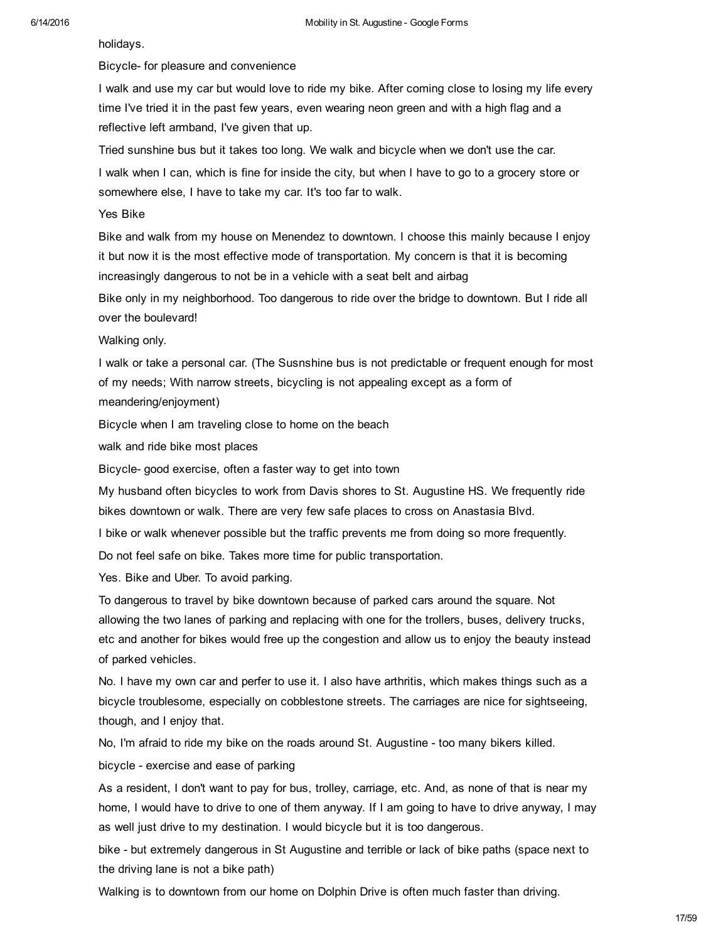holidays.

Bicycle- for pleasure and convenience

I walk and use my car but would love to ride my bike. After coming close to losing my life every time I've tried it in the past few years, even wearing neon green and with a high flag and a reflective left armband, I've given that up.

Tried sunshine bus but it takes too long. We walk and bicycle when we don't use the car.

I walk when I can, which is fine for inside the city, but when I have to go to a grocery store or somewhere else, I have to take my car. It's too far to walk.

Yes Bike

Bike and walk from my house on Menendez to downtown. I choose this mainly because I enjoy it but now it is the most effective mode of transportation. My concern is that it is becoming increasingly dangerous to not be in a vehicle with a seat belt and airbag

Bike only in my neighborhood. Too dangerous to ride over the bridge to downtown. But I ride all over the boulevard!

Walking only.

I walk or take a personal car. (The Susnshine bus is not predictable or frequent enough for most of my needs; With narrow streets, bicycling is not appealing except as a form of meandering/enjoyment)

Bicycle when I am traveling close to home on the beach

walk and ride bike most places

Bicycle- good exercise, often a faster way to get into town

My husband often bicycles to work from Davis shores to St. Augustine HS. We frequently ride bikes downtown or walk. There are very few safe places to cross on Anastasia Blvd.

I bike or walk whenever possible but the traffic prevents me from doing so more frequently.

Do not feel safe on bike. Takes more time for public transportation.

Yes. Bike and Uber. To avoid parking.

To dangerous to travel by bike downtown because of parked cars around the square. Not allowing the two lanes of parking and replacing with one for the trollers, buses, delivery trucks, etc and another for bikes would free up the congestion and allow us to enjoy the beauty instead of parked vehicles.

No. I have my own car and perfer to use it. I also have arthritis, which makes things such as a bicycle troublesome, especially on cobblestone streets. The carriages are nice for sightseeing, though, and I enjoy that.

No, I'm afraid to ride my bike on the roads around St. Augustine - too many bikers killed.

bicycle - exercise and ease of parking

As a resident, I don't want to pay for bus, trolley, carriage, etc. And, as none of that is near my home, I would have to drive to one of them anyway. If I am going to have to drive anyway, I may as well just drive to my destination. I would bicycle but it is too dangerous.

bike - but extremely dangerous in St Augustine and terrible or lack of bike paths (space next to the driving lane is not a bike path)

Walking is to downtown from our home on Dolphin Drive is often much faster than driving.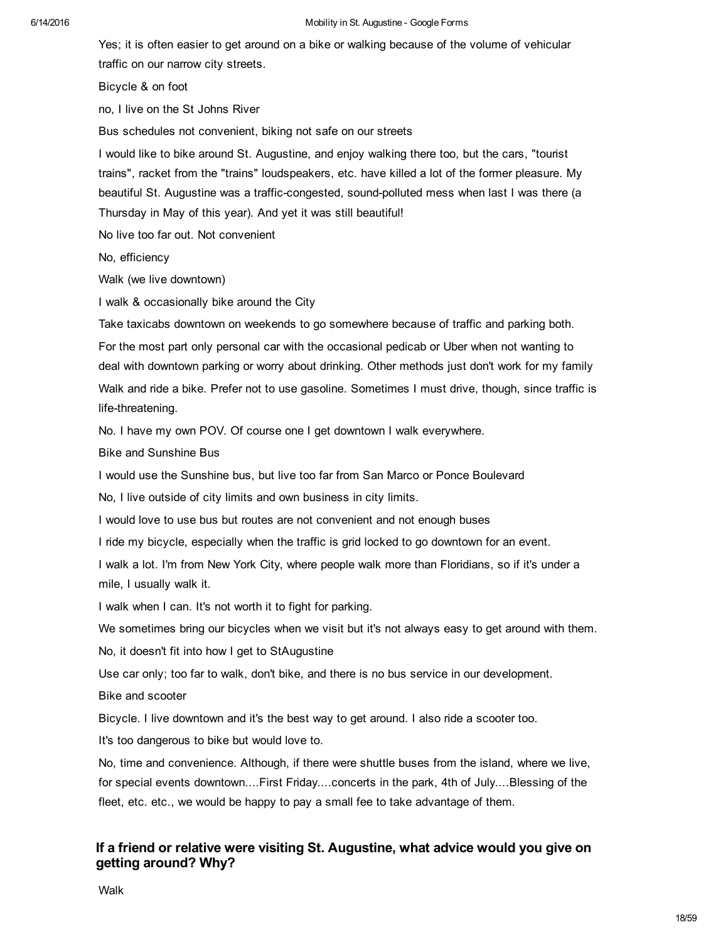Yes; it is often easier to get around on a bike or walking because of the volume of vehicular traffic on our narrow city streets.

Bicycle & on foot

no, I live on the St Johns River

Bus schedules not convenient, biking not safe on our streets

I would like to bike around St. Augustine, and enjoy walking there too, but the cars, "tourist trains", racket from the "trains" loudspeakers, etc. have killed a lot of the former pleasure. My beautiful St. Augustine was a traffic-congested, sound-polluted mess when last I was there (a Thursday in May of this year). And yet it was still beautiful!

No live too far out. Not convenient

No, efficiency

Walk (we live downtown)

I walk & occasionally bike around the City

Take taxicabs downtown on weekends to go somewhere because of traffic and parking both.

For the most part only personal car with the occasional pedicab or Uber when not wanting to deal with downtown parking or worry about drinking. Other methods just don't work for my family Walk and ride a bike. Prefer not to use gasoline. Sometimes I must drive, though, since traffic is life-threatening.

No. I have my own POV. Of course one I get downtown I walk everywhere.

Bike and Sunshine Bus

I would use the Sunshine bus, but live too far from San Marco or Ponce Boulevard

No, I live outside of city limits and own business in city limits.

I would love to use bus but routes are not convenient and not enough buses

I ride my bicycle, especially when the traffic is grid locked to go downtown for an event.

I walk a lot. I'm from New York City, where people walk more than Floridians, so if it's under a mile, I usually walk it.

I walk when I can. It's not worth it to fight for parking.

We sometimes bring our bicycles when we visit but it's not always easy to get around with them.

No, it doesn't fit into how I get to StAugustine

Use car only; too far to walk, don't bike, and there is no bus service in our development.

Bike and scooter

Bicycle. I live downtown and it's the best way to get around. I also ride a scooter too.

It's too dangerous to bike but would love to.

No, time and convenience. Although, if there were shuttle buses from the island, where we live, for special events downtown....First Friday....concerts in the park, 4th of July....Blessing of the fleet, etc. etc., we would be happy to pay a small fee to take advantage of them.

## If a friend or relative were visiting St. Augustine, what advice would you give on getting around? Why?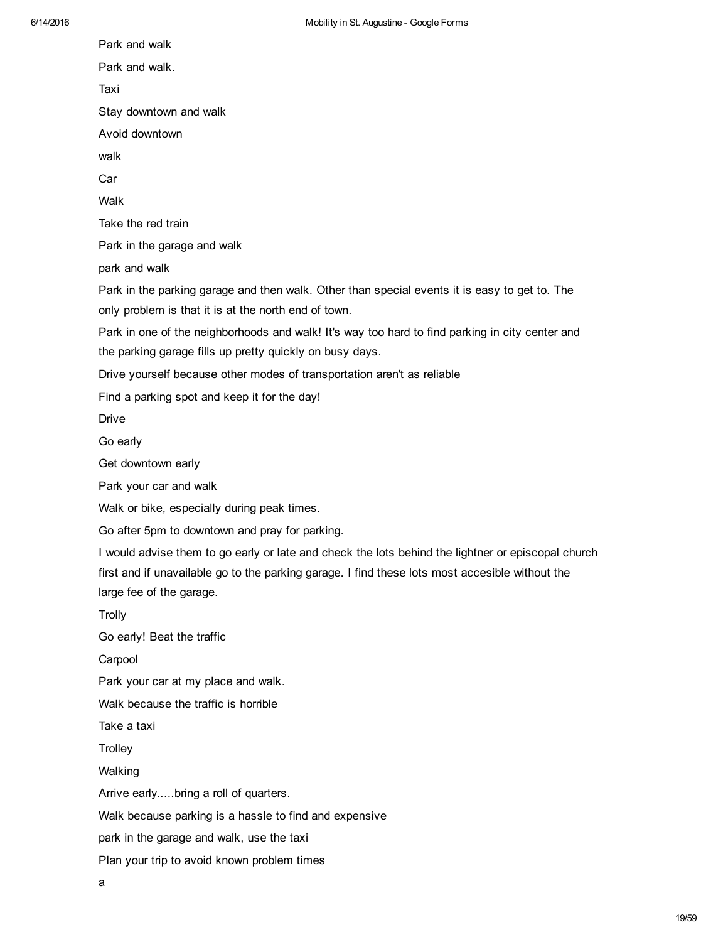Park and walk Park and walk. Taxi Stay downtown and walk Avoid downtown walk Car Walk Take the red train Park in the garage and walk park and walk Park in the parking garage and then walk. Other than special events it is easy to get to. The only problem is that it is at the north end of town. Park in one of the neighborhoods and walk! It's way too hard to find parking in city center and the parking garage fills up pretty quickly on busy days. Drive yourself because other modes of transportation aren't as reliable Find a parking spot and keep it for the day! Drive Go early Get downtown early Park your car and walk Walk or bike, especially during peak times. Go after 5pm to downtown and pray for parking. I would advise them to go early or late and check the lots behind the lightner or episcopal church first and if unavailable go to the parking garage. I find these lots most accesible without the large fee of the garage. **Trolly** Go early! Beat the traffic **Carpool** Park your car at my place and walk. Walk because the traffic is horrible Take a taxi **Trolley** Walking Arrive early.....bring a roll of quarters. Walk because parking is a hassle to find and expensive park in the garage and walk, use the taxi Plan your trip to avoid known problem times

a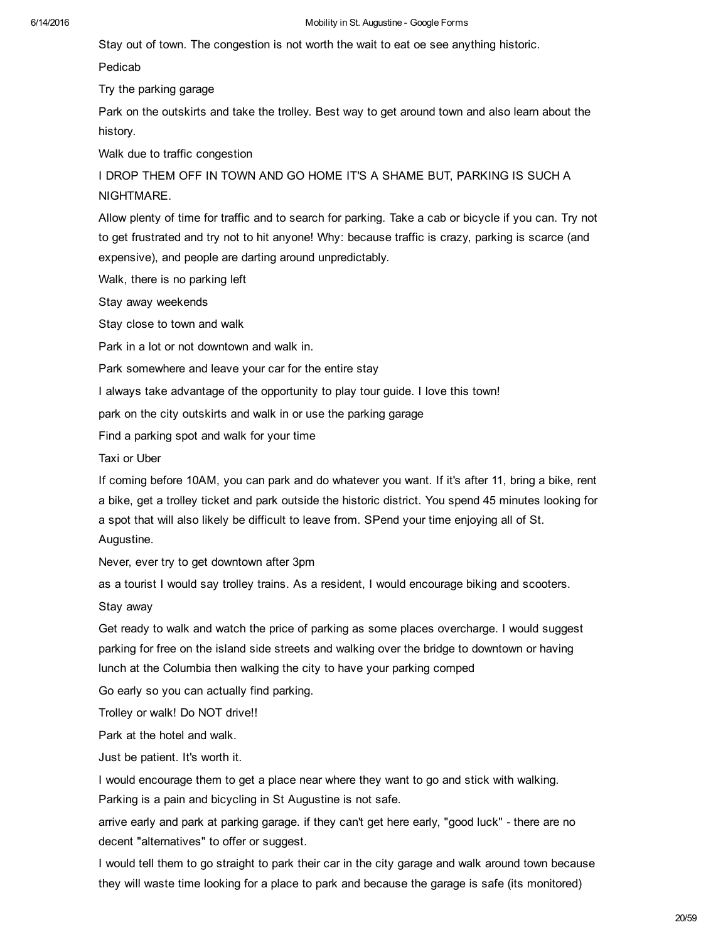Stay out of town. The congestion is not worth the wait to eat oe see anything historic.

Pedicab

Try the parking garage

Park on the outskirts and take the trolley. Best way to get around town and also learn about the history.

Walk due to traffic congestion

I DROP THEM OFF IN TOWN AND GO HOME IT'S A SHAME BUT, PARKING IS SUCH A NIGHTMARE.

Allow plenty of time for traffic and to search for parking. Take a cab or bicycle if you can. Try not to get frustrated and try not to hit anyone! Why: because traffic is crazy, parking is scarce (and expensive), and people are darting around unpredictably.

Walk, there is no parking left

Stay away weekends

Stay close to town and walk

Park in a lot or not downtown and walk in.

Park somewhere and leave your car for the entire stay

I always take advantage of the opportunity to play tour guide. I love this town!

park on the city outskirts and walk in or use the parking garage

Find a parking spot and walk for your time

Taxi or Uber

If coming before 10AM, you can park and do whatever you want. If it's after 11, bring a bike, rent a bike, get a trolley ticket and park outside the historic district. You spend 45 minutes looking for a spot that will also likely be difficult to leave from. SPend your time enjoying all of St. Augustine.

Never, ever try to get downtown after 3pm

as a tourist I would say trolley trains. As a resident, I would encourage biking and scooters.

Stay away

Get ready to walk and watch the price of parking as some places overcharge. I would suggest parking for free on the island side streets and walking over the bridge to downtown or having lunch at the Columbia then walking the city to have your parking comped

Go early so you can actually find parking.

Trolley or walk! Do NOT drive!!

Park at the hotel and walk.

Just be patient. It's worth it.

I would encourage them to get a place near where they want to go and stick with walking. Parking is a pain and bicycling in St Augustine is not safe.

arrive early and park at parking garage. if they can't get here early, "good luck" there are no decent "alternatives" to offer or suggest.

I would tell them to go straight to park their car in the city garage and walk around town because they will waste time looking for a place to park and because the garage is safe (its monitored)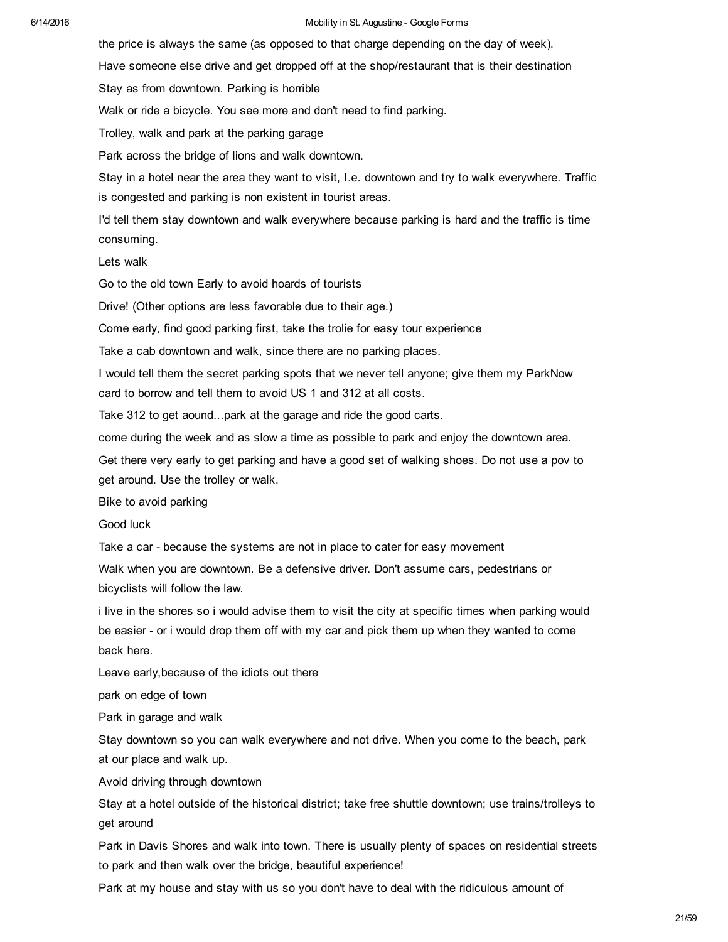the price is always the same (as opposed to that charge depending on the day of week).

Have someone else drive and get dropped off at the shop/restaurant that is their destination

Stay as from downtown. Parking is horrible

Walk or ride a bicycle. You see more and don't need to find parking.

Trolley, walk and park at the parking garage

Park across the bridge of lions and walk downtown.

Stay in a hotel near the area they want to visit, I.e. downtown and try to walk everywhere. Traffic is congested and parking is non existent in tourist areas.

I'd tell them stay downtown and walk everywhere because parking is hard and the traffic is time consuming.

Lets walk

Go to the old town Early to avoid hoards of tourists

Drive! (Other options are less favorable due to their age.)

Come early, find good parking first, take the trolie for easy tour experience

Take a cab downtown and walk, since there are no parking places.

I would tell them the secret parking spots that we never tell anyone; give them my ParkNow card to borrow and tell them to avoid US 1 and 312 at all costs.

Take 312 to get aound...park at the garage and ride the good carts.

come during the week and as slow a time as possible to park and enjoy the downtown area.

Get there very early to get parking and have a good set of walking shoes. Do not use a pov to get around. Use the trolley or walk.

Bike to avoid parking

Good luck

Take a car - because the systems are not in place to cater for easy movement

Walk when you are downtown. Be a defensive driver. Don't assume cars, pedestrians or bicyclists will follow the law.

i live in the shores so i would advise them to visit the city at specific times when parking would be easier - or i would drop them off with my car and pick them up when they wanted to come back here.

Leave early,because of the idiots out there

park on edge of town

Park in garage and walk

Stay downtown so you can walk everywhere and not drive. When you come to the beach, park at our place and walk up.

Avoid driving through downtown

Stay at a hotel outside of the historical district; take free shuttle downtown; use trains/trolleys to get around

Park in Davis Shores and walk into town. There is usually plenty of spaces on residential streets to park and then walk over the bridge, beautiful experience!

Park at my house and stay with us so you don't have to deal with the ridiculous amount of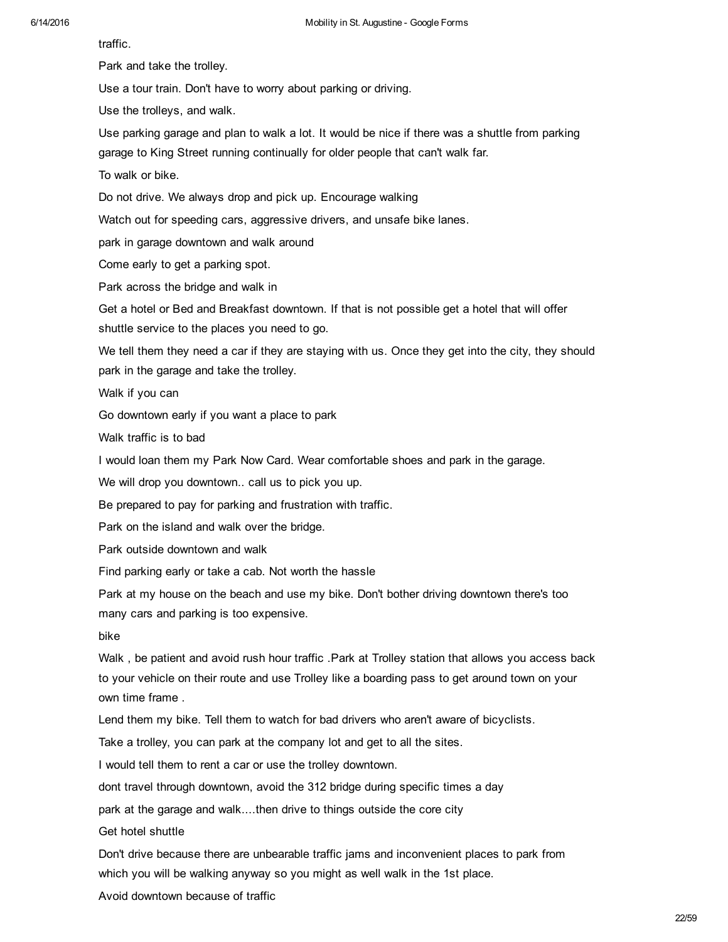traffic.

Park and take the trolley.

Use a tour train. Don't have to worry about parking or driving.

Use the trolleys, and walk.

Use parking garage and plan to walk a lot. It would be nice if there was a shuttle from parking garage to King Street running continually for older people that can't walk far.

To walk or bike.

Do not drive. We always drop and pick up. Encourage walking

Watch out for speeding cars, aggressive drivers, and unsafe bike lanes.

park in garage downtown and walk around

Come early to get a parking spot.

Park across the bridge and walk in

Get a hotel or Bed and Breakfast downtown. If that is not possible get a hotel that will offer shuttle service to the places you need to go.

We tell them they need a car if they are staying with us. Once they get into the city, they should park in the garage and take the trolley.

Walk if you can

Go downtown early if you want a place to park

Walk traffic is to bad

I would loan them my Park Now Card. Wear comfortable shoes and park in the garage.

We will drop you downtown.. call us to pick you up.

Be prepared to pay for parking and frustration with traffic.

Park on the island and walk over the bridge.

Park outside downtown and walk

Find parking early or take a cab. Not worth the hassle

Park at my house on the beach and use my bike. Don't bother driving downtown there's too many cars and parking is too expensive.

bike

Walk, be patient and avoid rush hour traffic. Park at Trolley station that allows you access back to your vehicle on their route and use Trolley like a boarding pass to get around town on your own time frame .

Lend them my bike. Tell them to watch for bad drivers who aren't aware of bicyclists.

Take a trolley, you can park at the company lot and get to all the sites.

I would tell them to rent a car or use the trolley downtown.

dont travel through downtown, avoid the 312 bridge during specific times a day

park at the garage and walk....then drive to things outside the core city

Get hotel shuttle

Don't drive because there are unbearable traffic jams and inconvenient places to park from which you will be walking anyway so you might as well walk in the 1st place.

Avoid downtown because of traffic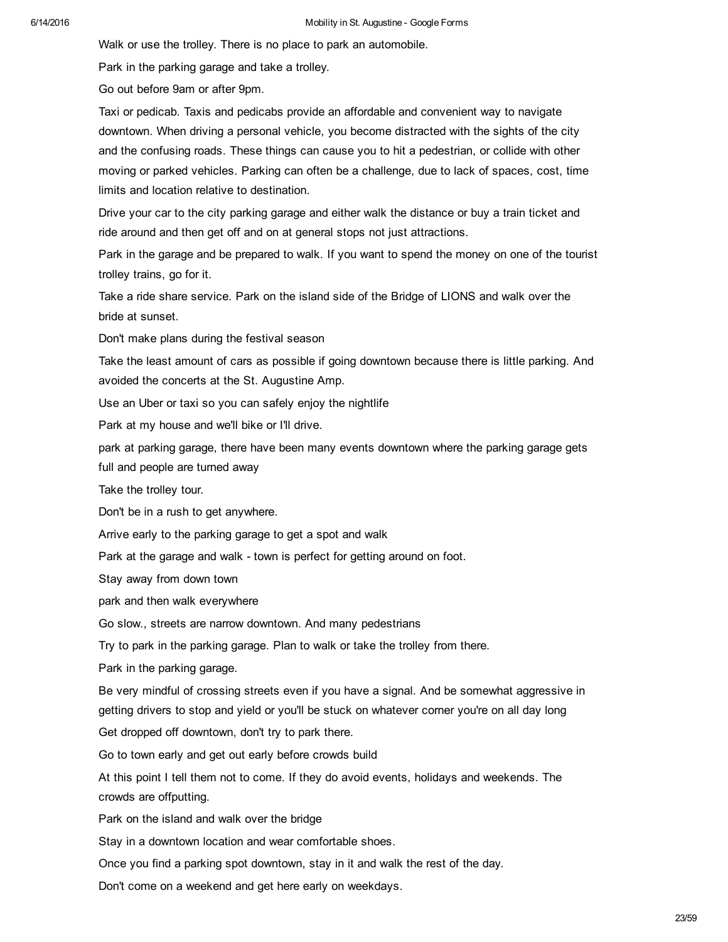Walk or use the trolley. There is no place to park an automobile.

Park in the parking garage and take a trolley.

Go out before 9am or after 9pm.

Taxi or pedicab. Taxis and pedicabs provide an affordable and convenient way to navigate downtown. When driving a personal vehicle, you become distracted with the sights of the city and the confusing roads. These things can cause you to hit a pedestrian, or collide with other moving or parked vehicles. Parking can often be a challenge, due to lack of spaces, cost, time limits and location relative to destination.

Drive your car to the city parking garage and either walk the distance or buy a train ticket and ride around and then get off and on at general stops not just attractions.

Park in the garage and be prepared to walk. If you want to spend the money on one of the tourist trolley trains, go for it.

Take a ride share service. Park on the island side of the Bridge of LIONS and walk over the bride at sunset.

Don't make plans during the festival season

Take the least amount of cars as possible if going downtown because there is little parking. And avoided the concerts at the St. Augustine Amp.

Use an Uber or taxi so you can safely enjoy the nightlife

Park at my house and we'll bike or I'll drive.

park at parking garage, there have been many events downtown where the parking garage gets full and people are turned away

Take the trolley tour.

Don't be in a rush to get anywhere.

Arrive early to the parking garage to get a spot and walk

Park at the garage and walk - town is perfect for getting around on foot.

Stay away from down town

park and then walk everywhere

Go slow., streets are narrow downtown. And many pedestrians

Try to park in the parking garage. Plan to walk or take the trolley from there.

Park in the parking garage.

Be very mindful of crossing streets even if you have a signal. And be somewhat aggressive in getting drivers to stop and yield or you'll be stuck on whatever corner you're on all day long

Get dropped off downtown, don't try to park there.

Go to town early and get out early before crowds build

At this point I tell them not to come. If they do avoid events, holidays and weekends. The crowds are offputting.

Park on the island and walk over the bridge

Stay in a downtown location and wear comfortable shoes.

Once you find a parking spot downtown, stay in it and walk the rest of the day.

Don't come on a weekend and get here early on weekdays.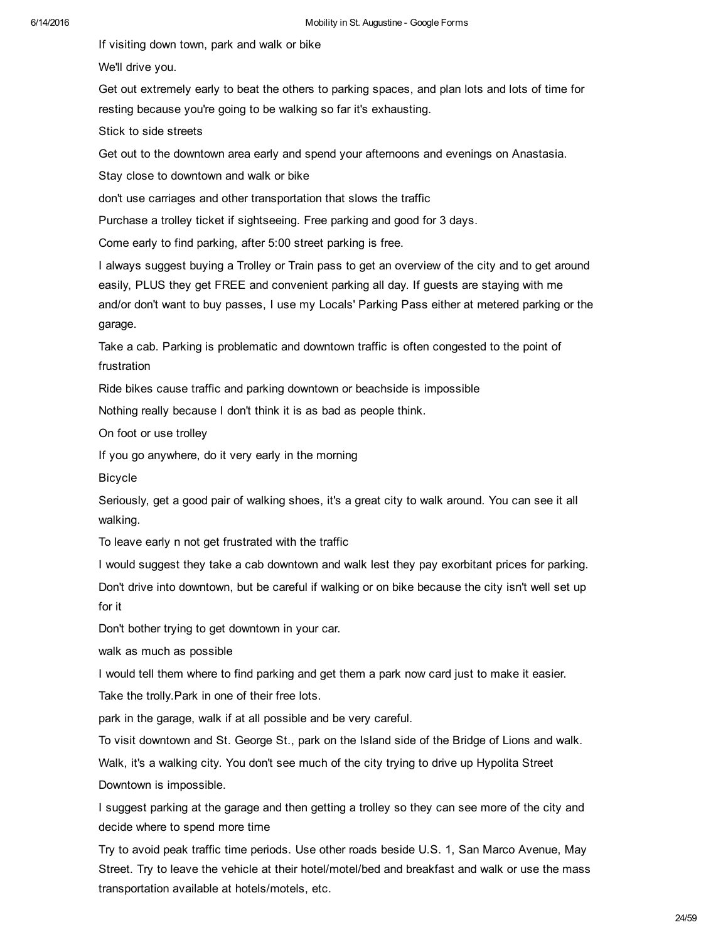If visiting down town, park and walk or bike

We'll drive you.

Get out extremely early to beat the others to parking spaces, and plan lots and lots of time for resting because you're going to be walking so far it's exhausting.

Stick to side streets

Get out to the downtown area early and spend your afternoons and evenings on Anastasia.

Stay close to downtown and walk or bike

don't use carriages and other transportation that slows the traffic

Purchase a trolley ticket if sightseeing. Free parking and good for 3 days.

Come early to find parking, after 5:00 street parking is free.

I always suggest buying a Trolley or Train pass to get an overview of the city and to get around easily, PLUS they get FREE and convenient parking all day. If guests are staying with me and/or don't want to buy passes, I use my Locals' Parking Pass either at metered parking or the garage.

Take a cab. Parking is problematic and downtown traffic is often congested to the point of frustration

Ride bikes cause traffic and parking downtown or beachside is impossible

Nothing really because I don't think it is as bad as people think.

On foot or use trolley

If you go anywhere, do it very early in the morning

Bicycle

Seriously, get a good pair of walking shoes, it's a great city to walk around. You can see it all walking.

To leave early n not get frustrated with the traffic

I would suggest they take a cab downtown and walk lest they pay exorbitant prices for parking. Don't drive into downtown, but be careful if walking or on bike because the city isn't well set up for it

Don't bother trying to get downtown in your car.

walk as much as possible

I would tell them where to find parking and get them a park now card just to make it easier.

Take the trolly.Park in one of their free lots.

park in the garage, walk if at all possible and be very careful.

To visit downtown and St. George St., park on the Island side of the Bridge of Lions and walk.

Walk, it's a walking city. You don't see much of the city trying to drive up Hypolita Street Downtown is impossible.

I suggest parking at the garage and then getting a trolley so they can see more of the city and decide where to spend more time

Try to avoid peak traffic time periods. Use other roads beside U.S. 1, San Marco Avenue, May Street. Try to leave the vehicle at their hotel/motel/bed and breakfast and walk or use the mass transportation available at hotels/motels, etc.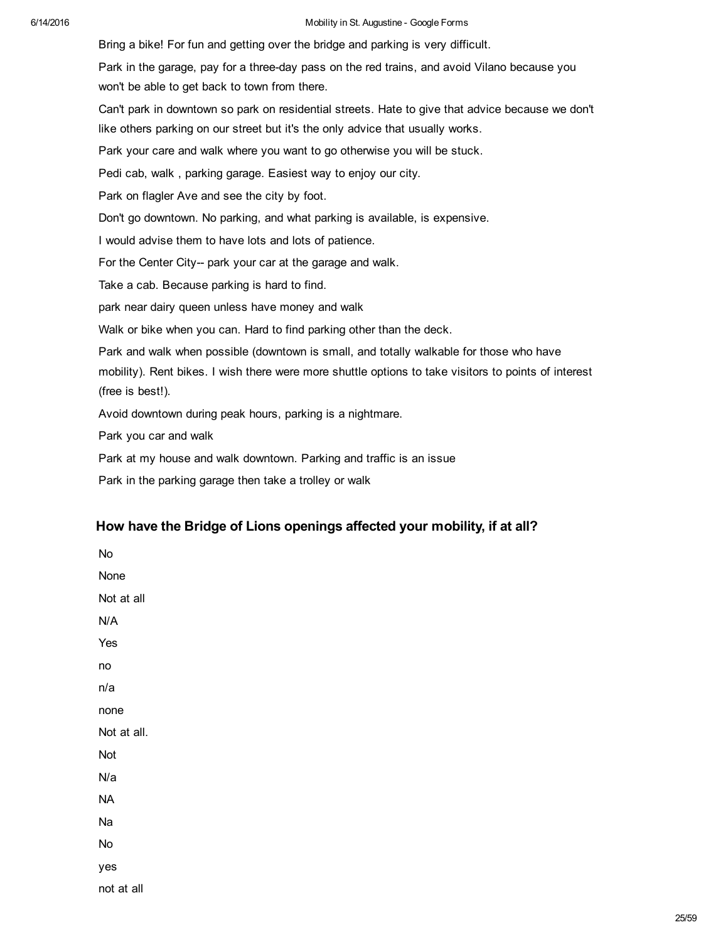Bring a bike! For fun and getting over the bridge and parking is very difficult. Park in the garage, pay for a three-day pass on the red trains, and avoid Vilano because you won't be able to get back to town from there. Can't park in downtown so park on residential streets. Hate to give that advice because we don't like others parking on our street but it's the only advice that usually works. Park your care and walk where you want to go otherwise you will be stuck. Pedi cab, walk , parking garage. Easiest way to enjoy our city. Park on flagler Ave and see the city by foot. Don't go downtown. No parking, and what parking is available, is expensive. I would advise them to have lots and lots of patience. For the Center City-- park your car at the garage and walk. Take a cab. Because parking is hard to find. park near dairy queen unless have money and walk Walk or bike when you can. Hard to find parking other than the deck. Park and walk when possible (downtown is small, and totally walkable for those who have mobility). Rent bikes. I wish there were more shuttle options to take visitors to points of interest (free is best!). Avoid downtown during peak hours, parking is a nightmare. Park you car and walk

Park at my house and walk downtown. Parking and traffic is an issue

Park in the parking garage then take a trolley or walk

## How have the Bridge of Lions openings affected your mobility, if at all?

No None Not at all N/A Yes no n/a none Not at all. Not N/a NA Na No yes not at all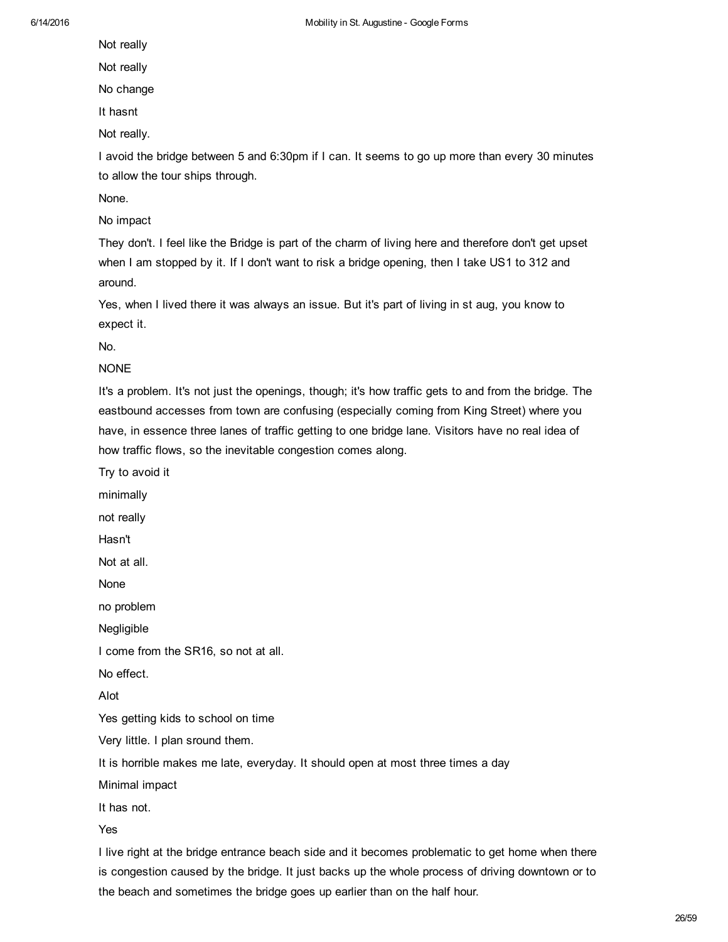Not really

Not really

No change

It hasnt

Not really.

I avoid the bridge between 5 and 6:30pm if I can. It seems to go up more than every 30 minutes to allow the tour ships through.

None.

No impact

They don't. I feel like the Bridge is part of the charm of living here and therefore don't get upset when I am stopped by it. If I don't want to risk a bridge opening, then I take US1 to 312 and around.

Yes, when I lived there it was always an issue. But it's part of living in st aug, you know to expect it.

No.

NONE

It's a problem. It's not just the openings, though; it's how traffic gets to and from the bridge. The eastbound accesses from town are confusing (especially coming from King Street) where you have, in essence three lanes of traffic getting to one bridge lane. Visitors have no real idea of how traffic flows, so the inevitable congestion comes along.

Try to avoid it minimally not really Hasn't Not at all. None no problem Negligible I come from the SR16, so not at all. No effect. Alot Yes getting kids to school on time Very little. I plan sround them. It is horrible makes me late, everyday. It should open at most three times a day Minimal impact It has not.

Yes

I live right at the bridge entrance beach side and it becomes problematic to get home when there is congestion caused by the bridge. It just backs up the whole process of driving downtown or to the beach and sometimes the bridge goes up earlier than on the half hour.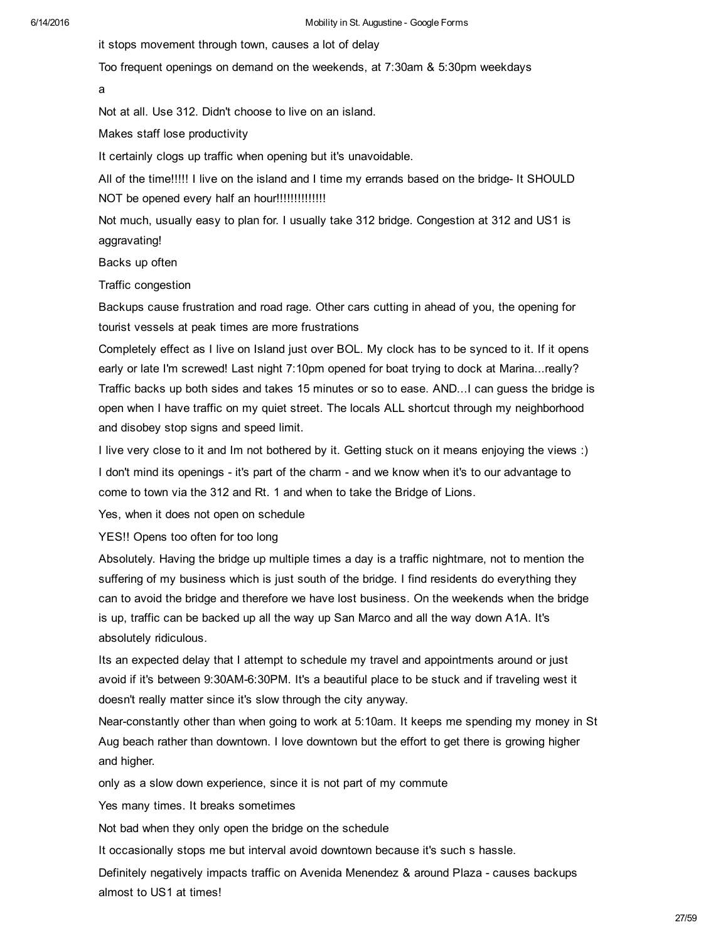it stops movement through town, causes a lot of delay

Too frequent openings on demand on the weekends, at 7:30am & 5:30pm weekdays

a

Not at all. Use 312. Didn't choose to live on an island.

Makes staff lose productivity

It certainly clogs up traffic when opening but it's unavoidable.

All of the time!!!!! I live on the island and I time my errands based on the bridge- It SHOULD NOT be opened every half an hour!!!!!!!!!!!!!!

Not much, usually easy to plan for. I usually take 312 bridge. Congestion at 312 and US1 is aggravating!

Backs up often

Traffic congestion

Backups cause frustration and road rage. Other cars cutting in ahead of you, the opening for tourist vessels at peak times are more frustrations

Completely effect as I live on Island just over BOL. My clock has to be synced to it. If it opens early or late I'm screwed! Last night 7:10pm opened for boat trying to dock at Marina...really? Traffic backs up both sides and takes 15 minutes or so to ease. AND...I can guess the bridge is open when I have traffic on my quiet street. The locals ALL shortcut through my neighborhood and disobey stop signs and speed limit.

I live very close to it and Im not bothered by it. Getting stuck on it means enjoying the views :) I don't mind its openings - it's part of the charm - and we know when it's to our advantage to come to town via the 312 and Rt. 1 and when to take the Bridge of Lions.

Yes, when it does not open on schedule

YES!! Opens too often for too long

Absolutely. Having the bridge up multiple times a day is a traffic nightmare, not to mention the suffering of my business which is just south of the bridge. I find residents do everything they can to avoid the bridge and therefore we have lost business. On the weekends when the bridge is up, traffic can be backed up all the way up San Marco and all the way down A1A. It's absolutely ridiculous.

Its an expected delay that I attempt to schedule my travel and appointments around or just avoid if it's between 9:30AM-6:30PM. It's a beautiful place to be stuck and if traveling west it doesn't really matter since it's slow through the city anyway.

Near-constantly other than when going to work at 5:10am. It keeps me spending my money in St Aug beach rather than downtown. I love downtown but the effort to get there is growing higher and higher.

only as a slow down experience, since it is not part of my commute

Yes many times. It breaks sometimes

Not bad when they only open the bridge on the schedule

It occasionally stops me but interval avoid downtown because it's such s hassle.

Definitely negatively impacts traffic on Avenida Menendez & around Plaza causes backups almost to US1 at times!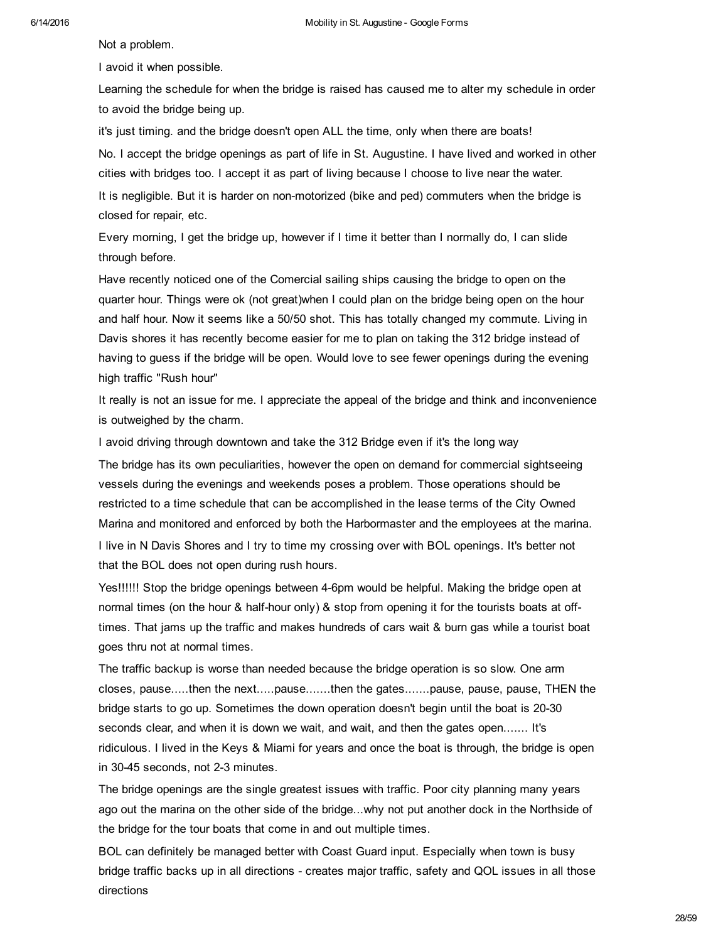Not a problem.

I avoid it when possible.

Learning the schedule for when the bridge is raised has caused me to alter my schedule in order to avoid the bridge being up.

it's just timing. and the bridge doesn't open ALL the time, only when there are boats! No. I accept the bridge openings as part of life in St. Augustine. I have lived and worked in other cities with bridges too. I accept it as part of living because I choose to live near the water.

It is negligible. But it is harder on non-motorized (bike and ped) commuters when the bridge is closed for repair, etc.

Every morning, I get the bridge up, however if I time it better than I normally do, I can slide through before.

Have recently noticed one of the Comercial sailing ships causing the bridge to open on the quarter hour. Things were ok (not great)when I could plan on the bridge being open on the hour and half hour. Now it seems like a 50/50 shot. This has totally changed my commute. Living in Davis shores it has recently become easier for me to plan on taking the 312 bridge instead of having to guess if the bridge will be open. Would love to see fewer openings during the evening high traffic "Rush hour"

It really is not an issue for me. I appreciate the appeal of the bridge and think and inconvenience is outweighed by the charm.

I avoid driving through downtown and take the 312 Bridge even if it's the long way

The bridge has its own peculiarities, however the open on demand for commercial sightseeing vessels during the evenings and weekends poses a problem. Those operations should be restricted to a time schedule that can be accomplished in the lease terms of the City Owned Marina and monitored and enforced by both the Harbormaster and the employees at the marina. I live in N Davis Shores and I try to time my crossing over with BOL openings. It's better not that the BOL does not open during rush hours.

Yes!!!!!! Stop the bridge openings between 46pm would be helpful. Making the bridge open at normal times (on the hour & half-hour only) & stop from opening it for the tourists boats at offtimes. That jams up the traffic and makes hundreds of cars wait & burn gas while a tourist boat goes thru not at normal times.

The traffic backup is worse than needed because the bridge operation is so slow. One arm closes, pause.....then the next.....pause.......then the gates.......pause, pause, pause, THEN the bridge starts to go up. Sometimes the down operation doesn't begin until the boat is 20-30 seconds clear, and when it is down we wait, and wait, and then the gates open....... It's ridiculous. I lived in the Keys & Miami for years and once the boat is through, the bridge is open in 3045 seconds, not 23 minutes.

The bridge openings are the single greatest issues with traffic. Poor city planning many years ago out the marina on the other side of the bridge...why not put another dock in the Northside of the bridge for the tour boats that come in and out multiple times.

BOL can definitely be managed better with Coast Guard input. Especially when town is busy bridge traffic backs up in all directions - creates major traffic, safety and QOL issues in all those directions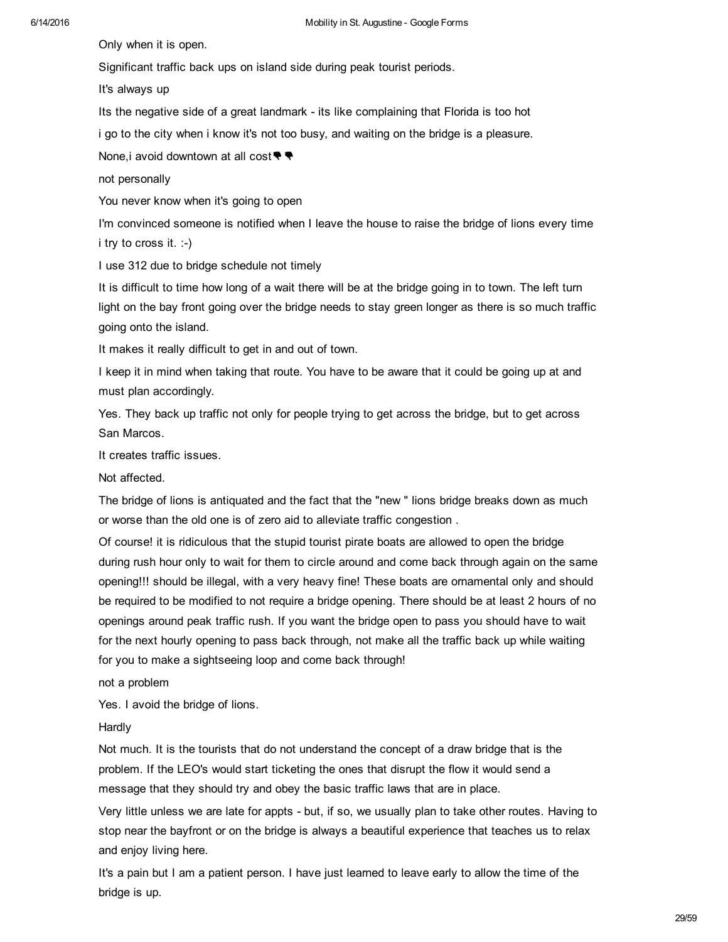Only when it is open.

Significant traffic back ups on island side during peak tourist periods.

It's always up

Its the negative side of a great landmark - its like complaining that Florida is too hot

i go to the city when i know it's not too busy, and waiting on the bridge is a pleasure.

None,i avoid downtown at all cost<sup>●●</sup>

not personally

You never know when it's going to open

I'm convinced someone is notified when I leave the house to raise the bridge of lions every time i try to cross it.  $:-)$ 

I use 312 due to bridge schedule not timely

It is difficult to time how long of a wait there will be at the bridge going in to town. The left turn light on the bay front going over the bridge needs to stay green longer as there is so much traffic going onto the island.

It makes it really difficult to get in and out of town.

I keep it in mind when taking that route. You have to be aware that it could be going up at and must plan accordingly.

Yes. They back up traffic not only for people trying to get across the bridge, but to get across San Marcos.

It creates traffic issues.

Not affected.

The bridge of lions is antiquated and the fact that the "new " lions bridge breaks down as much or worse than the old one is of zero aid to alleviate traffic congestion .

Of course! it is ridiculous that the stupid tourist pirate boats are allowed to open the bridge during rush hour only to wait for them to circle around and come back through again on the same opening!!! should be illegal, with a very heavy fine! These boats are ornamental only and should be required to be modified to not require a bridge opening. There should be at least 2 hours of no openings around peak traffic rush. If you want the bridge open to pass you should have to wait for the next hourly opening to pass back through, not make all the traffic back up while waiting for you to make a sightseeing loop and come back through!

not a problem

Yes. I avoid the bridge of lions.

Hardly

Not much. It is the tourists that do not understand the concept of a draw bridge that is the problem. If the LEO's would start ticketing the ones that disrupt the flow it would send a message that they should try and obey the basic traffic laws that are in place.

Very little unless we are late for appts - but, if so, we usually plan to take other routes. Having to stop near the bayfront or on the bridge is always a beautiful experience that teaches us to relax and enjoy living here.

It's a pain but I am a patient person. I have just learned to leave early to allow the time of the bridge is up.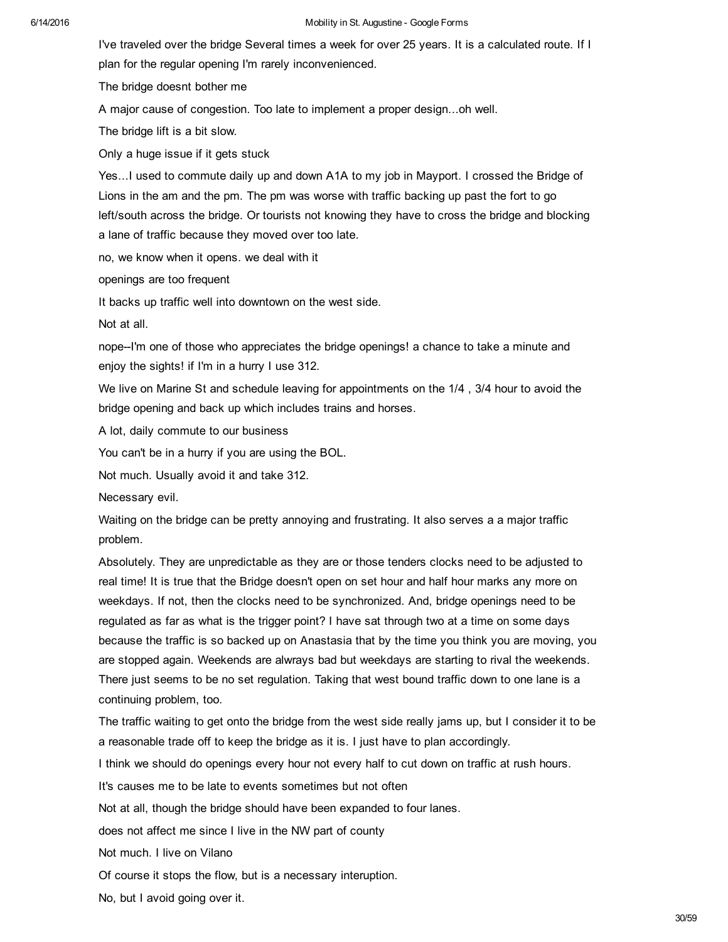I've traveled over the bridge Several times a week for over 25 years. It is a calculated route. If I plan for the regular opening I'm rarely inconvenienced.

The bridge doesnt bother me

A major cause of congestion. Too late to implement a proper design...oh well.

The bridge lift is a bit slow.

Only a huge issue if it gets stuck

Yes...I used to commute daily up and down A1A to my job in Mayport. I crossed the Bridge of Lions in the am and the pm. The pm was worse with traffic backing up past the fort to go left/south across the bridge. Or tourists not knowing they have to cross the bridge and blocking a lane of traffic because they moved over too late.

no, we know when it opens. we deal with it

openings are too frequent

It backs up traffic well into downtown on the west side.

Not at all.

nope--I'm one of those who appreciates the bridge openings! a chance to take a minute and enjoy the sights! if I'm in a hurry I use 312.

We live on Marine St and schedule leaving for appointments on the  $1/4$ ,  $3/4$  hour to avoid the bridge opening and back up which includes trains and horses.

A lot, daily commute to our business

You can't be in a hurry if you are using the BOL.

Not much. Usually avoid it and take 312.

Necessary evil.

Waiting on the bridge can be pretty annoying and frustrating. It also serves a a major traffic problem.

Absolutely. They are unpredictable as they are or those tenders clocks need to be adjusted to real time! It is true that the Bridge doesn't open on set hour and half hour marks any more on weekdays. If not, then the clocks need to be synchronized. And, bridge openings need to be regulated as far as what is the trigger point? I have sat through two at a time on some days because the traffic is so backed up on Anastasia that by the time you think you are moving, you are stopped again. Weekends are alwrays bad but weekdays are starting to rival the weekends. There just seems to be no set regulation. Taking that west bound traffic down to one lane is a continuing problem, too.

The traffic waiting to get onto the bridge from the west side really jams up, but I consider it to be a reasonable trade off to keep the bridge as it is. I just have to plan accordingly.

I think we should do openings every hour not every half to cut down on traffic at rush hours.

It's causes me to be late to events sometimes but not often

Not at all, though the bridge should have been expanded to four lanes.

does not affect me since I live in the NW part of county

Not much. I live on Vilano

Of course it stops the flow, but is a necessary interuption.

No, but I avoid going over it.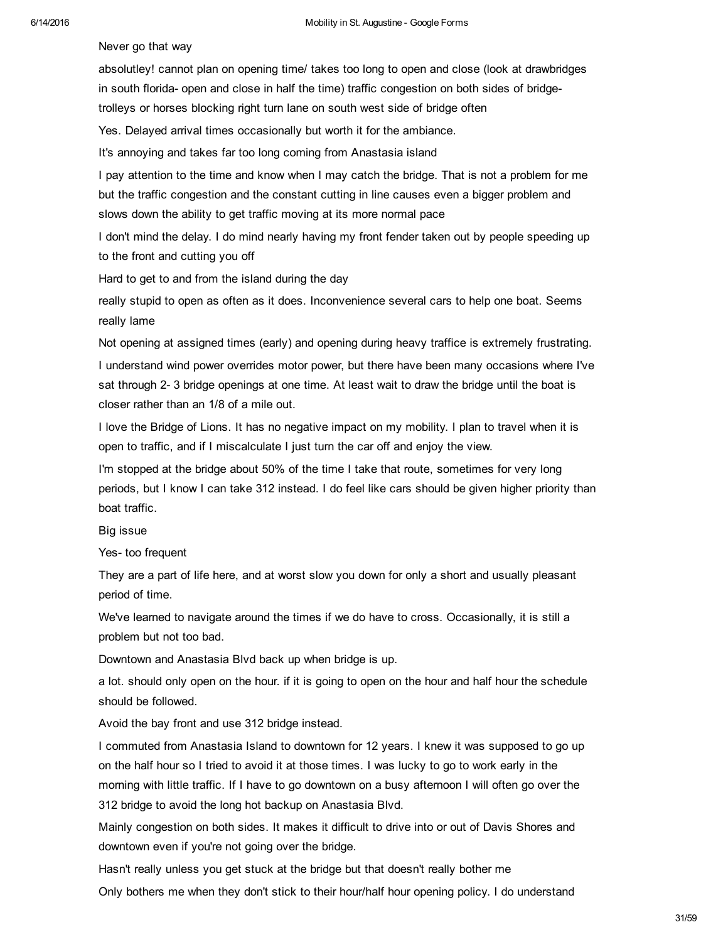Never go that way

absolutley! cannot plan on opening time/ takes too long to open and close (look at drawbridges in south florida- open and close in half the time) traffic congestion on both sides of bridgetrolleys or horses blocking right turn lane on south west side of bridge often

Yes. Delayed arrival times occasionally but worth it for the ambiance.

It's annoying and takes far too long coming from Anastasia island

I pay attention to the time and know when I may catch the bridge. That is not a problem for me but the traffic congestion and the constant cutting in line causes even a bigger problem and slows down the ability to get traffic moving at its more normal pace

I don't mind the delay. I do mind nearly having my front fender taken out by people speeding up to the front and cutting you off

Hard to get to and from the island during the day

really stupid to open as often as it does. Inconvenience several cars to help one boat. Seems really lame

Not opening at assigned times (early) and opening during heavy traffice is extremely frustrating. I understand wind power overrides motor power, but there have been many occasions where I've sat through 2-3 bridge openings at one time. At least wait to draw the bridge until the boat is closer rather than an 1/8 of a mile out.

I love the Bridge of Lions. It has no negative impact on my mobility. I plan to travel when it is open to traffic, and if I miscalculate I just turn the car off and enjoy the view.

I'm stopped at the bridge about 50% of the time I take that route, sometimes for very long periods, but I know I can take 312 instead. I do feel like cars should be given higher priority than boat traffic.

Big issue

Yes- too frequent

They are a part of life here, and at worst slow you down for only a short and usually pleasant period of time.

We've learned to navigate around the times if we do have to cross. Occasionally, it is still a problem but not too bad.

Downtown and Anastasia Blvd back up when bridge is up.

a lot. should only open on the hour. if it is going to open on the hour and half hour the schedule should be followed.

Avoid the bay front and use 312 bridge instead.

I commuted from Anastasia Island to downtown for 12 years. I knew it was supposed to go up on the half hour so I tried to avoid it at those times. I was lucky to go to work early in the morning with little traffic. If I have to go downtown on a busy afternoon I will often go over the 312 bridge to avoid the long hot backup on Anastasia Blvd.

Mainly congestion on both sides. It makes it difficult to drive into or out of Davis Shores and downtown even if you're not going over the bridge.

Hasn't really unless you get stuck at the bridge but that doesn't really bother me

Only bothers me when they don't stick to their hour/half hour opening policy. I do understand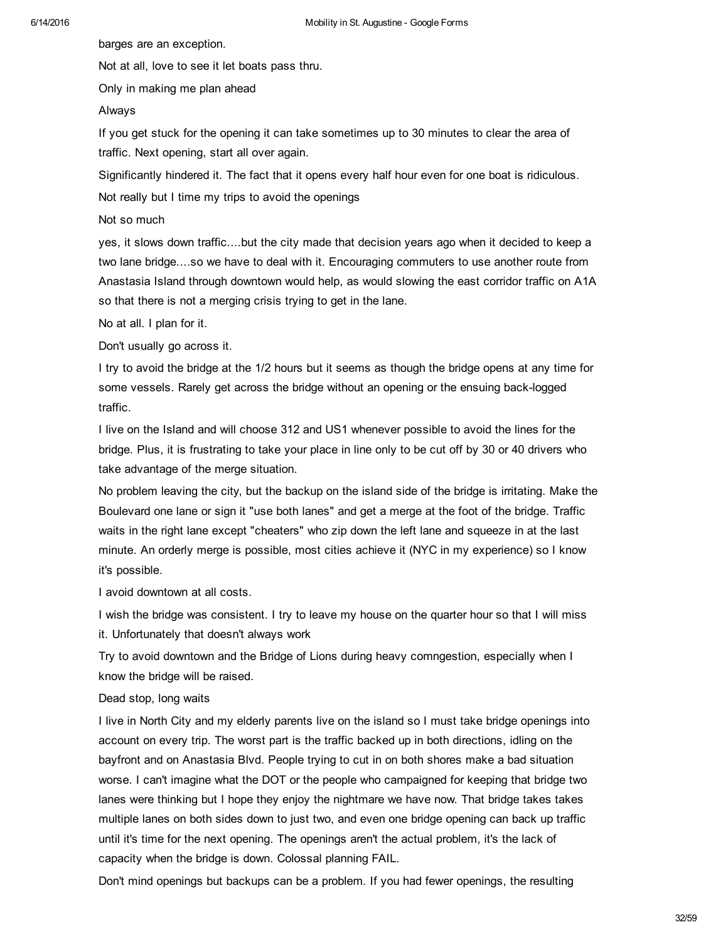barges are an exception.

Not at all, love to see it let boats pass thru.

Only in making me plan ahead

## Always

If you get stuck for the opening it can take sometimes up to 30 minutes to clear the area of traffic. Next opening, start all over again.

Significantly hindered it. The fact that it opens every half hour even for one boat is ridiculous.

Not really but I time my trips to avoid the openings

Not so much

yes, it slows down traffic....but the city made that decision years ago when it decided to keep a two lane bridge....so we have to deal with it. Encouraging commuters to use another route from Anastasia Island through downtown would help, as would slowing the east corridor traffic on A1A so that there is not a merging crisis trying to get in the lane.

No at all. I plan for it.

Don't usually go across it.

I try to avoid the bridge at the 1/2 hours but it seems as though the bridge opens at any time for some vessels. Rarely get across the bridge without an opening or the ensuing back-logged traffic.

I live on the Island and will choose 312 and US1 whenever possible to avoid the lines for the bridge. Plus, it is frustrating to take your place in line only to be cut off by 30 or 40 drivers who take advantage of the merge situation.

No problem leaving the city, but the backup on the island side of the bridge is irritating. Make the Boulevard one lane or sign it "use both lanes" and get a merge at the foot of the bridge. Traffic waits in the right lane except "cheaters" who zip down the left lane and squeeze in at the last minute. An orderly merge is possible, most cities achieve it (NYC in my experience) so I know it's possible.

I avoid downtown at all costs.

I wish the bridge was consistent. I try to leave my house on the quarter hour so that I will miss it. Unfortunately that doesn't always work

Try to avoid downtown and the Bridge of Lions during heavy comngestion, especially when I know the bridge will be raised.

## Dead stop, long waits

I live in North City and my elderly parents live on the island so I must take bridge openings into account on every trip. The worst part is the traffic backed up in both directions, idling on the bayfront and on Anastasia Blvd. People trying to cut in on both shores make a bad situation worse. I can't imagine what the DOT or the people who campaigned for keeping that bridge two lanes were thinking but I hope they enjoy the nightmare we have now. That bridge takes takes multiple lanes on both sides down to just two, and even one bridge opening can back up traffic until it's time for the next opening. The openings aren't the actual problem, it's the lack of capacity when the bridge is down. Colossal planning FAIL.

Don't mind openings but backups can be a problem. If you had fewer openings, the resulting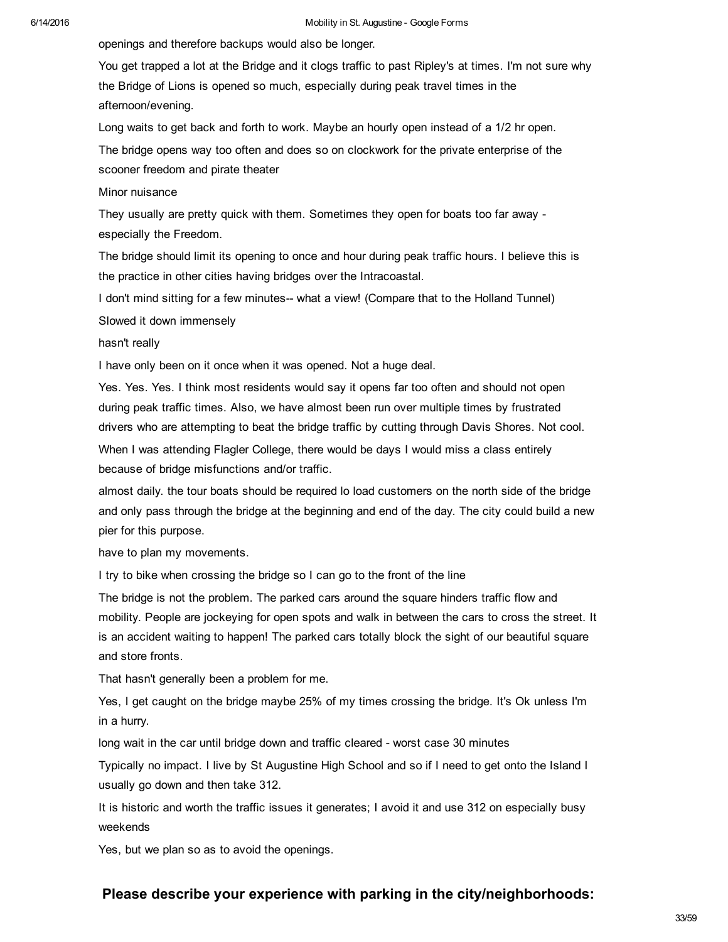openings and therefore backups would also be longer.

You get trapped a lot at the Bridge and it clogs traffic to past Ripley's at times. I'm not sure why the Bridge of Lions is opened so much, especially during peak travel times in the afternoon/evening.

Long waits to get back and forth to work. Maybe an hourly open instead of a 1/2 hr open.

The bridge opens way too often and does so on clockwork for the private enterprise of the scooner freedom and pirate theater

## Minor nuisance

They usually are pretty quick with them. Sometimes they open for boats too far away especially the Freedom.

The bridge should limit its opening to once and hour during peak traffic hours. I believe this is the practice in other cities having bridges over the Intracoastal.

I don't mind sitting for a few minutes-- what a view! (Compare that to the Holland Tunnel)

Slowed it down immensely

hasn't really

I have only been on it once when it was opened. Not a huge deal.

Yes. Yes. Yes. I think most residents would say it opens far too often and should not open during peak traffic times. Also, we have almost been run over multiple times by frustrated drivers who are attempting to beat the bridge traffic by cutting through Davis Shores. Not cool. When I was attending Flagler College, there would be days I would miss a class entirely because of bridge misfunctions and/or traffic.

almost daily. the tour boats should be required lo load customers on the north side of the bridge and only pass through the bridge at the beginning and end of the day. The city could build a new pier for this purpose.

have to plan my movements.

I try to bike when crossing the bridge so I can go to the front of the line

The bridge is not the problem. The parked cars around the square hinders traffic flow and mobility. People are jockeying for open spots and walk in between the cars to cross the street. It is an accident waiting to happen! The parked cars totally block the sight of our beautiful square and store fronts.

That hasn't generally been a problem for me.

Yes, I get caught on the bridge maybe 25% of my times crossing the bridge. It's Ok unless I'm in a hurry.

long wait in the car until bridge down and traffic cleared - worst case 30 minutes

Typically no impact. I live by St Augustine High School and so if I need to get onto the Island I usually go down and then take 312.

It is historic and worth the traffic issues it generates; I avoid it and use 312 on especially busy weekends

Yes, but we plan so as to avoid the openings.

## **Please describe your experience with parking in the city/neighborhoods:**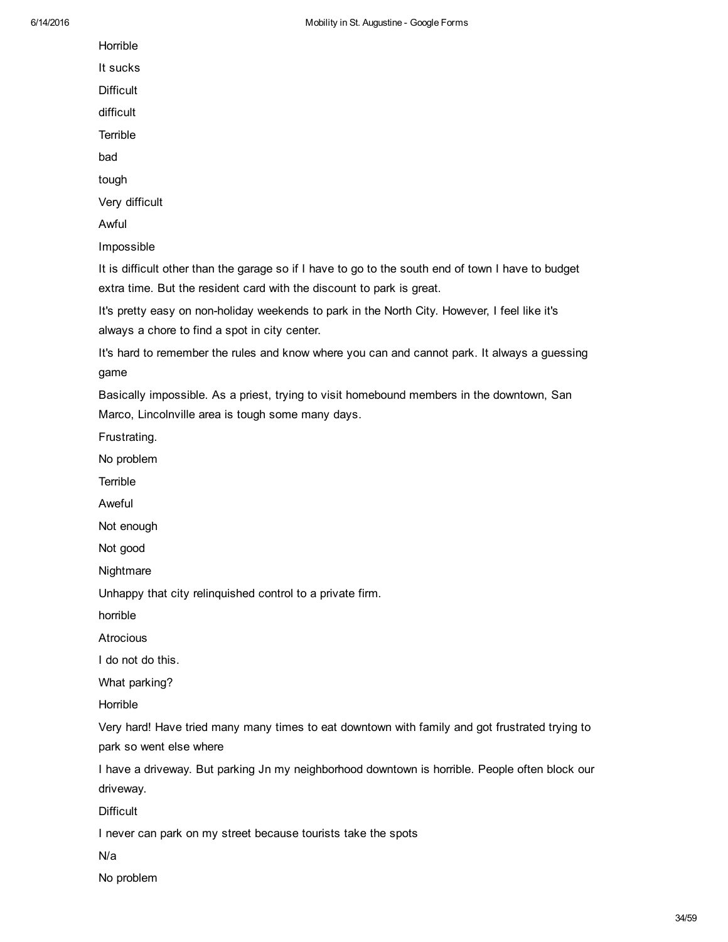Horrible

It sucks

**Difficult** 

difficult

**Terrible** 

bad

tough

Very difficult

Awful

Impossible

It is difficult other than the garage so if I have to go to the south end of town I have to budget extra time. But the resident card with the discount to park is great.

It's pretty easy on nonholiday weekends to park in the North City. However, I feel like it's always a chore to find a spot in city center.

It's hard to remember the rules and know where you can and cannot park. It always a guessing game

Basically impossible. As a priest, trying to visit homebound members in the downtown, San Marco, Lincolnville area is tough some many days.

Frustrating.

No problem

**Terrible** 

Aweful

Not enough

Not good

**Nightmare** 

Unhappy that city relinquished control to a private firm.

horrible

**Atrocious** 

I do not do this.

What parking?

Horrible

Very hard! Have tried many many times to eat downtown with family and got frustrated trying to park so went else where

I have a driveway. But parking Jn my neighborhood downtown is horrible. People often block our driveway.

**Difficult** 

I never can park on my street because tourists take the spots

N/a

No problem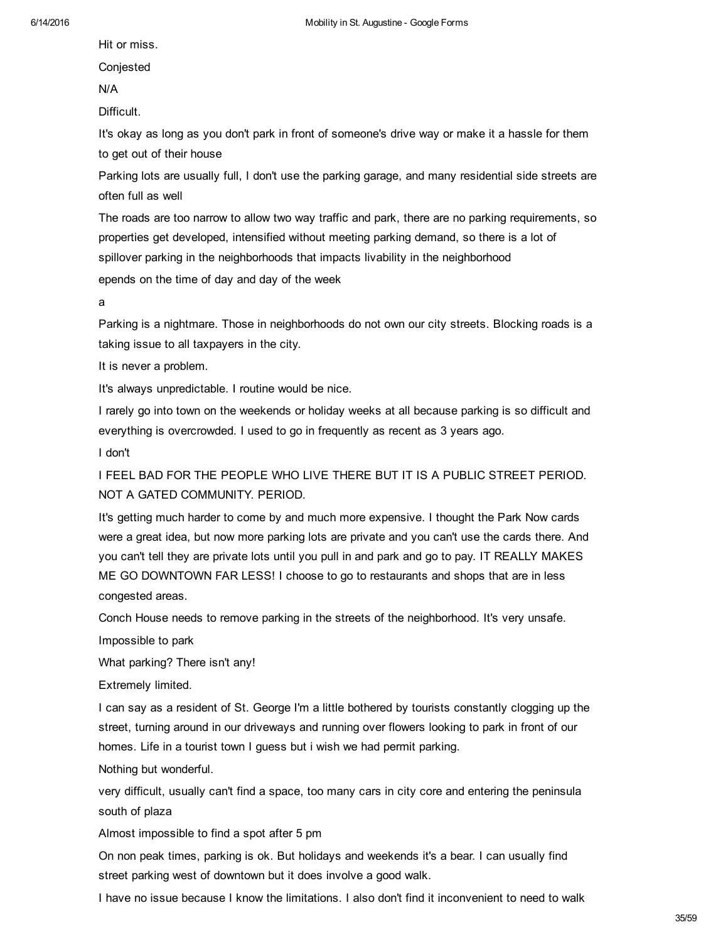Hit or miss.

Conjested

N/A

Difficult.

It's okay as long as you don't park in front of someone's drive way or make it a hassle for them to get out of their house

Parking lots are usually full, I don't use the parking garage, and many residential side streets are often full as well

The roads are too narrow to allow two way traffic and park, there are no parking requirements, so properties get developed, intensified without meeting parking demand, so there is a lot of spillover parking in the neighborhoods that impacts livability in the neighborhood

epends on the time of day and day of the week

a

Parking is a nightmare. Those in neighborhoods do not own our city streets. Blocking roads is a taking issue to all taxpayers in the city.

It is never a problem.

It's always unpredictable. I routine would be nice.

I rarely go into town on the weekends or holiday weeks at all because parking is so difficult and everything is overcrowded. I used to go in frequently as recent as 3 years ago.

I don't

I FEEL BAD FOR THE PEOPLE WHO LIVE THERE BUT IT IS A PUBLIC STREET PERIOD. NOT A GATED COMMUNITY. PERIOD.

It's getting much harder to come by and much more expensive. I thought the Park Now cards were a great idea, but now more parking lots are private and you can't use the cards there. And you can't tell they are private lots until you pull in and park and go to pay. IT REALLY MAKES ME GO DOWNTOWN FAR LESS! I choose to go to restaurants and shops that are in less congested areas.

Conch House needs to remove parking in the streets of the neighborhood. It's very unsafe.

Impossible to park

What parking? There isn't any!

Extremely limited.

I can say as a resident of St. George I'm a little bothered by tourists constantly clogging up the street, turning around in our driveways and running over flowers looking to park in front of our homes. Life in a tourist town I guess but i wish we had permit parking.

Nothing but wonderful.

very difficult, usually can't find a space, too many cars in city core and entering the peninsula south of plaza

Almost impossible to find a spot after 5 pm

On non peak times, parking is ok. But holidays and weekends it's a bear. I can usually find street parking west of downtown but it does involve a good walk.

I have no issue because I know the limitations. I also don't find it inconvenient to need to walk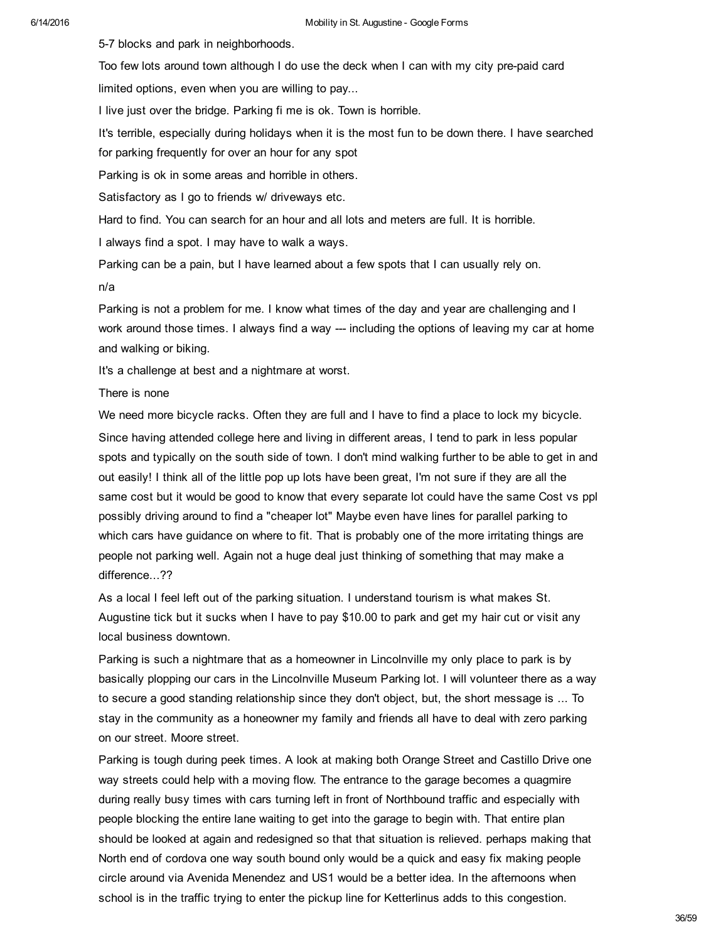57 blocks and park in neighborhoods.

Too few lots around town although I do use the deck when I can with my city pre-paid card limited options, even when you are willing to pay...

I live just over the bridge. Parking fi me is ok. Town is horrible.

It's terrible, especially during holidays when it is the most fun to be down there. I have searched for parking frequently for over an hour for any spot

Parking is ok in some areas and horrible in others.

Satisfactory as I go to friends w/ driveways etc.

Hard to find. You can search for an hour and all lots and meters are full. It is horrible.

I always find a spot. I may have to walk a ways.

Parking can be a pain, but I have learned about a few spots that I can usually rely on.

n/a

Parking is not a problem for me. I know what times of the day and year are challenging and I work around those times. I always find a way  $-$  including the options of leaving my car at home and walking or biking.

It's a challenge at best and a nightmare at worst.

There is none

We need more bicycle racks. Often they are full and I have to find a place to lock my bicycle. Since having attended college here and living in different areas, I tend to park in less popular spots and typically on the south side of town. I don't mind walking further to be able to get in and out easily! I think all of the little pop up lots have been great, I'm not sure if they are all the same cost but it would be good to know that every separate lot could have the same Cost vs ppl possibly driving around to find a "cheaper lot" Maybe even have lines for parallel parking to which cars have guidance on where to fit. That is probably one of the more irritating things are people not parking well. Again not a huge deal just thinking of something that may make a difference...??

As a local I feel left out of the parking situation. I understand tourism is what makes St. Augustine tick but it sucks when I have to pay \$10.00 to park and get my hair cut or visit any local business downtown.

Parking is such a nightmare that as a homeowner in Lincolnville my only place to park is by basically plopping our cars in the Lincolnville Museum Parking lot. I will volunteer there as a way to secure a good standing relationship since they don't object, but, the short message is ... To stay in the community as a honeowner my family and friends all have to deal with zero parking on our street. Moore street.

Parking is tough during peek times. A look at making both Orange Street and Castillo Drive one way streets could help with a moving flow. The entrance to the garage becomes a quagmire during really busy times with cars turning left in front of Northbound traffic and especially with people blocking the entire lane waiting to get into the garage to begin with. That entire plan should be looked at again and redesigned so that that situation is relieved. perhaps making that North end of cordova one way south bound only would be a quick and easy fix making people circle around via Avenida Menendez and US1 would be a better idea. In the afternoons when school is in the traffic trying to enter the pickup line for Ketterlinus adds to this congestion.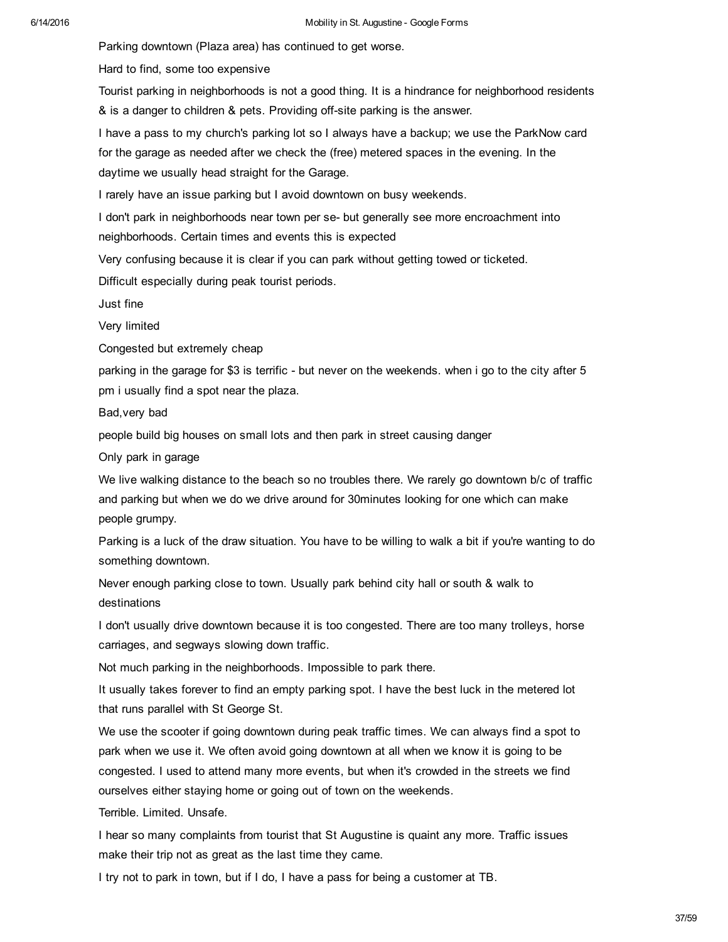Parking downtown (Plaza area) has continued to get worse.

Hard to find, some too expensive

Tourist parking in neighborhoods is not a good thing. It is a hindrance for neighborhood residents & is a danger to children & pets. Providing off-site parking is the answer.

I have a pass to my church's parking lot so I always have a backup; we use the ParkNow card for the garage as needed after we check the (free) metered spaces in the evening. In the daytime we usually head straight for the Garage.

I rarely have an issue parking but I avoid downtown on busy weekends.

I don't park in neighborhoods near town per se- but generally see more encroachment into neighborhoods. Certain times and events this is expected

Very confusing because it is clear if you can park without getting towed or ticketed.

Difficult especially during peak tourist periods.

Just fine

Very limited

Congested but extremely cheap

parking in the garage for \$3 is terrific - but never on the weekends. when i go to the city after 5 pm i usually find a spot near the plaza.

Bad,very bad

people build big houses on small lots and then park in street causing danger

Only park in garage

We live walking distance to the beach so no troubles there. We rarely go downtown b/c of traffic and parking but when we do we drive around for 30minutes looking for one which can make people grumpy.

Parking is a luck of the draw situation. You have to be willing to walk a bit if you're wanting to do something downtown.

Never enough parking close to town. Usually park behind city hall or south & walk to destinations

I don't usually drive downtown because it is too congested. There are too many trolleys, horse carriages, and segways slowing down traffic.

Not much parking in the neighborhoods. Impossible to park there.

It usually takes forever to find an empty parking spot. I have the best luck in the metered lot that runs parallel with St George St.

We use the scooter if going downtown during peak traffic times. We can always find a spot to park when we use it. We often avoid going downtown at all when we know it is going to be congested. I used to attend many more events, but when it's crowded in the streets we find ourselves either staying home or going out of town on the weekends.

Terrible. Limited. Unsafe.

I hear so many complaints from tourist that St Augustine is quaint any more. Traffic issues make their trip not as great as the last time they came.

I try not to park in town, but if I do, I have a pass for being a customer at TB.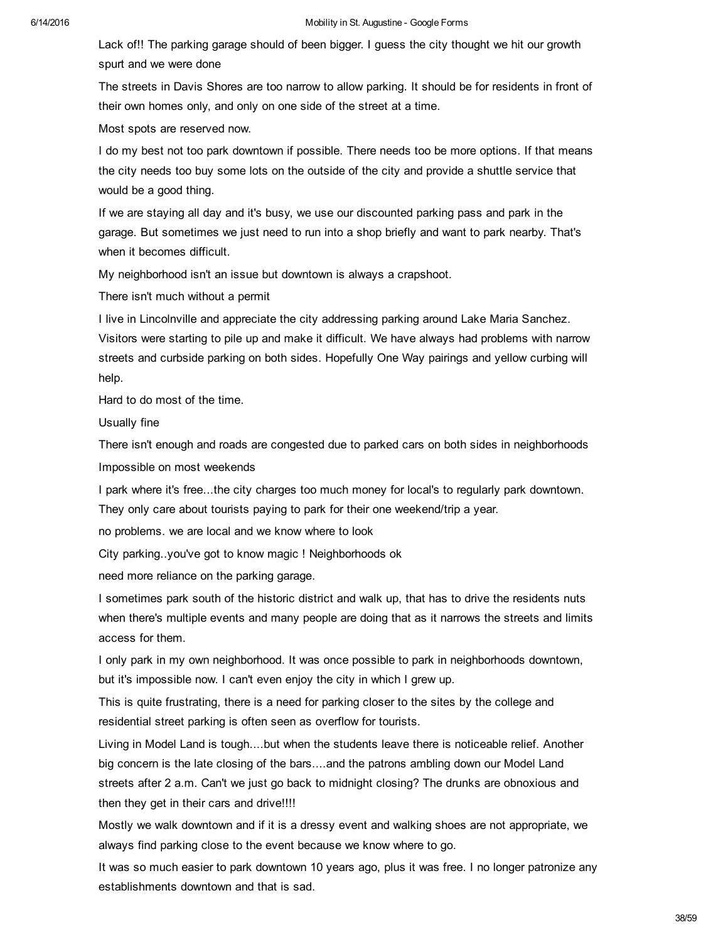Lack of!! The parking garage should of been bigger. I guess the city thought we hit our growth spurt and we were done

The streets in Davis Shores are too narrow to allow parking. It should be for residents in front of their own homes only, and only on one side of the street at a time.

Most spots are reserved now.

I do my best not too park downtown if possible. There needs too be more options. If that means the city needs too buy some lots on the outside of the city and provide a shuttle service that would be a good thing.

If we are staying all day and it's busy, we use our discounted parking pass and park in the garage. But sometimes we just need to run into a shop briefly and want to park nearby. That's when it becomes difficult.

My neighborhood isn't an issue but downtown is always a crapshoot.

There isn't much without a permit

I live in Lincolnville and appreciate the city addressing parking around Lake Maria Sanchez. Visitors were starting to pile up and make it difficult. We have always had problems with narrow streets and curbside parking on both sides. Hopefully One Way pairings and yellow curbing will help.

Hard to do most of the time.

Usually fine

There isn't enough and roads are congested due to parked cars on both sides in neighborhoods Impossible on most weekends

I park where it's free...the city charges too much money for local's to regularly park downtown. They only care about tourists paying to park for their one weekend/trip a year.

no problems. we are local and we know where to look

City parking..you've got to know magic ! Neighborhoods ok

need more reliance on the parking garage.

I sometimes park south of the historic district and walk up, that has to drive the residents nuts when there's multiple events and many people are doing that as it narrows the streets and limits access for them.

I only park in my own neighborhood. It was once possible to park in neighborhoods downtown, but it's impossible now. I can't even enjoy the city in which I grew up.

This is quite frustrating, there is a need for parking closer to the sites by the college and residential street parking is often seen as overflow for tourists.

Living in Model Land is tough....but when the students leave there is noticeable relief. Another big concern is the late closing of the bars....and the patrons ambling down our Model Land streets after 2 a.m. Can't we just go back to midnight closing? The drunks are obnoxious and then they get in their cars and drive!!!!

Mostly we walk downtown and if it is a dressy event and walking shoes are not appropriate, we always find parking close to the event because we know where to go.

It was so much easier to park downtown 10 years ago, plus it was free. I no longer patronize any establishments downtown and that is sad.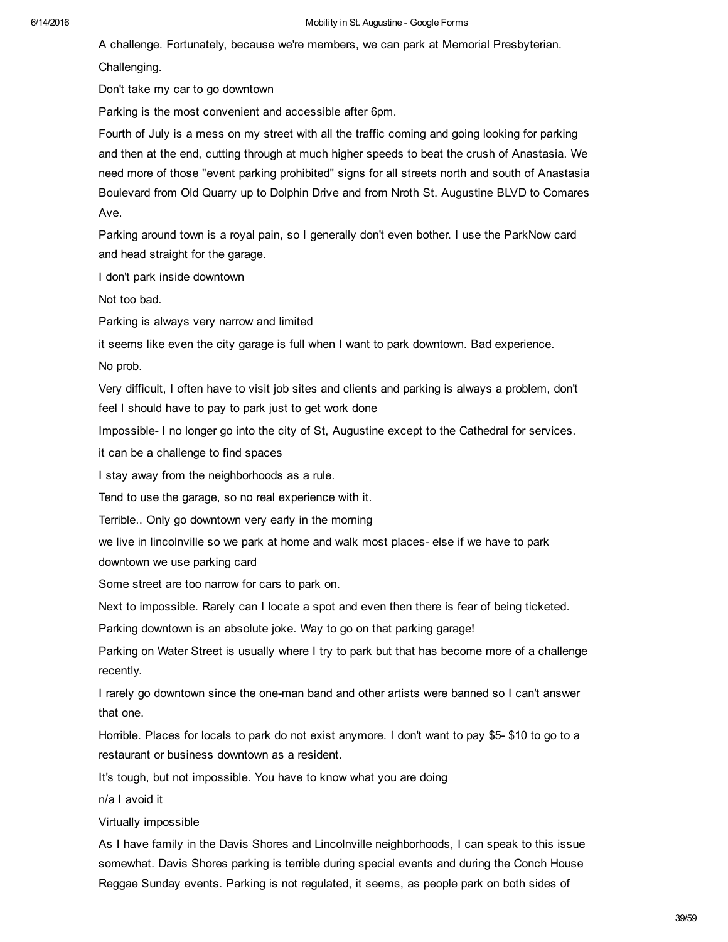A challenge. Fortunately, because we're members, we can park at Memorial Presbyterian.

Challenging.

Don't take my car to go downtown

Parking is the most convenient and accessible after 6pm.

Fourth of July is a mess on my street with all the traffic coming and going looking for parking and then at the end, cutting through at much higher speeds to beat the crush of Anastasia. We need more of those "event parking prohibited" signs for all streets north and south of Anastasia Boulevard from Old Quarry up to Dolphin Drive and from Nroth St. Augustine BLVD to Comares Ave.

Parking around town is a royal pain, so I generally don't even bother. I use the ParkNow card and head straight for the garage.

I don't park inside downtown

Not too bad.

Parking is always very narrow and limited

it seems like even the city garage is full when I want to park downtown. Bad experience.

No prob.

Very difficult, I often have to visit job sites and clients and parking is always a problem, don't feel I should have to pay to park just to get work done

Impossible I no longer go into the city of St, Augustine except to the Cathedral for services.

it can be a challenge to find spaces

I stay away from the neighborhoods as a rule.

Tend to use the garage, so no real experience with it.

Terrible.. Only go downtown very early in the morning

we live in lincolnville so we park at home and walk most places- else if we have to park downtown we use parking card

Some street are too narrow for cars to park on.

Next to impossible. Rarely can I locate a spot and even then there is fear of being ticketed.

Parking downtown is an absolute joke. Way to go on that parking garage!

Parking on Water Street is usually where I try to park but that has become more of a challenge recently.

I rarely go downtown since the oneman band and other artists were banned so I can't answer that one.

Horrible. Places for locals to park do not exist anymore. I don't want to pay \$5-\$10 to go to a restaurant or business downtown as a resident.

It's tough, but not impossible. You have to know what you are doing

n/a I avoid it

Virtually impossible

As I have family in the Davis Shores and Lincolnville neighborhoods, I can speak to this issue somewhat. Davis Shores parking is terrible during special events and during the Conch House Reggae Sunday events. Parking is not regulated, it seems, as people park on both sides of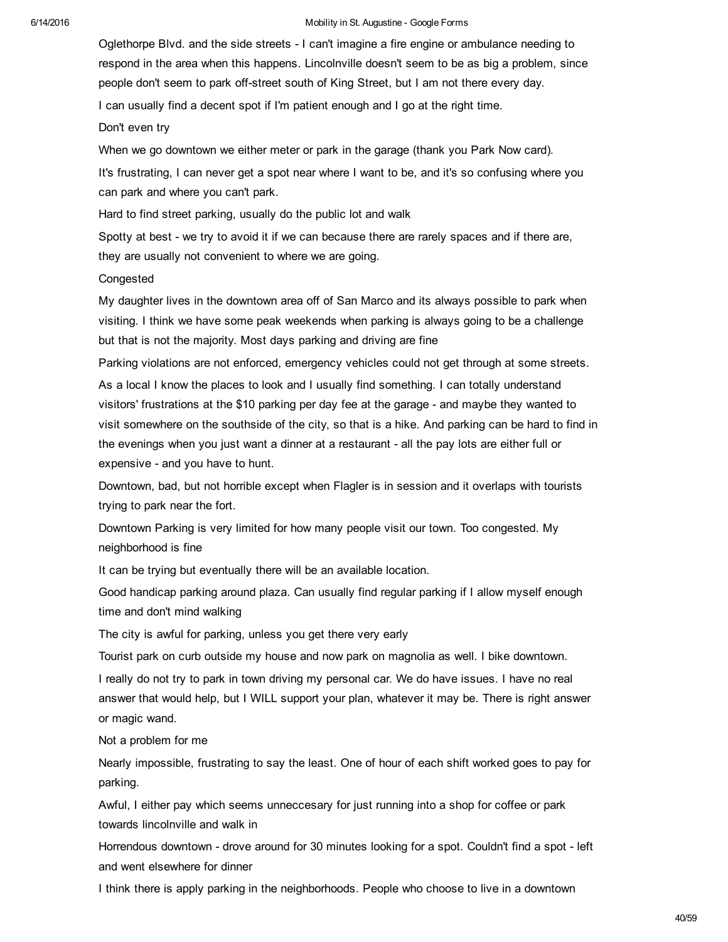Oglethorpe Blvd. and the side streets I can't imagine a fire engine or ambulance needing to respond in the area when this happens. Lincolnville doesn't seem to be as big a problem, since people don't seem to park off-street south of King Street, but I am not there every day.

I can usually find a decent spot if I'm patient enough and I go at the right time.

Don't even try

When we go downtown we either meter or park in the garage (thank you Park Now card).

It's frustrating, I can never get a spot near where I want to be, and it's so confusing where you can park and where you can't park.

Hard to find street parking, usually do the public lot and walk

Spotty at best - we try to avoid it if we can because there are rarely spaces and if there are, they are usually not convenient to where we are going.

## Congested

My daughter lives in the downtown area off of San Marco and its always possible to park when visiting. I think we have some peak weekends when parking is always going to be a challenge but that is not the majority. Most days parking and driving are fine

Parking violations are not enforced, emergency vehicles could not get through at some streets.

As a local I know the places to look and I usually find something. I can totally understand visitors' frustrations at the \$10 parking per day fee at the garage - and maybe they wanted to visit somewhere on the southside of the city, so that is a hike. And parking can be hard to find in the evenings when you just want a dinner at a restaurant - all the pay lots are either full or expensive - and you have to hunt.

Downtown, bad, but not horrible except when Flagler is in session and it overlaps with tourists trying to park near the fort.

Downtown Parking is very limited for how many people visit our town. Too congested. My neighborhood is fine

It can be trying but eventually there will be an available location.

Good handicap parking around plaza. Can usually find regular parking if I allow myself enough time and don't mind walking

The city is awful for parking, unless you get there very early

Tourist park on curb outside my house and now park on magnolia as well. I bike downtown.

I really do not try to park in town driving my personal car. We do have issues. I have no real answer that would help, but I WILL support your plan, whatever it may be. There is right answer or magic wand.

Not a problem for me

Nearly impossible, frustrating to say the least. One of hour of each shift worked goes to pay for parking.

Awful, I either pay which seems unneccesary for just running into a shop for coffee or park towards lincolnville and walk in

Horrendous downtown - drove around for 30 minutes looking for a spot. Couldn't find a spot - left and went elsewhere for dinner

I think there is apply parking in the neighborhoods. People who choose to live in a downtown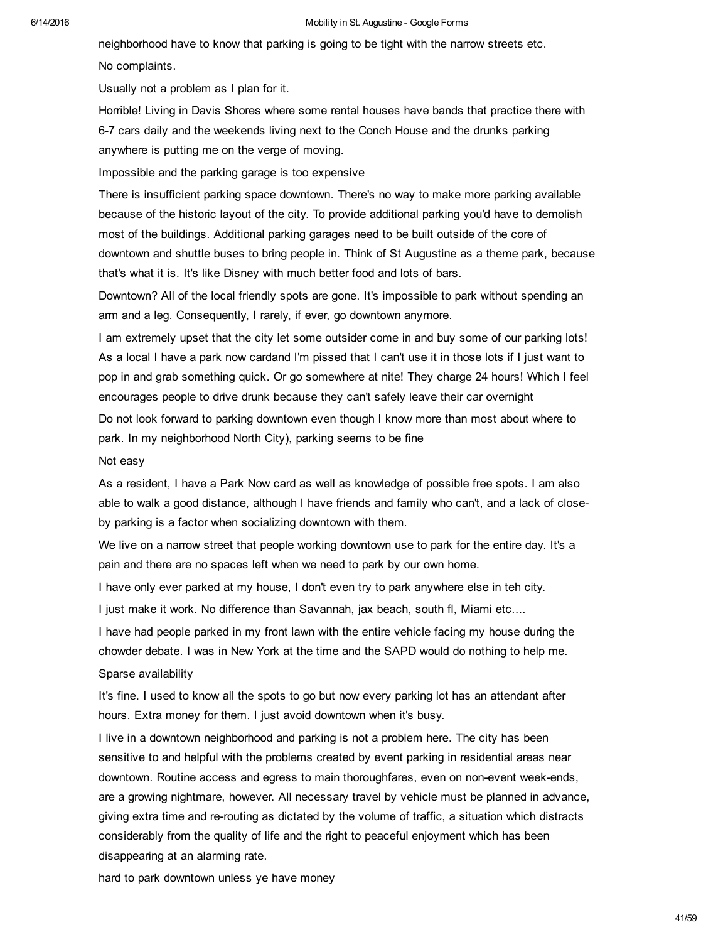neighborhood have to know that parking is going to be tight with the narrow streets etc. No complaints.

Usually not a problem as I plan for it.

Horrible! Living in Davis Shores where some rental houses have bands that practice there with 67 cars daily and the weekends living next to the Conch House and the drunks parking anywhere is putting me on the verge of moving.

Impossible and the parking garage is too expensive

There is insufficient parking space downtown. There's no way to make more parking available because of the historic layout of the city. To provide additional parking you'd have to demolish most of the buildings. Additional parking garages need to be built outside of the core of downtown and shuttle buses to bring people in. Think of St Augustine as a theme park, because that's what it is. It's like Disney with much better food and lots of bars.

Downtown? All of the local friendly spots are gone. It's impossible to park without spending an arm and a leg. Consequently, I rarely, if ever, go downtown anymore.

I am extremely upset that the city let some outsider come in and buy some of our parking lots! As a local I have a park now cardand I'm pissed that I can't use it in those lots if I just want to pop in and grab something quick. Or go somewhere at nite! They charge 24 hours! Which I feel encourages people to drive drunk because they can't safely leave their car overnight

Do not look forward to parking downtown even though I know more than most about where to park. In my neighborhood North City), parking seems to be fine

## Not easy

As a resident, I have a Park Now card as well as knowledge of possible free spots. I am also able to walk a good distance, although I have friends and family who can't, and a lack of closeby parking is a factor when socializing downtown with them.

We live on a narrow street that people working downtown use to park for the entire day. It's a pain and there are no spaces left when we need to park by our own home.

I have only ever parked at my house, I don't even try to park anywhere else in teh city.

I just make it work. No difference than Savannah, jax beach, south fl, Miami etc....

I have had people parked in my front lawn with the entire vehicle facing my house during the chowder debate. I was in New York at the time and the SAPD would do nothing to help me.

## Sparse availability

It's fine. I used to know all the spots to go but now every parking lot has an attendant after hours. Extra money for them. I just avoid downtown when it's busy.

I live in a downtown neighborhood and parking is not a problem here. The city has been sensitive to and helpful with the problems created by event parking in residential areas near downtown. Routine access and egress to main thoroughfares, even on non-event week-ends, are a growing nightmare, however. All necessary travel by vehicle must be planned in advance, giving extra time and re-routing as dictated by the volume of traffic, a situation which distracts considerably from the quality of life and the right to peaceful enjoyment which has been disappearing at an alarming rate.

hard to park downtown unless ye have money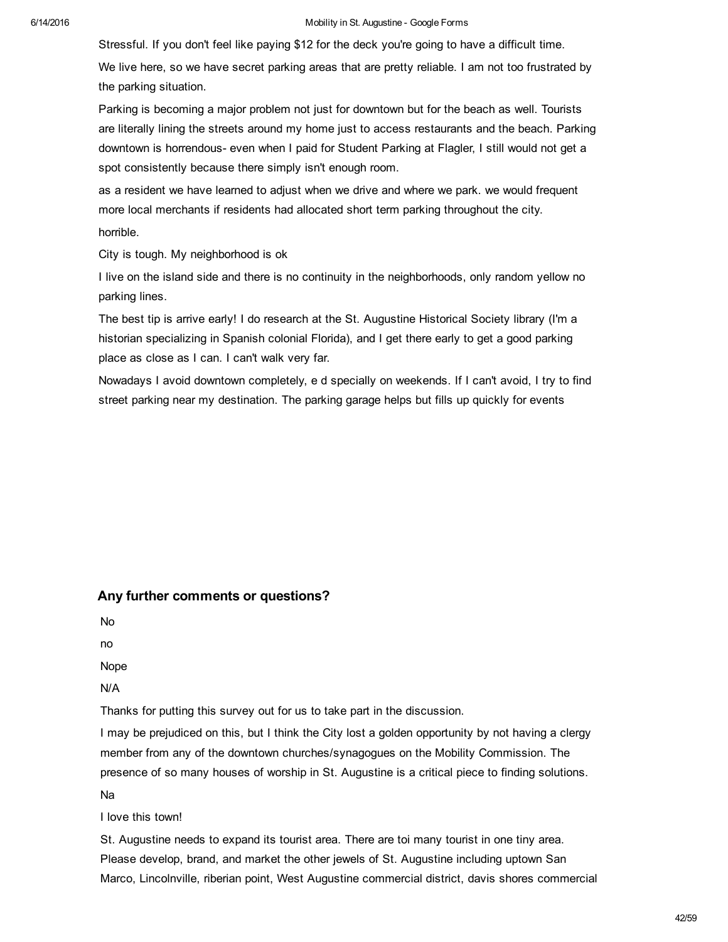Stressful. If you don't feel like paying \$12 for the deck you're going to have a difficult time.

We live here, so we have secret parking areas that are pretty reliable. I am not too frustrated by the parking situation.

Parking is becoming a major problem not just for downtown but for the beach as well. Tourists are literally lining the streets around my home just to access restaurants and the beach. Parking downtown is horrendous- even when I paid for Student Parking at Flagler, I still would not get a spot consistently because there simply isn't enough room.

as a resident we have learned to adjust when we drive and where we park. we would frequent more local merchants if residents had allocated short term parking throughout the city. horrible.

City is tough. My neighborhood is ok

I live on the island side and there is no continuity in the neighborhoods, only random yellow no parking lines.

The best tip is arrive early! I do research at the St. Augustine Historical Society library (I'm a historian specializing in Spanish colonial Florida), and I get there early to get a good parking place as close as I can. I can't walk very far.

Nowadays I avoid downtown completely, e d specially on weekends. If I can't avoid, I try to find street parking near my destination. The parking garage helps but fills up quickly for events

## Any further comments or questions?

No

no

Nope

N/A

Thanks for putting this survey out for us to take part in the discussion.

I may be prejudiced on this, but I think the City lost a golden opportunity by not having a clergy member from any of the downtown churches/synagogues on the Mobility Commission. The presence of so many houses of worship in St. Augustine is a critical piece to finding solutions. Na

I love this town!

St. Augustine needs to expand its tourist area. There are toi many tourist in one tiny area. Please develop, brand, and market the other jewels of St. Augustine including uptown San Marco, Lincolnville, riberian point, West Augustine commercial district, davis shores commercial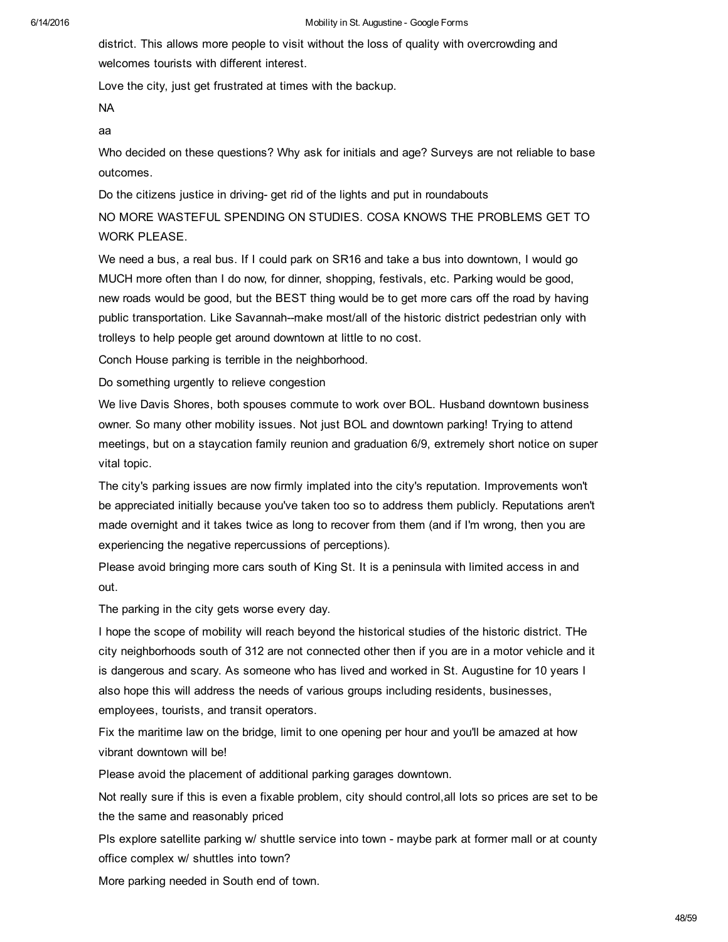#### 6/14/2016 **Mobility in St. Augustine - Google Forms** Mobility in St. Augustine - Google Forms

district. This allows more people to visit without the loss of quality with overcrowding and welcomes tourists with different interest.

Love the city, just get frustrated at times with the backup.

NA

aa

Who decided on these questions? Why ask for initials and age? Surveys are not reliable to base outcomes.

Do the citizens justice in driving- get rid of the lights and put in roundabouts

NO MORE WASTEFUL SPENDING ON STUDIES. COSA KNOWS THE PROBLEMS GET TO WORK PLEASE.

We need a bus, a real bus. If I could park on SR16 and take a bus into downtown, I would go MUCH more often than I do now, for dinner, shopping, festivals, etc. Parking would be good, new roads would be good, but the BEST thing would be to get more cars off the road by having public transportation. Like Savannah--make most/all of the historic district pedestrian only with trolleys to help people get around downtown at little to no cost.

Conch House parking is terrible in the neighborhood.

Do something urgently to relieve congestion

We live Davis Shores, both spouses commute to work over BOL. Husband downtown business owner. So many other mobility issues. Not just BOL and downtown parking! Trying to attend meetings, but on a staycation family reunion and graduation 6/9, extremely short notice on super vital topic.

The city's parking issues are now firmly implated into the city's reputation. Improvements won't be appreciated initially because you've taken too so to address them publicly. Reputations aren't made overnight and it takes twice as long to recover from them (and if I'm wrong, then you are experiencing the negative repercussions of perceptions).

Please avoid bringing more cars south of King St. It is a peninsula with limited access in and out.

The parking in the city gets worse every day.

I hope the scope of mobility will reach beyond the historical studies of the historic district. THe city neighborhoods south of 312 are not connected other then if you are in a motor vehicle and it is dangerous and scary. As someone who has lived and worked in St. Augustine for 10 years I also hope this will address the needs of various groups including residents, businesses, employees, tourists, and transit operators.

Fix the maritime law on the bridge, limit to one opening per hour and you'll be amazed at how vibrant downtown will be!

Please avoid the placement of additional parking garages downtown.

Not really sure if this is even a fixable problem, city should control,all lots so prices are set to be the the same and reasonably priced

Pls explore satellite parking w/ shuttle service into town - maybe park at former mall or at county office complex w/ shuttles into town?

More parking needed in South end of town.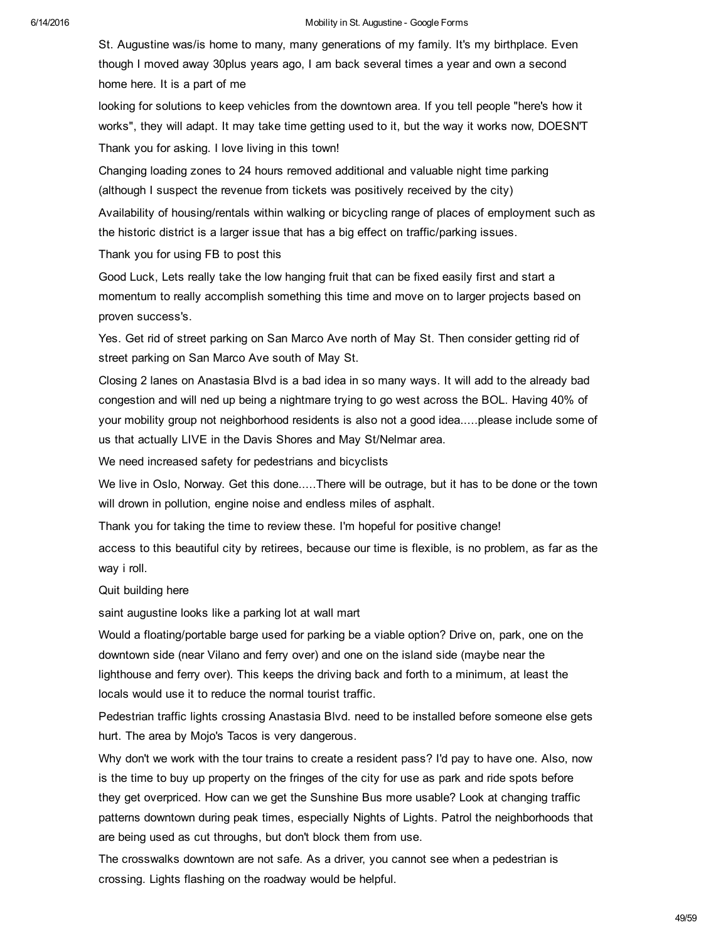St. Augustine was/is home to many, many generations of my family. It's my birthplace. Even though I moved away 30plus years ago, I am back several times a year and own a second home here. It is a part of me

looking for solutions to keep vehicles from the downtown area. If you tell people "here's how it works", they will adapt. It may take time getting used to it, but the way it works now, DOESN'T Thank you for asking. I love living in this town!

Changing loading zones to 24 hours removed additional and valuable night time parking (although I suspect the revenue from tickets was positively received by the city)

Availability of housing/rentals within walking or bicycling range of places of employment such as the historic district is a larger issue that has a big effect on traffic/parking issues.

Thank you for using FB to post this

Good Luck, Lets really take the low hanging fruit that can be fixed easily first and start a momentum to really accomplish something this time and move on to larger projects based on proven success's.

Yes. Get rid of street parking on San Marco Ave north of May St. Then consider getting rid of street parking on San Marco Ave south of May St.

Closing 2 lanes on Anastasia Blvd is a bad idea in so many ways. It will add to the already bad congestion and will ned up being a nightmare trying to go west across the BOL. Having 40% of your mobility group not neighborhood residents is also not a good idea.....please include some of us that actually LIVE in the Davis Shores and May St/Nelmar area.

We need increased safety for pedestrians and bicyclists

We live in Oslo, Norway. Get this done.....There will be outrage, but it has to be done or the town will drown in pollution, engine noise and endless miles of asphalt.

Thank you for taking the time to review these. I'm hopeful for positive change!

access to this beautiful city by retirees, because our time is flexible, is no problem, as far as the way i roll.

## Quit building here

saint augustine looks like a parking lot at wall mart

Would a floating/portable barge used for parking be a viable option? Drive on, park, one on the downtown side (near Vilano and ferry over) and one on the island side (maybe near the lighthouse and ferry over). This keeps the driving back and forth to a minimum, at least the locals would use it to reduce the normal tourist traffic.

Pedestrian traffic lights crossing Anastasia Blvd. need to be installed before someone else gets hurt. The area by Mojo's Tacos is very dangerous.

Why don't we work with the tour trains to create a resident pass? I'd pay to have one. Also, now is the time to buy up property on the fringes of the city for use as park and ride spots before they get overpriced. How can we get the Sunshine Bus more usable? Look at changing traffic patterns downtown during peak times, especially Nights of Lights. Patrol the neighborhoods that are being used as cut throughs, but don't block them from use.

The crosswalks downtown are not safe. As a driver, you cannot see when a pedestrian is crossing. Lights flashing on the roadway would be helpful.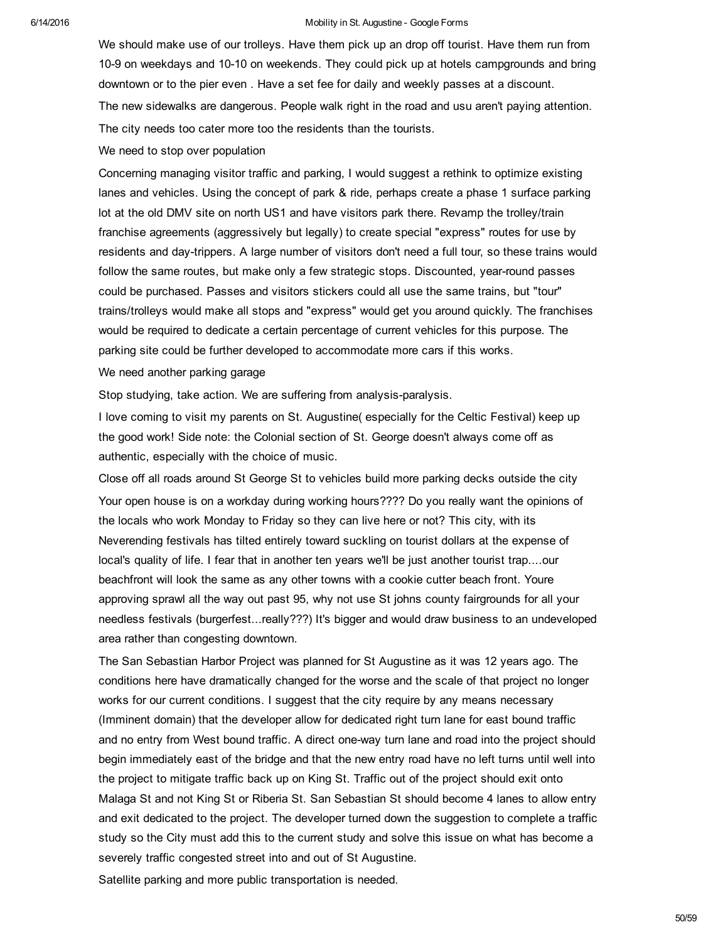We should make use of our trolleys. Have them pick up an drop off tourist. Have them run from 10-9 on weekdays and 10-10 on weekends. They could pick up at hotels campgrounds and bring downtown or to the pier even . Have a set fee for daily and weekly passes at a discount. The new sidewalks are dangerous. People walk right in the road and usu aren't paying attention. The city needs too cater more too the residents than the tourists.

We need to stop over population

Concerning managing visitor traffic and parking, I would suggest a rethink to optimize existing lanes and vehicles. Using the concept of park & ride, perhaps create a phase 1 surface parking lot at the old DMV site on north US1 and have visitors park there. Revamp the trolley/train franchise agreements (aggressively but legally) to create special "express" routes for use by residents and daytrippers. A large number of visitors don't need a full tour, so these trains would follow the same routes, but make only a few strategic stops. Discounted, year-round passes could be purchased. Passes and visitors stickers could all use the same trains, but "tour" trains/trolleys would make all stops and "express" would get you around quickly. The franchises would be required to dedicate a certain percentage of current vehicles for this purpose. The parking site could be further developed to accommodate more cars if this works.

We need another parking garage

Stop studying, take action. We are suffering from analysis-paralysis.

I love coming to visit my parents on St. Augustine( especially for the Celtic Festival) keep up the good work! Side note: the Colonial section of St. George doesn't always come off as authentic, especially with the choice of music.

Close off all roads around St George St to vehicles build more parking decks outside the city Your open house is on a workday during working hours???? Do you really want the opinions of the locals who work Monday to Friday so they can live here or not? This city, with its Neverending festivals has tilted entirely toward suckling on tourist dollars at the expense of local's quality of life. I fear that in another ten years we'll be just another tourist trap....our beachfront will look the same as any other towns with a cookie cutter beach front. Youre approving sprawl all the way out past 95, why not use St johns county fairgrounds for all your needless festivals (burgerfest...really???) It's bigger and would draw business to an undeveloped area rather than congesting downtown.

The San Sebastian Harbor Project was planned for St Augustine as it was 12 years ago. The conditions here have dramatically changed for the worse and the scale of that project no longer works for our current conditions. I suggest that the city require by any means necessary (Imminent domain) that the developer allow for dedicated right turn lane for east bound traffic and no entry from West bound traffic. A direct oneway turn lane and road into the project should begin immediately east of the bridge and that the new entry road have no left turns until well into the project to mitigate traffic back up on King St. Traffic out of the project should exit onto Malaga St and not King St or Riberia St. San Sebastian St should become 4 lanes to allow entry and exit dedicated to the project. The developer turned down the suggestion to complete a traffic study so the City must add this to the current study and solve this issue on what has become a severely traffic congested street into and out of St Augustine.

Satellite parking and more public transportation is needed.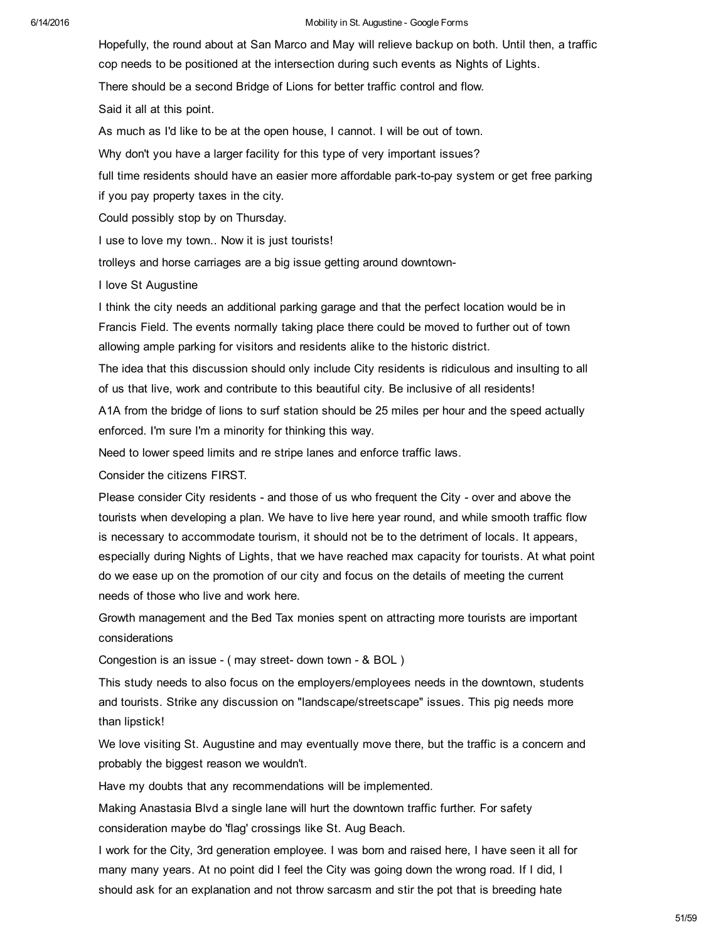Hopefully, the round about at San Marco and May will relieve backup on both. Until then, a traffic cop needs to be positioned at the intersection during such events as Nights of Lights. There should be a second Bridge of Lions for better traffic control and flow. Said it all at this point.

As much as I'd like to be at the open house, I cannot. I will be out of town.

Why don't you have a larger facility for this type of very important issues?

full time residents should have an easier more affordable park-to-pay system or get free parking if you pay property taxes in the city.

Could possibly stop by on Thursday.

I use to love my town.. Now it is just tourists!

trolleys and horse carriages are a big issue getting around downtown-

I love St Augustine

I think the city needs an additional parking garage and that the perfect location would be in Francis Field. The events normally taking place there could be moved to further out of town allowing ample parking for visitors and residents alike to the historic district.

The idea that this discussion should only include City residents is ridiculous and insulting to all of us that live, work and contribute to this beautiful city. Be inclusive of all residents!

A1A from the bridge of lions to surf station should be 25 miles per hour and the speed actually enforced. I'm sure I'm a minority for thinking this way.

Need to lower speed limits and re stripe lanes and enforce traffic laws.

Consider the citizens FIRST.

Please consider City residents - and those of us who frequent the City - over and above the tourists when developing a plan. We have to live here year round, and while smooth traffic flow is necessary to accommodate tourism, it should not be to the detriment of locals. It appears, especially during Nights of Lights, that we have reached max capacity for tourists. At what point do we ease up on the promotion of our city and focus on the details of meeting the current needs of those who live and work here.

Growth management and the Bed Tax monies spent on attracting more tourists are important considerations

Congestion is an issue - (may street-down town - & BOL)

This study needs to also focus on the employers/employees needs in the downtown, students and tourists. Strike any discussion on "landscape/streetscape" issues. This pig needs more than lipstick!

We love visiting St. Augustine and may eventually move there, but the traffic is a concern and probably the biggest reason we wouldn't.

Have my doubts that any recommendations will be implemented.

Making Anastasia Blvd a single lane will hurt the downtown traffic further. For safety consideration maybe do 'flag' crossings like St. Aug Beach.

I work for the City, 3rd generation employee. I was born and raised here, I have seen it all for many many years. At no point did I feel the City was going down the wrong road. If I did, I should ask for an explanation and not throw sarcasm and stir the pot that is breeding hate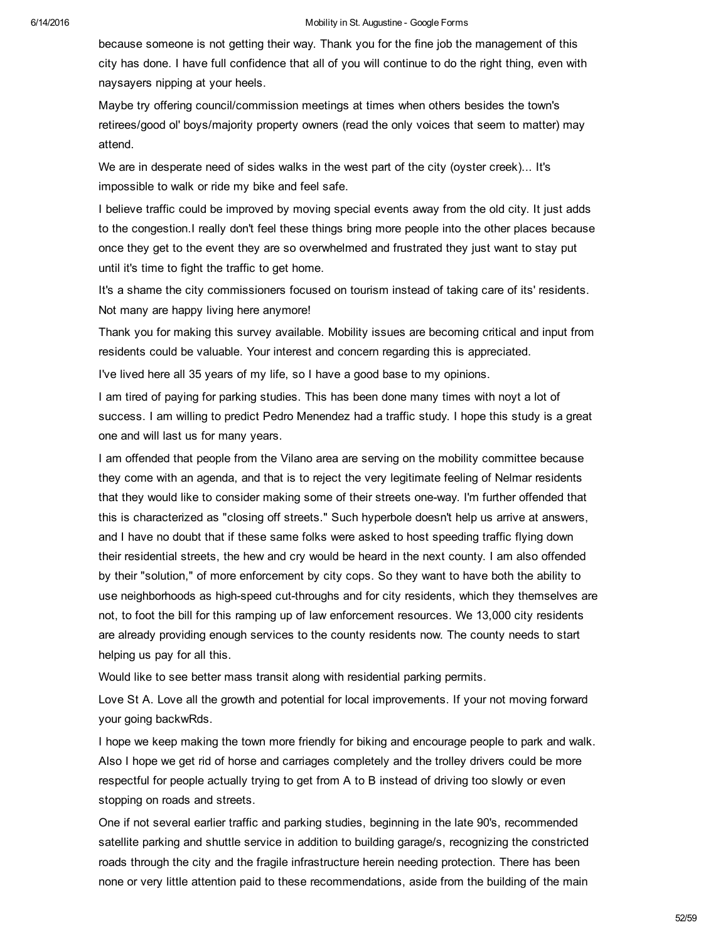because someone is not getting their way. Thank you for the fine job the management of this city has done. I have full confidence that all of you will continue to do the right thing, even with naysayers nipping at your heels.

Maybe try offering council/commission meetings at times when others besides the town's retirees/good ol' boys/majority property owners (read the only voices that seem to matter) may attend.

We are in desperate need of sides walks in the west part of the city (oyster creek)... It's impossible to walk or ride my bike and feel safe.

I believe traffic could be improved by moving special events away from the old city. It just adds to the congestion.I really don't feel these things bring more people into the other places because once they get to the event they are so overwhelmed and frustrated they just want to stay put until it's time to fight the traffic to get home.

It's a shame the city commissioners focused on tourism instead of taking care of its' residents. Not many are happy living here anymore!

Thank you for making this survey available. Mobility issues are becoming critical and input from residents could be valuable. Your interest and concern regarding this is appreciated.

I've lived here all 35 years of my life, so I have a good base to my opinions.

I am tired of paying for parking studies. This has been done many times with noyt a lot of success. I am willing to predict Pedro Menendez had a traffic study. I hope this study is a great one and will last us for many years.

I am offended that people from the Vilano area are serving on the mobility committee because they come with an agenda, and that is to reject the very legitimate feeling of Nelmar residents that they would like to consider making some of their streets oneway. I'm further offended that this is characterized as "closing off streets." Such hyperbole doesn't help us arrive at answers, and I have no doubt that if these same folks were asked to host speeding traffic flying down their residential streets, the hew and cry would be heard in the next county. I am also offended by their "solution," of more enforcement by city cops. So they want to have both the ability to use neighborhoods as high-speed cut-throughs and for city residents, which they themselves are not, to foot the bill for this ramping up of law enforcement resources. We 13,000 city residents are already providing enough services to the county residents now. The county needs to start helping us pay for all this.

Would like to see better mass transit along with residential parking permits.

Love St A. Love all the growth and potential for local improvements. If your not moving forward your going backwRds.

I hope we keep making the town more friendly for biking and encourage people to park and walk. Also I hope we get rid of horse and carriages completely and the trolley drivers could be more respectful for people actually trying to get from A to B instead of driving too slowly or even stopping on roads and streets.

One if not several earlier traffic and parking studies, beginning in the late 90's, recommended satellite parking and shuttle service in addition to building garage/s, recognizing the constricted roads through the city and the fragile infrastructure herein needing protection. There has been none or very little attention paid to these recommendations, aside from the building of the main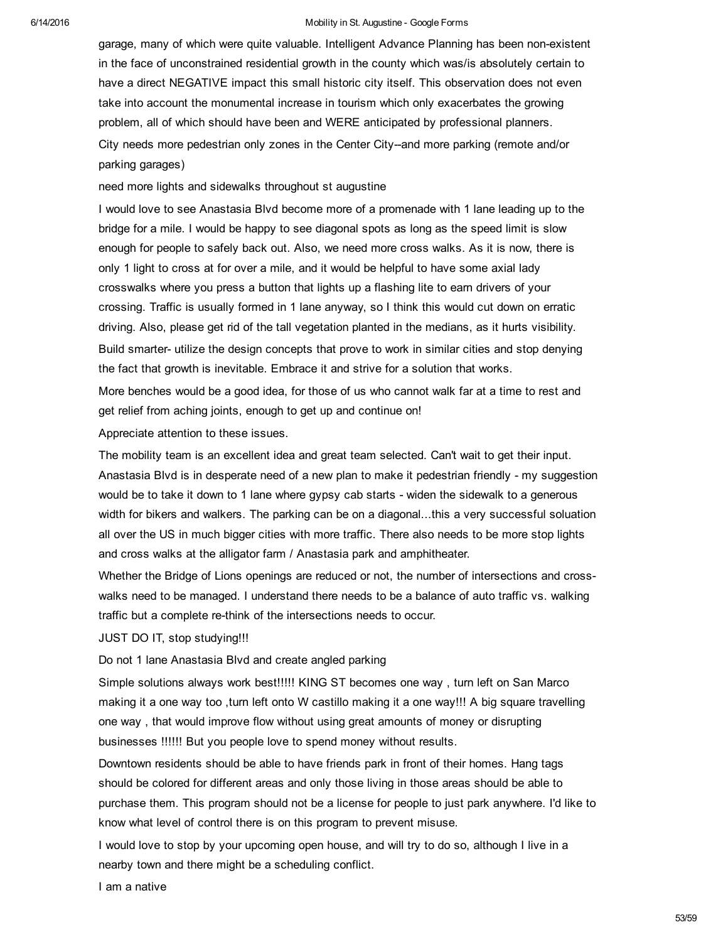garage, many of which were quite valuable. Intelligent Advance Planning has been nonexistent in the face of unconstrained residential growth in the county which was/is absolutely certain to have a direct NEGATIVE impact this small historic city itself. This observation does not even take into account the monumental increase in tourism which only exacerbates the growing problem, all of which should have been and WERE anticipated by professional planners. City needs more pedestrian only zones in the Center City--and more parking (remote and/or parking garages)

need more lights and sidewalks throughout st augustine

I would love to see Anastasia Blvd become more of a promenade with 1 lane leading up to the bridge for a mile. I would be happy to see diagonal spots as long as the speed limit is slow enough for people to safely back out. Also, we need more cross walks. As it is now, there is only 1 light to cross at for over a mile, and it would be helpful to have some axial lady crosswalks where you press a button that lights up a flashing lite to earn drivers of your crossing. Traffic is usually formed in 1 lane anyway, so I think this would cut down on erratic driving. Also, please get rid of the tall vegetation planted in the medians, as it hurts visibility. Build smarter- utilize the design concepts that prove to work in similar cities and stop denying the fact that growth is inevitable. Embrace it and strive for a solution that works.

More benches would be a good idea, for those of us who cannot walk far at a time to rest and get relief from aching joints, enough to get up and continue on!

Appreciate attention to these issues.

The mobility team is an excellent idea and great team selected. Can't wait to get their input. Anastasia Blvd is in desperate need of a new plan to make it pedestrian friendly - my suggestion would be to take it down to 1 lane where gypsy cab starts - widen the sidewalk to a generous width for bikers and walkers. The parking can be on a diagonal...this a very successful soluation all over the US in much bigger cities with more traffic. There also needs to be more stop lights and cross walks at the alligator farm / Anastasia park and amphitheater.

Whether the Bridge of Lions openings are reduced or not, the number of intersections and crosswalks need to be managed. I understand there needs to be a balance of auto traffic vs. walking traffic but a complete re-think of the intersections needs to occur.

## JUST DO IT, stop studying!!!

Do not 1 lane Anastasia Blvd and create angled parking

Simple solutions always work best!!!!! KING ST becomes one way , turn left on San Marco making it a one way too ,turn left onto W castillo making it a one way!!! A big square travelling one way , that would improve flow without using great amounts of money or disrupting businesses !!!!!! But you people love to spend money without results.

Downtown residents should be able to have friends park in front of their homes. Hang tags should be colored for different areas and only those living in those areas should be able to purchase them. This program should not be a license for people to just park anywhere. I'd like to know what level of control there is on this program to prevent misuse.

I would love to stop by your upcoming open house, and will try to do so, although I live in a nearby town and there might be a scheduling conflict.

I am a native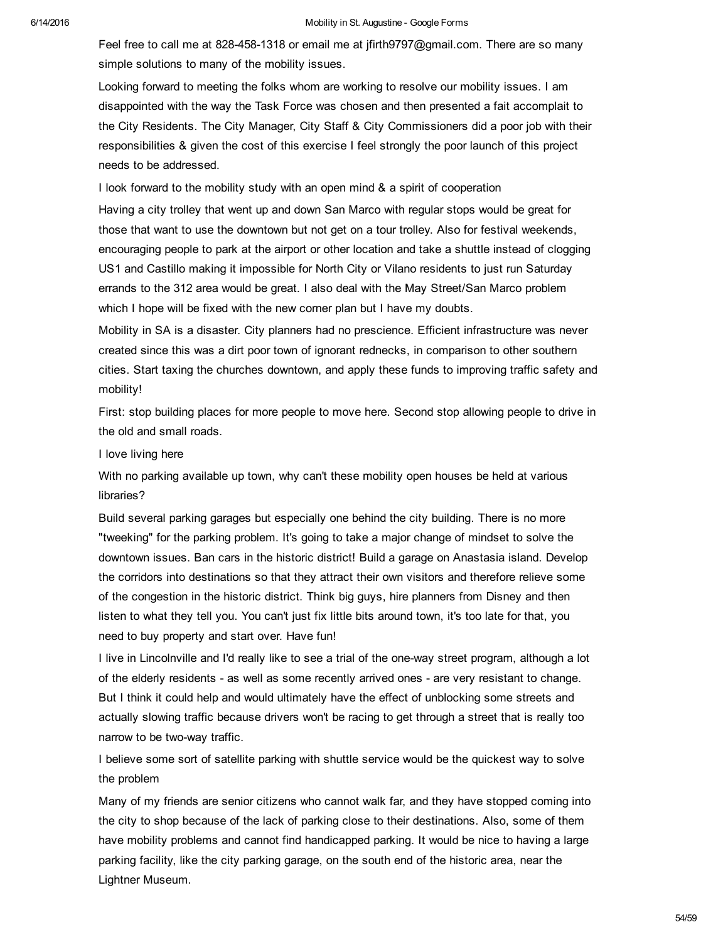Feel free to call me at 828-458-1318 or email me at jfirth9797@gmail.com. There are so many simple solutions to many of the mobility issues.

Looking forward to meeting the folks whom are working to resolve our mobility issues. I am disappointed with the way the Task Force was chosen and then presented a fait accomplait to the City Residents. The City Manager, City Staff & City Commissioners did a poor job with their responsibilities & given the cost of this exercise I feel strongly the poor launch of this project needs to be addressed.

I look forward to the mobility study with an open mind & a spirit of cooperation

Having a city trolley that went up and down San Marco with regular stops would be great for those that want to use the downtown but not get on a tour trolley. Also for festival weekends, encouraging people to park at the airport or other location and take a shuttle instead of clogging US1 and Castillo making it impossible for North City or Vilano residents to just run Saturday errands to the 312 area would be great. I also deal with the May Street/San Marco problem which I hope will be fixed with the new corner plan but I have my doubts.

Mobility in SA is a disaster. City planners had no prescience. Efficient infrastructure was never created since this was a dirt poor town of ignorant rednecks, in comparison to other southern cities. Start taxing the churches downtown, and apply these funds to improving traffic safety and mobility!

First: stop building places for more people to move here. Second stop allowing people to drive in the old and small roads.

I love living here

With no parking available up town, why can't these mobility open houses be held at various libraries?

Build several parking garages but especially one behind the city building. There is no more "tweeking" for the parking problem. It's going to take a major change of mindset to solve the downtown issues. Ban cars in the historic district! Build a garage on Anastasia island. Develop the corridors into destinations so that they attract their own visitors and therefore relieve some of the congestion in the historic district. Think big guys, hire planners from Disney and then listen to what they tell you. You can't just fix little bits around town, it's too late for that, you need to buy property and start over. Have fun!

I live in Lincolnville and I'd really like to see a trial of the oneway street program, although a lot of the elderly residents - as well as some recently arrived ones - are very resistant to change. But I think it could help and would ultimately have the effect of unblocking some streets and actually slowing traffic because drivers won't be racing to get through a street that is really too narrow to be two-way traffic.

I believe some sort of satellite parking with shuttle service would be the quickest way to solve the problem

Many of my friends are senior citizens who cannot walk far, and they have stopped coming into the city to shop because of the lack of parking close to their destinations. Also, some of them have mobility problems and cannot find handicapped parking. It would be nice to having a large parking facility, like the city parking garage, on the south end of the historic area, near the Lightner Museum.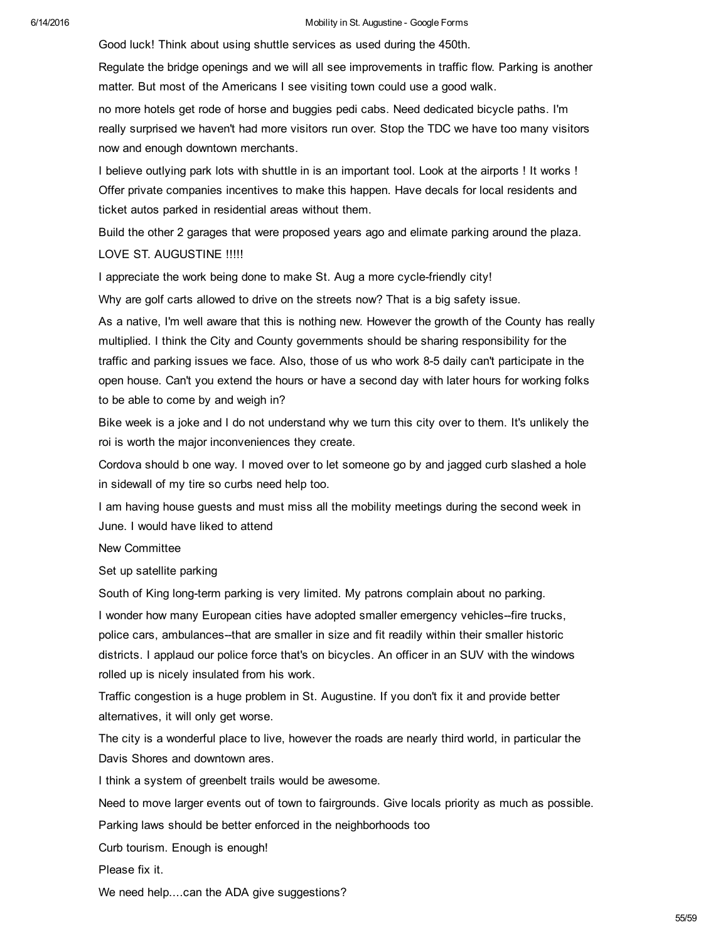Good luck! Think about using shuttle services as used during the 450th.

Regulate the bridge openings and we will all see improvements in traffic flow. Parking is another matter. But most of the Americans I see visiting town could use a good walk.

no more hotels get rode of horse and buggies pedi cabs. Need dedicated bicycle paths. I'm really surprised we haven't had more visitors run over. Stop the TDC we have too many visitors now and enough downtown merchants.

I believe outlying park lots with shuttle in is an important tool. Look at the airports ! It works ! Offer private companies incentives to make this happen. Have decals for local residents and ticket autos parked in residential areas without them.

Build the other 2 garages that were proposed years ago and elimate parking around the plaza. LOVE ST. AUGUSTINE !!!!!

I appreciate the work being done to make St. Aug a more cycle-friendly city!

Why are golf carts allowed to drive on the streets now? That is a big safety issue.

As a native, I'm well aware that this is nothing new. However the growth of the County has really multiplied. I think the City and County governments should be sharing responsibility for the traffic and parking issues we face. Also, those of us who work 85 daily can't participate in the open house. Can't you extend the hours or have a second day with later hours for working folks to be able to come by and weigh in?

Bike week is a joke and I do not understand why we turn this city over to them. It's unlikely the roi is worth the major inconveniences they create.

Cordova should b one way. I moved over to let someone go by and jagged curb slashed a hole in sidewall of my tire so curbs need help too.

I am having house guests and must miss all the mobility meetings during the second week in June. I would have liked to attend

New Committee

Set up satellite parking

South of King long-term parking is very limited. My patrons complain about no parking.

I wonder how many European cities have adopted smaller emergency vehicles--fire trucks, police cars, ambulances--that are smaller in size and fit readily within their smaller historic districts. I applaud our police force that's on bicycles. An officer in an SUV with the windows rolled up is nicely insulated from his work.

Traffic congestion is a huge problem in St. Augustine. If you don't fix it and provide better alternatives, it will only get worse.

The city is a wonderful place to live, however the roads are nearly third world, in particular the Davis Shores and downtown ares.

I think a system of greenbelt trails would be awesome.

Need to move larger events out of town to fairgrounds. Give locals priority as much as possible.

Parking laws should be better enforced in the neighborhoods too

Curb tourism. Enough is enough!

Please fix it.

We need help....can the ADA give suggestions?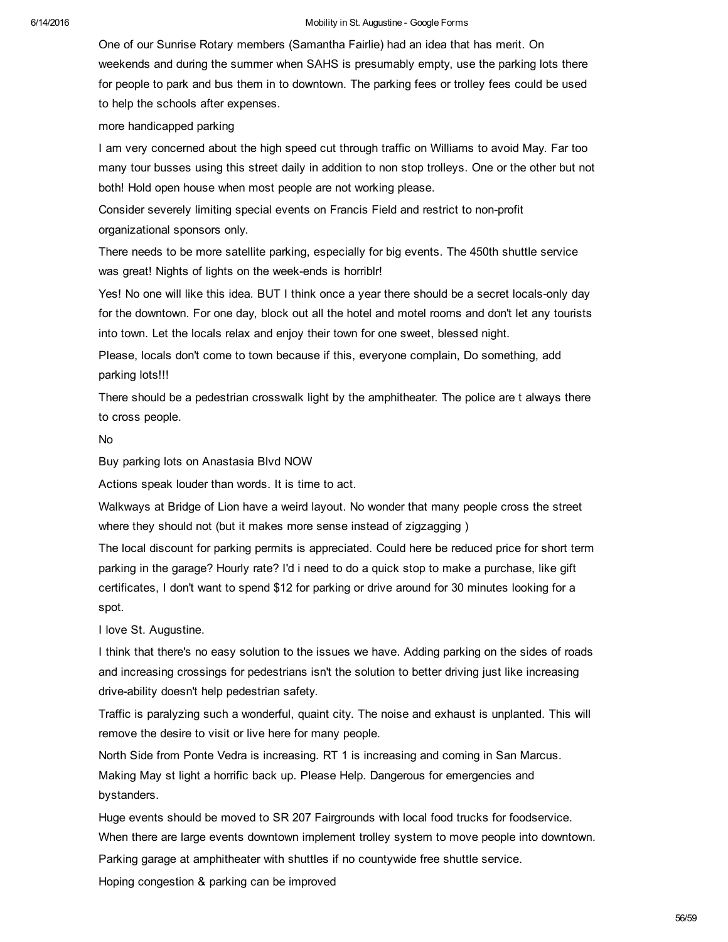One of our Sunrise Rotary members (Samantha Fairlie) had an idea that has merit. On weekends and during the summer when SAHS is presumably empty, use the parking lots there for people to park and bus them in to downtown. The parking fees or trolley fees could be used to help the schools after expenses.

more handicapped parking

I am very concerned about the high speed cut through traffic on Williams to avoid May. Far too many tour busses using this street daily in addition to non stop trolleys. One or the other but not both! Hold open house when most people are not working please.

Consider severely limiting special events on Francis Field and restrict to nonprofit organizational sponsors only.

There needs to be more satellite parking, especially for big events. The 450th shuttle service was great! Nights of lights on the week-ends is horriblr!

Yes! No one will like this idea. BUT I think once a year there should be a secret locals-only day for the downtown. For one day, block out all the hotel and motel rooms and don't let any tourists into town. Let the locals relax and enjoy their town for one sweet, blessed night.

Please, locals don't come to town because if this, everyone complain, Do something, add parking lots!!!

There should be a pedestrian crosswalk light by the amphitheater. The police are t always there to cross people.

## No

Buy parking lots on Anastasia Blvd NOW

Actions speak louder than words. It is time to act.

Walkways at Bridge of Lion have a weird layout. No wonder that many people cross the street where they should not (but it makes more sense instead of zigzagging )

The local discount for parking permits is appreciated. Could here be reduced price for short term parking in the garage? Hourly rate? I'd i need to do a quick stop to make a purchase, like gift certificates, I don't want to spend \$12 for parking or drive around for 30 minutes looking for a spot.

I love St. Augustine.

I think that there's no easy solution to the issues we have. Adding parking on the sides of roads and increasing crossings for pedestrians isn't the solution to better driving just like increasing drive-ability doesn't help pedestrian safety.

Traffic is paralyzing such a wonderful, quaint city. The noise and exhaust is unplanted. This will remove the desire to visit or live here for many people.

North Side from Ponte Vedra is increasing. RT 1 is increasing and coming in San Marcus. Making May st light a horrific back up. Please Help. Dangerous for emergencies and bystanders.

Huge events should be moved to SR 207 Fairgrounds with local food trucks for foodservice. When there are large events downtown implement trolley system to move people into downtown. Parking garage at amphitheater with shuttles if no countywide free shuttle service.

Hoping congestion & parking can be improved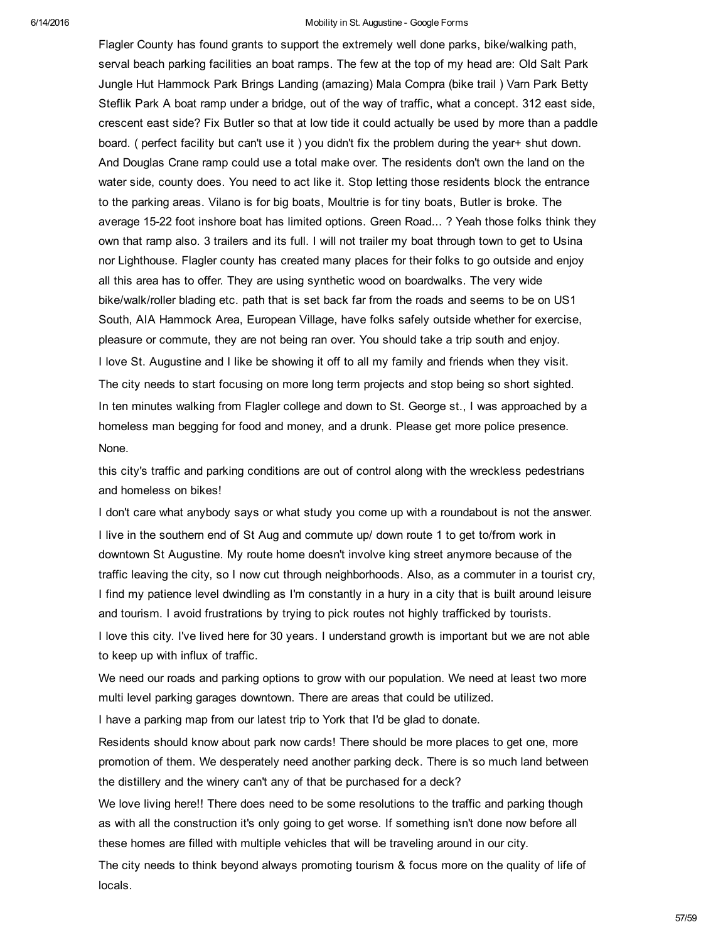Flagler County has found grants to support the extremely well done parks, bike/walking path, serval beach parking facilities an boat ramps. The few at the top of my head are: Old Salt Park Jungle Hut Hammock Park Brings Landing (amazing) Mala Compra (bike trail ) Varn Park Betty Steflik Park A boat ramp under a bridge, out of the way of traffic, what a concept. 312 east side, crescent east side? Fix Butler so that at low tide it could actually be used by more than a paddle board. ( perfect facility but can't use it ) you didn't fix the problem during the year+ shut down. And Douglas Crane ramp could use a total make over. The residents don't own the land on the water side, county does. You need to act like it. Stop letting those residents block the entrance to the parking areas. Vilano is for big boats, Moultrie is for tiny boats, Butler is broke. The average 15-22 foot inshore boat has limited options. Green Road... ? Yeah those folks think they own that ramp also. 3 trailers and its full. I will not trailer my boat through town to get to Usina nor Lighthouse. Flagler county has created many places for their folks to go outside and enjoy all this area has to offer. They are using synthetic wood on boardwalks. The very wide bike/walk/roller blading etc. path that is set back far from the roads and seems to be on US1 South, AIA Hammock Area, European Village, have folks safely outside whether for exercise, pleasure or commute, they are not being ran over. You should take a trip south and enjoy. I love St. Augustine and I like be showing it off to all my family and friends when they visit. The city needs to start focusing on more long term projects and stop being so short sighted. In ten minutes walking from Flagler college and down to St. George st., I was approached by a homeless man begging for food and money, and a drunk. Please get more police presence. None.

this city's traffic and parking conditions are out of control along with the wreckless pedestrians and homeless on bikes!

I don't care what anybody says or what study you come up with a roundabout is not the answer. I live in the southern end of St Aug and commute up/ down route 1 to get to/from work in downtown St Augustine. My route home doesn't involve king street anymore because of the traffic leaving the city, so I now cut through neighborhoods. Also, as a commuter in a tourist cry, I find my patience level dwindling as I'm constantly in a hury in a city that is built around leisure and tourism. I avoid frustrations by trying to pick routes not highly trafficked by tourists. I love this city. I've lived here for 30 years. I understand growth is important but we are not able to keep up with influx of traffic.

We need our roads and parking options to grow with our population. We need at least two more multi level parking garages downtown. There are areas that could be utilized.

I have a parking map from our latest trip to York that I'd be glad to donate.

Residents should know about park now cards! There should be more places to get one, more promotion of them. We desperately need another parking deck. There is so much land between the distillery and the winery can't any of that be purchased for a deck?

We love living here!! There does need to be some resolutions to the traffic and parking though as with all the construction it's only going to get worse. If something isn't done now before all these homes are filled with multiple vehicles that will be traveling around in our city.

The city needs to think beyond always promoting tourism & focus more on the quality of life of locals.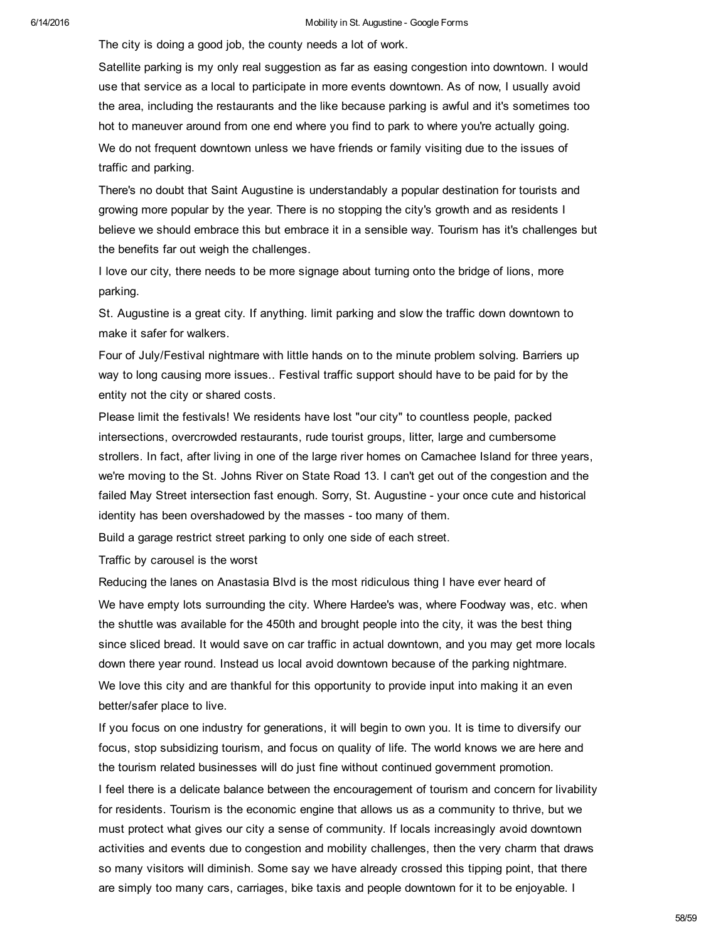The city is doing a good job, the county needs a lot of work.

Satellite parking is my only real suggestion as far as easing congestion into downtown. I would use that service as a local to participate in more events downtown. As of now, I usually avoid the area, including the restaurants and the like because parking is awful and it's sometimes too hot to maneuver around from one end where you find to park to where you're actually going. We do not frequent downtown unless we have friends or family visiting due to the issues of traffic and parking.

There's no doubt that Saint Augustine is understandably a popular destination for tourists and growing more popular by the year. There is no stopping the city's growth and as residents I believe we should embrace this but embrace it in a sensible way. Tourism has it's challenges but the benefits far out weigh the challenges.

I love our city, there needs to be more signage about turning onto the bridge of lions, more parking.

St. Augustine is a great city. If anything. limit parking and slow the traffic down downtown to make it safer for walkers.

Four of July/Festival nightmare with little hands on to the minute problem solving. Barriers up way to long causing more issues.. Festival traffic support should have to be paid for by the entity not the city or shared costs.

Please limit the festivals! We residents have lost "our city" to countless people, packed intersections, overcrowded restaurants, rude tourist groups, litter, large and cumbersome strollers. In fact, after living in one of the large river homes on Camachee Island for three years, we're moving to the St. Johns River on State Road 13. I can't get out of the congestion and the failed May Street intersection fast enough. Sorry, St. Augustine - your once cute and historical identity has been overshadowed by the masses - too many of them.

Build a garage restrict street parking to only one side of each street.

Traffic by carousel is the worst

Reducing the lanes on Anastasia Blvd is the most ridiculous thing I have ever heard of We have empty lots surrounding the city. Where Hardee's was, where Foodway was, etc. when the shuttle was available for the 450th and brought people into the city, it was the best thing since sliced bread. It would save on car traffic in actual downtown, and you may get more locals down there year round. Instead us local avoid downtown because of the parking nightmare. We love this city and are thankful for this opportunity to provide input into making it an even better/safer place to live.

If you focus on one industry for generations, it will begin to own you. It is time to diversify our focus, stop subsidizing tourism, and focus on quality of life. The world knows we are here and the tourism related businesses will do just fine without continued government promotion. I feel there is a delicate balance between the encouragement of tourism and concern for livability for residents. Tourism is the economic engine that allows us as a community to thrive, but we must protect what gives our city a sense of community. If locals increasingly avoid downtown activities and events due to congestion and mobility challenges, then the very charm that draws so many visitors will diminish. Some say we have already crossed this tipping point, that there are simply too many cars, carriages, bike taxis and people downtown for it to be enjoyable. I